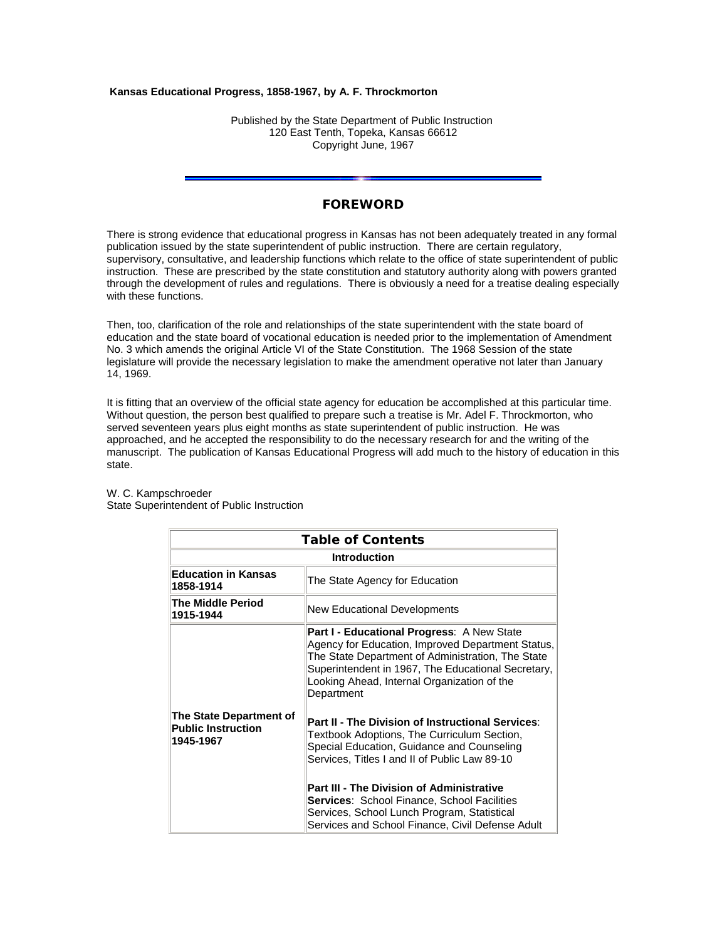### **Kansas Educational Progress, 1858-1967, by A. F. Throckmorton**

Published by the State Department of Public Instruction 120 East Tenth, Topeka, Kansas 66612 Copyright June, 1967

# **FOREWORD**

There is strong evidence that educational progress in Kansas has not been adequately treated in any formal publication issued by the state superintendent of public instruction. There are certain regulatory, supervisory, consultative, and leadership functions which relate to the office of state superintendent of public instruction. These are prescribed by the state constitution and statutory authority along with powers granted through the development of rules and regulations. There is obviously a need for a treatise dealing especially with these functions.

Then, too, clarification of the role and relationships of the state superintendent with the state board of education and the state board of vocational education is needed prior to the implementation of Amendment No. 3 which amends the original Article VI of the State Constitution. The 1968 Session of the state legislature will provide the necessary legislation to make the amendment operative not later than January 14, 1969.

It is fitting that an overview of the official state agency for education be accomplished at this particular time. Without question, the person best qualified to prepare such a treatise is Mr. Adel F. Throckmorton, who served seventeen years plus eight months as state superintendent of public instruction. He was approached, and he accepted the responsibility to do the necessary research for and the writing of the manuscript. The publication of Kansas Educational Progress will add much to the history of education in this state.

| <b>Table of Contents</b>                                          |                                                                                                                                                                                                                                                                                                                                                                                                              |  |  |  |  |
|-------------------------------------------------------------------|--------------------------------------------------------------------------------------------------------------------------------------------------------------------------------------------------------------------------------------------------------------------------------------------------------------------------------------------------------------------------------------------------------------|--|--|--|--|
| <b>Introduction</b>                                               |                                                                                                                                                                                                                                                                                                                                                                                                              |  |  |  |  |
| <b>Education in Kansas</b><br>1858-1914                           | The State Agency for Education                                                                                                                                                                                                                                                                                                                                                                               |  |  |  |  |
| The Middle Period<br>1915-1944                                    | New Educational Developments                                                                                                                                                                                                                                                                                                                                                                                 |  |  |  |  |
|                                                                   | <b>Part I - Educational Progress: A New State</b><br>Agency for Education, Improved Department Status,<br>The State Department of Administration, The State<br>Superintendent in 1967, The Educational Secretary,<br>Looking Ahead, Internal Organization of the<br>Department                                                                                                                               |  |  |  |  |
| The State Department of<br><b>Public Instruction</b><br>1945-1967 | Part II - The Division of Instructional Services:<br>Textbook Adoptions, The Curriculum Section,<br>Special Education, Guidance and Counseling<br>Services, Titles I and II of Public Law 89-10<br><b>Part III - The Division of Administrative</b><br><b>Services:</b> School Finance, School Facilities<br>Services, School Lunch Program, Statistical<br>Services and School Finance, Civil Defense Adult |  |  |  |  |

#### W. C. Kampschroeder State Superintendent of Public Instruction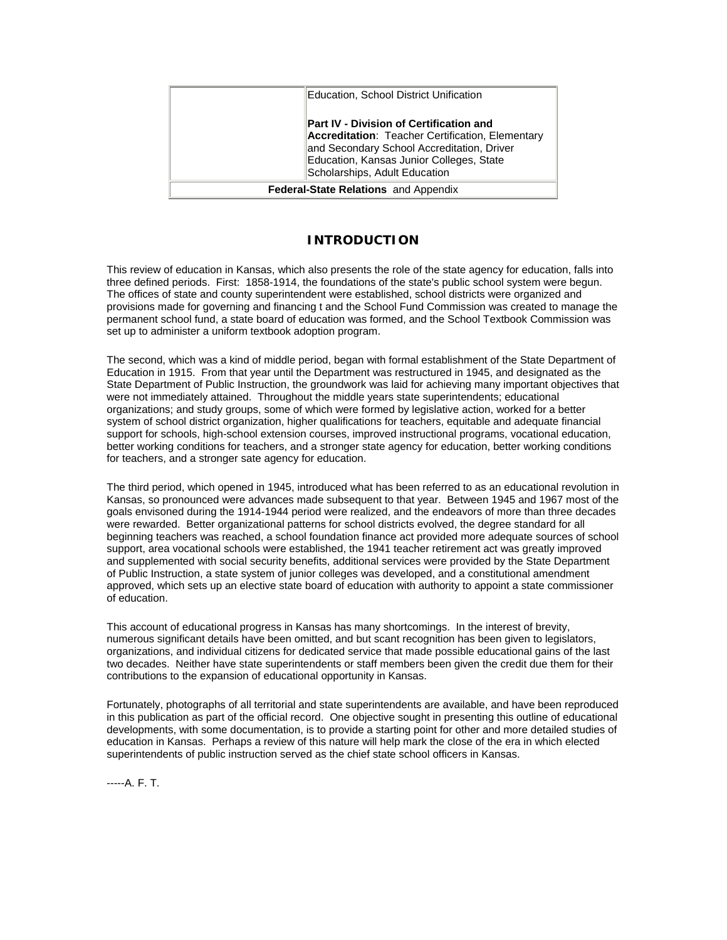| <b>Education, School District Unification</b> |                                                                                                                                                                                                                               |  |  |  |
|-----------------------------------------------|-------------------------------------------------------------------------------------------------------------------------------------------------------------------------------------------------------------------------------|--|--|--|
|                                               | <b>Part IV - Division of Certification and</b><br>Accreditation: Teacher Certification, Elementary<br>and Secondary School Accreditation, Driver<br>Education, Kansas Junior Colleges, State<br>Scholarships, Adult Education |  |  |  |
| <b>Federal-State Relations</b> and Appendix   |                                                                                                                                                                                                                               |  |  |  |

## **INTRODUCTION**

This review of education in Kansas, which also presents the role of the state agency for education, falls into three defined periods. First: 1858-1914, the foundations of the state's public school system were begun. The offices of state and county superintendent were established, school districts were organized and provisions made for governing and financing t and the School Fund Commission was created to manage the permanent school fund, a state board of education was formed, and the School Textbook Commission was set up to administer a uniform textbook adoption program.

The second, which was a kind of middle period, began with formal establishment of the State Department of Education in 1915. From that year until the Department was restructured in 1945, and designated as the State Department of Public Instruction, the groundwork was laid for achieving many important objectives that were not immediately attained. Throughout the middle years state superintendents; educational organizations; and study groups, some of which were formed by legislative action, worked for a better system of school district organization, higher qualifications for teachers, equitable and adequate financial support for schools, high-school extension courses, improved instructional programs, vocational education, better working conditions for teachers, and a stronger state agency for education, better working conditions for teachers, and a stronger sate agency for education.

The third period, which opened in 1945, introduced what has been referred to as an educational revolution in Kansas, so pronounced were advances made subsequent to that year. Between 1945 and 1967 most of the goals envisoned during the 1914-1944 period were realized, and the endeavors of more than three decades were rewarded. Better organizational patterns for school districts evolved, the degree standard for all beginning teachers was reached, a school foundation finance act provided more adequate sources of school support, area vocational schools were established, the 1941 teacher retirement act was greatly improved and supplemented with social security benefits, additional services were provided by the State Department of Public Instruction, a state system of junior colleges was developed, and a constitutional amendment approved, which sets up an elective state board of education with authority to appoint a state commissioner of education.

This account of educational progress in Kansas has many shortcomings. In the interest of brevity, numerous significant details have been omitted, and but scant recognition has been given to legislators, organizations, and individual citizens for dedicated service that made possible educational gains of the last two decades. Neither have state superintendents or staff members been given the credit due them for their contributions to the expansion of educational opportunity in Kansas.

Fortunately, photographs of all territorial and state superintendents are available, and have been reproduced in this publication as part of the official record. One objective sought in presenting this outline of educational developments, with some documentation, is to provide a starting point for other and more detailed studies of education in Kansas. Perhaps a review of this nature will help mark the close of the era in which elected superintendents of public instruction served as the chief state school officers in Kansas.

-----A. F. T.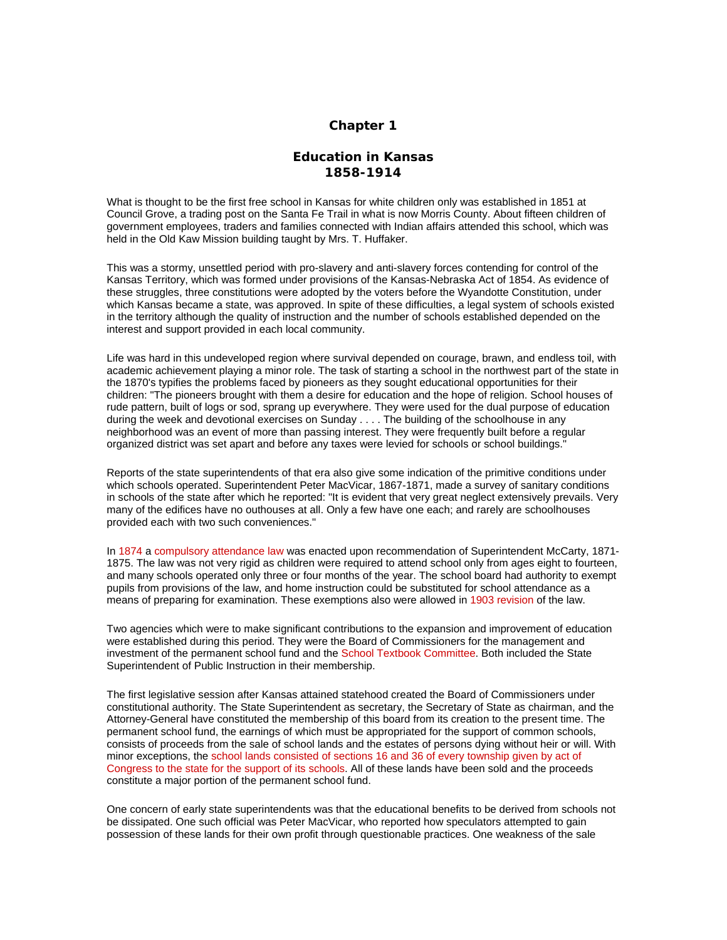### **Chapter 1**

# **Education in Kansas 1858-1914**

What is thought to be the first free school in Kansas for white children only was established in 1851 at Council Grove, a trading post on the Santa Fe Trail in what is now Morris County. About fifteen children of government employees, traders and families connected with Indian affairs attended this school, which was held in the Old Kaw Mission building taught by Mrs. T. Huffaker.

This was a stormy, unsettled period with pro-slavery and anti-slavery forces contending for control of the Kansas Territory, which was formed under provisions of the Kansas-Nebraska Act of 1854. As evidence of these struggles, three constitutions were adopted by the voters before the Wyandotte Constitution, under which Kansas became a state, was approved. In spite of these difficulties, a legal system of schools existed in the territory although the quality of instruction and the number of schools established depended on the interest and support provided in each local community.

Life was hard in this undeveloped region where survival depended on courage, brawn, and endless toil, with academic achievement playing a minor role. The task of starting a school in the northwest part of the state in the 1870's typifies the problems faced by pioneers as they sought educational opportunities for their children: "The pioneers brought with them a desire for education and the hope of religion. School houses of rude pattern, built of logs or sod, sprang up everywhere. They were used for the dual purpose of education during the week and devotional exercises on Sunday . . . . The building of the schoolhouse in any neighborhood was an event of more than passing interest. They were frequently built before a regular organized district was set apart and before any taxes were levied for schools or school buildings."

Reports of the state superintendents of that era also give some indication of the primitive conditions under which schools operated. Superintendent Peter MacVicar, 1867-1871, made a survey of sanitary conditions in schools of the state after which he reported: "It is evident that very great neglect extensively prevails. Very many of the edifices have no outhouses at all. Only a few have one each; and rarely are schoolhouses provided each with two such conveniences."

In 1874 a compulsory attendance law was enacted upon recommendation of Superintendent McCarty, 1871- 1875. The law was not very rigid as children were required to attend school only from ages eight to fourteen, and many schools operated only three or four months of the year. The school board had authority to exempt pupils from provisions of the law, and home instruction could be substituted for school attendance as a means of preparing for examination. These exemptions also were allowed in 1903 revision of the law.

Two agencies which were to make significant contributions to the expansion and improvement of education were established during this period. They were the Board of Commissioners for the management and investment of the permanent school fund and the School Textbook Committee. Both included the State Superintendent of Public Instruction in their membership.

The first legislative session after Kansas attained statehood created the Board of Commissioners under constitutional authority. The State Superintendent as secretary, the Secretary of State as chairman, and the Attorney-General have constituted the membership of this board from its creation to the present time. The permanent school fund, the earnings of which must be appropriated for the support of common schools, consists of proceeds from the sale of school lands and the estates of persons dying without heir or will. With minor exceptions, the school lands consisted of sections 16 and 36 of every township given by act of Congress to the state for the support of its schools. All of these lands have been sold and the proceeds constitute a major portion of the permanent school fund.

One concern of early state superintendents was that the educational benefits to be derived from schools not be dissipated. One such official was Peter MacVicar, who reported how speculators attempted to gain possession of these lands for their own profit through questionable practices. One weakness of the sale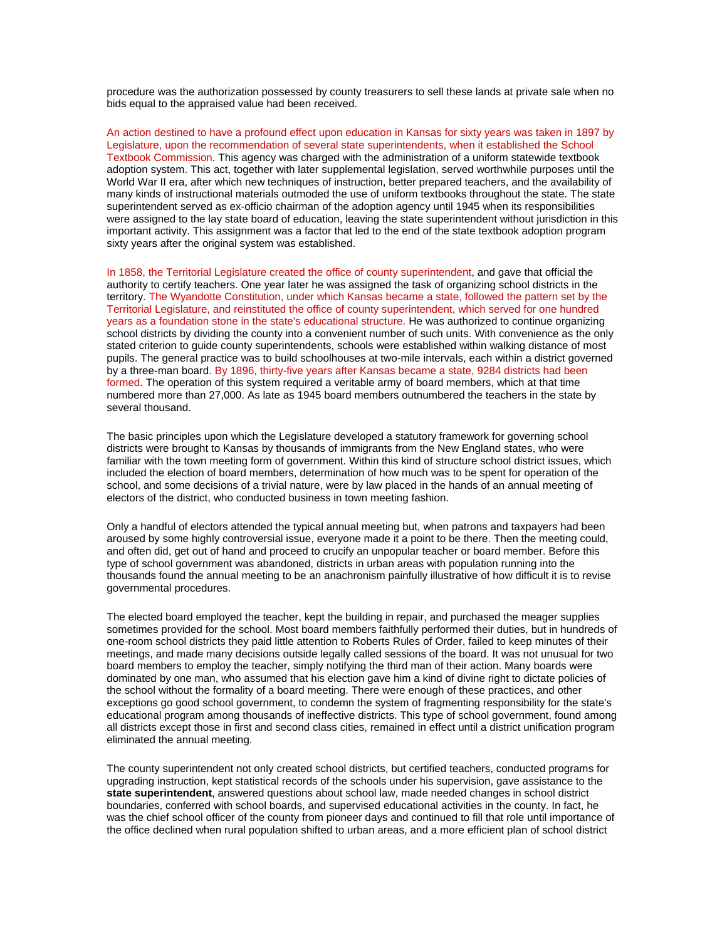procedure was the authorization possessed by county treasurers to sell these lands at private sale when no bids equal to the appraised value had been received.

An action destined to have a profound effect upon education in Kansas for sixty years was taken in 1897 by Legislature, upon the recommendation of several state superintendents, when it established the School Textbook Commission. This agency was charged with the administration of a uniform statewide textbook adoption system. This act, together with later supplemental legislation, served worthwhile purposes until the World War II era, after which new techniques of instruction, better prepared teachers, and the availability of many kinds of instructional materials outmoded the use of uniform textbooks throughout the state. The state superintendent served as ex-officio chairman of the adoption agency until 1945 when its responsibilities were assigned to the lay state board of education, leaving the state superintendent without jurisdiction in this important activity. This assignment was a factor that led to the end of the state textbook adoption program sixty years after the original system was established.

In 1858, the Territorial Legislature created the office of county superintendent, and gave that official the authority to certify teachers. One year later he was assigned the task of organizing school districts in the territory. The Wyandotte Constitution, under which Kansas became a state, followed the pattern set by the Territorial Legislature, and reinstituted the office of county superintendent, which served for one hundred years as a foundation stone in the state's educational structure. He was authorized to continue organizing school districts by dividing the county into a convenient number of such units. With convenience as the only stated criterion to guide county superintendents, schools were established within walking distance of most pupils. The general practice was to build schoolhouses at two-mile intervals, each within a district governed by a three-man board. By 1896, thirty-five years after Kansas became a state, 9284 districts had been formed. The operation of this system required a veritable army of board members, which at that time numbered more than 27,000. As late as 1945 board members outnumbered the teachers in the state by several thousand.

The basic principles upon which the Legislature developed a statutory framework for governing school districts were brought to Kansas by thousands of immigrants from the New England states, who were familiar with the town meeting form of government. Within this kind of structure school district issues, which included the election of board members, determination of how much was to be spent for operation of the school, and some decisions of a trivial nature, were by law placed in the hands of an annual meeting of electors of the district, who conducted business in town meeting fashion.

Only a handful of electors attended the typical annual meeting but, when patrons and taxpayers had been aroused by some highly controversial issue, everyone made it a point to be there. Then the meeting could, and often did, get out of hand and proceed to crucify an unpopular teacher or board member. Before this type of school government was abandoned, districts in urban areas with population running into the thousands found the annual meeting to be an anachronism painfully illustrative of how difficult it is to revise governmental procedures.

The elected board employed the teacher, kept the building in repair, and purchased the meager supplies sometimes provided for the school. Most board members faithfully performed their duties, but in hundreds of one-room school districts they paid little attention to Roberts Rules of Order, failed to keep minutes of their meetings, and made many decisions outside legally called sessions of the board. It was not unusual for two board members to employ the teacher, simply notifying the third man of their action. Many boards were dominated by one man, who assumed that his election gave him a kind of divine right to dictate policies of the school without the formality of a board meeting. There were enough of these practices, and other exceptions go good school government, to condemn the system of fragmenting responsibility for the state's educational program among thousands of ineffective districts. This type of school government, found among all districts except those in first and second class cities, remained in effect until a district unification program eliminated the annual meeting.

The county superintendent not only created school districts, but certified teachers, conducted programs for upgrading instruction, kept statistical records of the schools under his supervision, gave assistance to the **state superintendent**, answered questions about school law, made needed changes in school district boundaries, conferred with school boards, and supervised educational activities in the county. In fact, he was the chief school officer of the county from pioneer days and continued to fill that role until importance of the office declined when rural population shifted to urban areas, and a more efficient plan of school district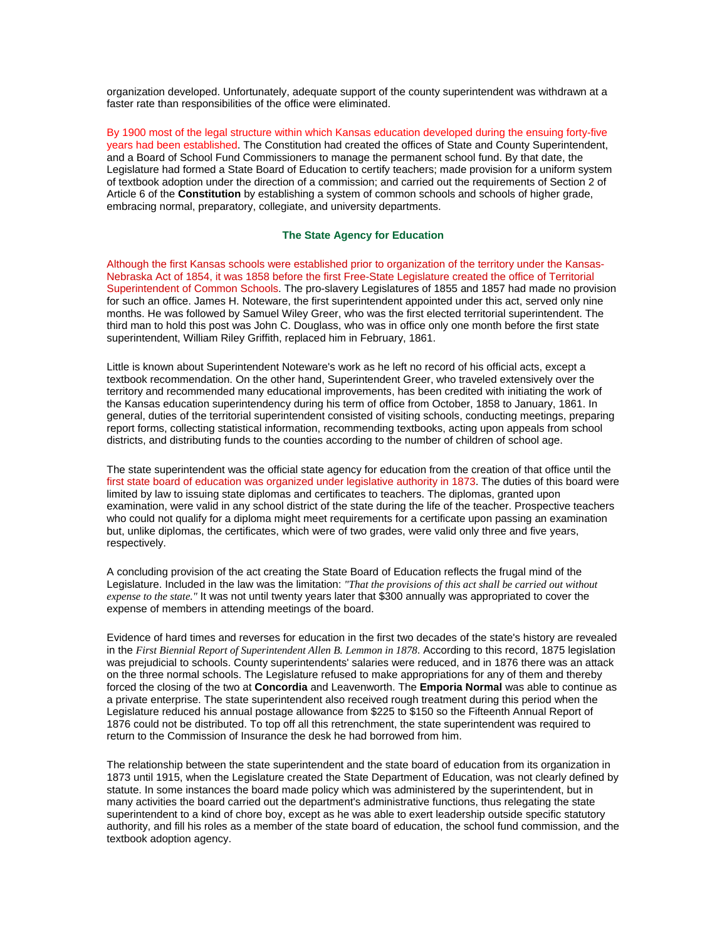organization developed. Unfortunately, adequate support of the county superintendent was withdrawn at a faster rate than responsibilities of the office were eliminated.

By 1900 most of the legal structure within which Kansas education developed during the ensuing forty-five years had been established. The Constitution had created the offices of State and County Superintendent, and a Board of School Fund Commissioners to manage the permanent school fund. By that date, the Legislature had formed a State Board of Education to certify teachers; made provision for a uniform system of textbook adoption under the direction of a commission; and carried out the requirements of Section 2 of Article 6 of the **Constitution** by establishing a system of common schools and schools of higher grade, embracing normal, preparatory, collegiate, and university departments.

### **The State Agency for Education**

Although the first Kansas schools were established prior to organization of the territory under the Kansas-Nebraska Act of 1854, it was 1858 before the first Free-State Legislature created the office of Territorial Superintendent of Common Schools. The pro-slavery Legislatures of 1855 and 1857 had made no provision for such an office. James H. Noteware, the first superintendent appointed under this act, served only nine months. He was followed by Samuel Wiley Greer, who was the first elected territorial superintendent. The third man to hold this post was John C. Douglass, who was in office only one month before the first state superintendent, William Riley Griffith, replaced him in February, 1861.

Little is known about Superintendent Noteware's work as he left no record of his official acts, except a textbook recommendation. On the other hand, Superintendent Greer, who traveled extensively over the territory and recommended many educational improvements, has been credited with initiating the work of the Kansas education superintendency during his term of office from October, 1858 to January, 1861. In general, duties of the territorial superintendent consisted of visiting schools, conducting meetings, preparing report forms, collecting statistical information, recommending textbooks, acting upon appeals from school districts, and distributing funds to the counties according to the number of children of school age.

The state superintendent was the official state agency for education from the creation of that office until the first state board of education was organized under legislative authority in 1873. The duties of this board were limited by law to issuing state diplomas and certificates to teachers. The diplomas, granted upon examination, were valid in any school district of the state during the life of the teacher. Prospective teachers who could not qualify for a diploma might meet requirements for a certificate upon passing an examination but, unlike diplomas, the certificates, which were of two grades, were valid only three and five years, respectively.

A concluding provision of the act creating the State Board of Education reflects the frugal mind of the Legislature. Included in the law was the limitation: *"That the provisions of this act shall be carried out without expense to the state."* It was not until twenty years later that \$300 annually was appropriated to cover the expense of members in attending meetings of the board.

Evidence of hard times and reverses for education in the first two decades of the state's history are revealed in the *First Biennial Report of Superintendent Allen B. Lemmon in 1878*. According to this record, 1875 legislation was prejudicial to schools. County superintendents' salaries were reduced, and in 1876 there was an attack on the three normal schools. The Legislature refused to make appropriations for any of them and thereby forced the closing of the two at **Concordia** and Leavenworth. The **Emporia Normal** was able to continue as a private enterprise. The state superintendent also received rough treatment during this period when the Legislature reduced his annual postage allowance from \$225 to \$150 so the Fifteenth Annual Report of 1876 could not be distributed. To top off all this retrenchment, the state superintendent was required to return to the Commission of Insurance the desk he had borrowed from him.

The relationship between the state superintendent and the state board of education from its organization in 1873 until 1915, when the Legislature created the State Department of Education, was not clearly defined by statute. In some instances the board made policy which was administered by the superintendent, but in many activities the board carried out the department's administrative functions, thus relegating the state superintendent to a kind of chore boy, except as he was able to exert leadership outside specific statutory authority, and fill his roles as a member of the state board of education, the school fund commission, and the textbook adoption agency.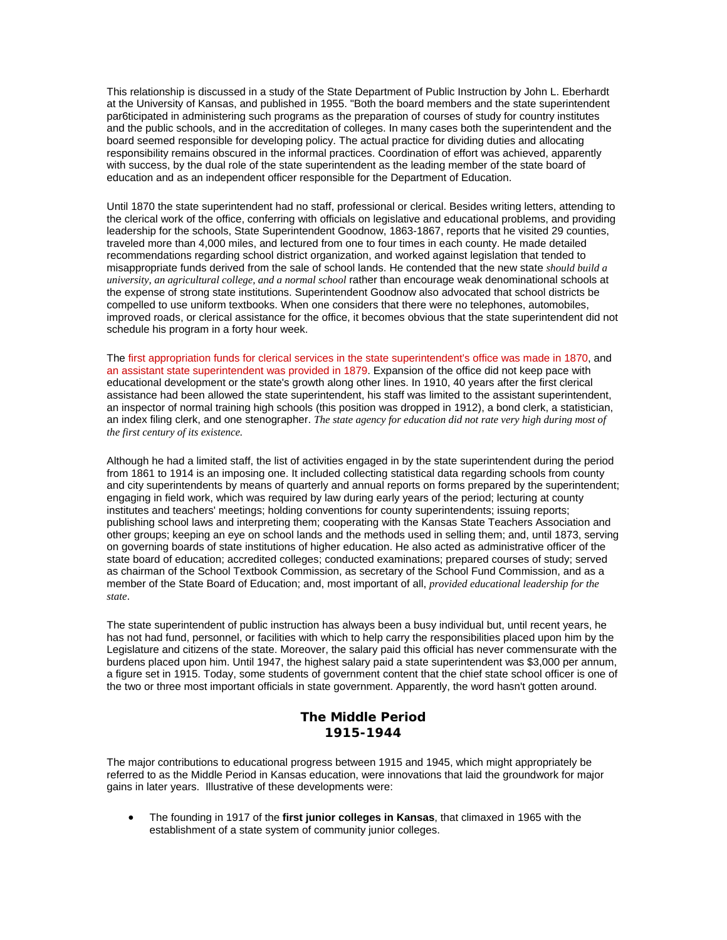This relationship is discussed in a study of the State Department of Public Instruction by John L. Eberhardt at the University of Kansas, and published in 1955. "Both the board members and the state superintendent par6ticipated in administering such programs as the preparation of courses of study for country institutes and the public schools, and in the accreditation of colleges. In many cases both the superintendent and the board seemed responsible for developing policy. The actual practice for dividing duties and allocating responsibility remains obscured in the informal practices. Coordination of effort was achieved, apparently with success, by the dual role of the state superintendent as the leading member of the state board of education and as an independent officer responsible for the Department of Education.

Until 1870 the state superintendent had no staff, professional or clerical. Besides writing letters, attending to the clerical work of the office, conferring with officials on legislative and educational problems, and providing leadership for the schools, State Superintendent Goodnow, 1863-1867, reports that he visited 29 counties, traveled more than 4,000 miles, and lectured from one to four times in each county. He made detailed recommendations regarding school district organization, and worked against legislation that tended to misappropriate funds derived from the sale of school lands. He contended that the new state *should build a university, an agricultural college, and a normal school* rather than encourage weak denominational schools at the expense of strong state institutions. Superintendent Goodnow also advocated that school districts be compelled to use uniform textbooks. When one considers that there were no telephones, automobiles, improved roads, or clerical assistance for the office, it becomes obvious that the state superintendent did not schedule his program in a forty hour week.

The first appropriation funds for clerical services in the state superintendent's office was made in 1870, and an assistant state superintendent was provided in 1879. Expansion of the office did not keep pace with educational development or the state's growth along other lines. In 1910, 40 years after the first clerical assistance had been allowed the state superintendent, his staff was limited to the assistant superintendent, an inspector of normal training high schools (this position was dropped in 1912), a bond clerk, a statistician, an index filing clerk, and one stenographer. *The state agency for education did not rate very high during most of the first century of its existence.*

Although he had a limited staff, the list of activities engaged in by the state superintendent during the period from 1861 to 1914 is an imposing one. It included collecting statistical data regarding schools from county and city superintendents by means of quarterly and annual reports on forms prepared by the superintendent; engaging in field work, which was required by law during early years of the period; lecturing at county institutes and teachers' meetings; holding conventions for county superintendents; issuing reports; publishing school laws and interpreting them; cooperating with the Kansas State Teachers Association and other groups; keeping an eye on school lands and the methods used in selling them; and, until 1873, serving on governing boards of state institutions of higher education. He also acted as administrative officer of the state board of education; accredited colleges; conducted examinations; prepared courses of study; served as chairman of the School Textbook Commission, as secretary of the School Fund Commission, and as a member of the State Board of Education; and, most important of all, *provided educational leadership for the state*.

The state superintendent of public instruction has always been a busy individual but, until recent years, he has not had fund, personnel, or facilities with which to help carry the responsibilities placed upon him by the Legislature and citizens of the state. Moreover, the salary paid this official has never commensurate with the burdens placed upon him. Until 1947, the highest salary paid a state superintendent was \$3,000 per annum, a figure set in 1915. Today, some students of government content that the chief state school officer is one of the two or three most important officials in state government. Apparently, the word hasn't gotten around.

# **The Middle Period 1915-1944**

The major contributions to educational progress between 1915 and 1945, which might appropriately be referred to as the Middle Period in Kansas education, were innovations that laid the groundwork for major gains in later years. Illustrative of these developments were:

• The founding in 1917 of the **first junior colleges in Kansas**, that climaxed in 1965 with the establishment of a state system of community junior colleges.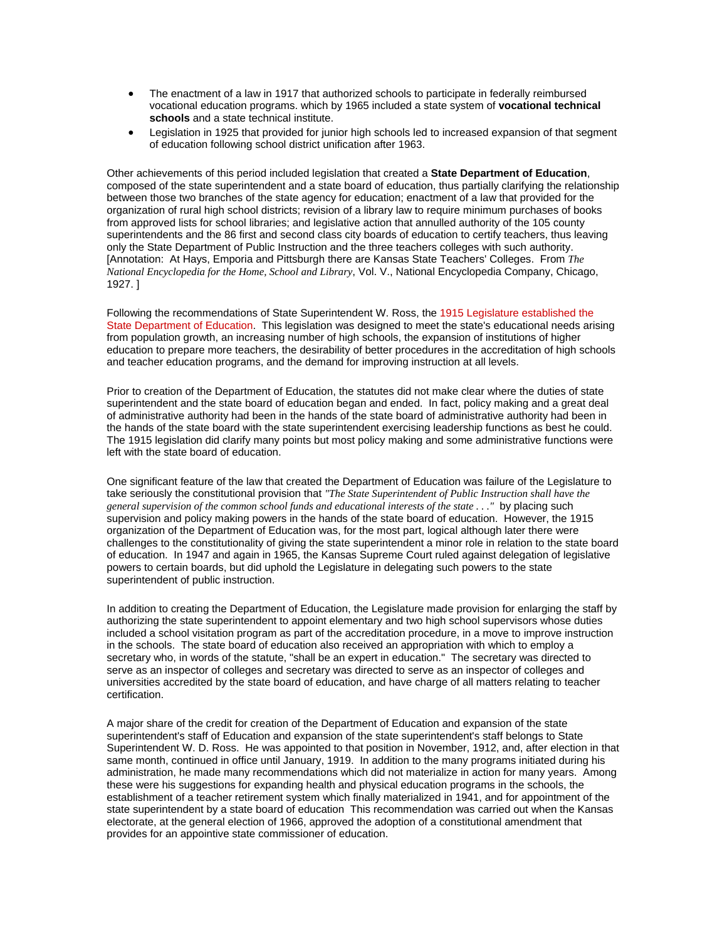- The enactment of a law in 1917 that authorized schools to participate in federally reimbursed vocational education programs. which by 1965 included a state system of **vocational technical schools** and a state technical institute.
- Legislation in 1925 that provided for junior high schools led to increased expansion of that segment of education following school district unification after 1963.

Other achievements of this period included legislation that created a **State Department of Education**, composed of the state superintendent and a state board of education, thus partially clarifying the relationship between those two branches of the state agency for education; enactment of a law that provided for the organization of rural high school districts; revision of a library law to require minimum purchases of books from approved lists for school libraries; and legislative action that annulled authority of the 105 county superintendents and the 86 first and second class city boards of education to certify teachers, thus leaving only the State Department of Public Instruction and the three teachers colleges with such authority. [Annotation: At Hays, Emporia and Pittsburgh there are Kansas State Teachers' Colleges. From *The National Encyclopedia for the Home, School and Library*, Vol. V., National Encyclopedia Company, Chicago, 1927. ]

Following the recommendations of State Superintendent W. Ross, the 1915 Legislature established the State Department of Education. This legislation was designed to meet the state's educational needs arising from population growth, an increasing number of high schools, the expansion of institutions of higher education to prepare more teachers, the desirability of better procedures in the accreditation of high schools and teacher education programs, and the demand for improving instruction at all levels.

Prior to creation of the Department of Education, the statutes did not make clear where the duties of state superintendent and the state board of education began and ended. In fact, policy making and a great deal of administrative authority had been in the hands of the state board of administrative authority had been in the hands of the state board with the state superintendent exercising leadership functions as best he could. The 1915 legislation did clarify many points but most policy making and some administrative functions were left with the state board of education.

One significant feature of the law that created the Department of Education was failure of the Legislature to take seriously the constitutional provision that *"The State Superintendent of Public Instruction shall have the general supervision of the common school funds and educational interests of the state . . ."* by placing such supervision and policy making powers in the hands of the state board of education. However, the 1915 organization of the Department of Education was, for the most part, logical although later there were challenges to the constitutionality of giving the state superintendent a minor role in relation to the state board of education. In 1947 and again in 1965, the Kansas Supreme Court ruled against delegation of legislative powers to certain boards, but did uphold the Legislature in delegating such powers to the state superintendent of public instruction.

In addition to creating the Department of Education, the Legislature made provision for enlarging the staff by authorizing the state superintendent to appoint elementary and two high school supervisors whose duties included a school visitation program as part of the accreditation procedure, in a move to improve instruction in the schools. The state board of education also received an appropriation with which to employ a secretary who, in words of the statute, "shall be an expert in education." The secretary was directed to serve as an inspector of colleges and secretary was directed to serve as an inspector of colleges and universities accredited by the state board of education, and have charge of all matters relating to teacher certification.

A major share of the credit for creation of the Department of Education and expansion of the state superintendent's staff of Education and expansion of the state superintendent's staff belongs to State Superintendent W. D. Ross. He was appointed to that position in November, 1912, and, after election in that same month, continued in office until January, 1919. In addition to the many programs initiated during his administration, he made many recommendations which did not materialize in action for many years. Among these were his suggestions for expanding health and physical education programs in the schools, the establishment of a teacher retirement system which finally materialized in 1941, and for appointment of the state superintendent by a state board of education This recommendation was carried out when the Kansas electorate, at the general election of 1966, approved the adoption of a constitutional amendment that provides for an appointive state commissioner of education.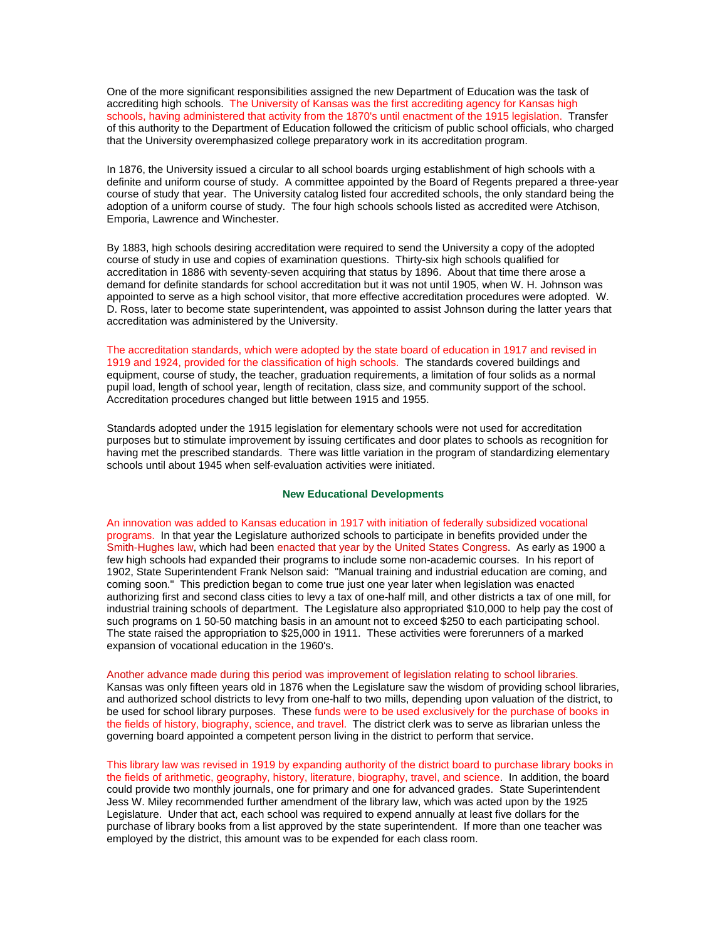One of the more significant responsibilities assigned the new Department of Education was the task of accrediting high schools. The University of Kansas was the first accrediting agency for Kansas high schools, having administered that activity from the 1870's until enactment of the 1915 legislation. Transfer of this authority to the Department of Education followed the criticism of public school officials, who charged that the University overemphasized college preparatory work in its accreditation program.

In 1876, the University issued a circular to all school boards urging establishment of high schools with a definite and uniform course of study. A committee appointed by the Board of Regents prepared a three-year course of study that year. The University catalog listed four accredited schools, the only standard being the adoption of a uniform course of study. The four high schools schools listed as accredited were Atchison, Emporia, Lawrence and Winchester.

By 1883, high schools desiring accreditation were required to send the University a copy of the adopted course of study in use and copies of examination questions. Thirty-six high schools qualified for accreditation in 1886 with seventy-seven acquiring that status by 1896. About that time there arose a demand for definite standards for school accreditation but it was not until 1905, when W. H. Johnson was appointed to serve as a high school visitor, that more effective accreditation procedures were adopted. W. D. Ross, later to become state superintendent, was appointed to assist Johnson during the latter years that accreditation was administered by the University.

The accreditation standards, which were adopted by the state board of education in 1917 and revised in 1919 and 1924, provided for the classification of high schools. The standards covered buildings and equipment, course of study, the teacher, graduation requirements, a limitation of four solids as a normal pupil load, length of school year, length of recitation, class size, and community support of the school. Accreditation procedures changed but little between 1915 and 1955.

Standards adopted under the 1915 legislation for elementary schools were not used for accreditation purposes but to stimulate improvement by issuing certificates and door plates to schools as recognition for having met the prescribed standards. There was little variation in the program of standardizing elementary schools until about 1945 when self-evaluation activities were initiated.

#### **New Educational Developments**

An innovation was added to Kansas education in 1917 with initiation of federally subsidized vocational programs. In that year the Legislature authorized schools to participate in benefits provided under the Smith-Hughes law, which had been enacted that year by the United States Congress. As early as 1900 a few high schools had expanded their programs to include some non-academic courses. In his report of 1902, State Superintendent Frank Nelson said: "Manual training and industrial education are coming, and coming soon." This prediction began to come true just one year later when legislation was enacted authorizing first and second class cities to levy a tax of one-half mill, and other districts a tax of one mill, for industrial training schools of department. The Legislature also appropriated \$10,000 to help pay the cost of such programs on 1 50-50 matching basis in an amount not to exceed \$250 to each participating school. The state raised the appropriation to \$25,000 in 1911. These activities were forerunners of a marked expansion of vocational education in the 1960's.

Another advance made during this period was improvement of legislation relating to school libraries. Kansas was only fifteen years old in 1876 when the Legislature saw the wisdom of providing school libraries, and authorized school districts to levy from one-half to two mills, depending upon valuation of the district, to be used for school library purposes. These funds were to be used exclusively for the purchase of books in the fields of history, biography, science, and travel. The district clerk was to serve as librarian unless the governing board appointed a competent person living in the district to perform that service.

This library law was revised in 1919 by expanding authority of the district board to purchase library books in the fields of arithmetic, geography, history, literature, biography, travel, and science. In addition, the board could provide two monthly journals, one for primary and one for advanced grades. State Superintendent Jess W. Miley recommended further amendment of the library law, which was acted upon by the 1925 Legislature. Under that act, each school was required to expend annually at least five dollars for the purchase of library books from a list approved by the state superintendent. If more than one teacher was employed by the district, this amount was to be expended for each class room.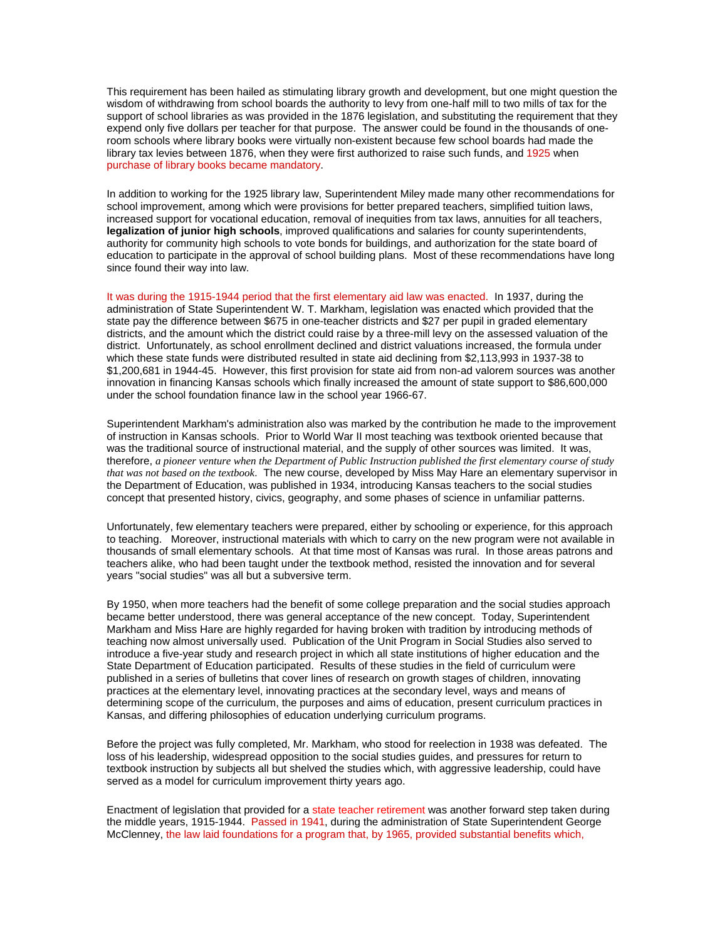This requirement has been hailed as stimulating library growth and development, but one might question the wisdom of withdrawing from school boards the authority to levy from one-half mill to two mills of tax for the support of school libraries as was provided in the 1876 legislation, and substituting the requirement that they expend only five dollars per teacher for that purpose. The answer could be found in the thousands of oneroom schools where library books were virtually non-existent because few school boards had made the library tax levies between 1876, when they were first authorized to raise such funds, and 1925 when purchase of library books became mandatory.

In addition to working for the 1925 library law, Superintendent Miley made many other recommendations for school improvement, among which were provisions for better prepared teachers, simplified tuition laws, increased support for vocational education, removal of inequities from tax laws, annuities for all teachers, **legalization of junior high schools**, improved qualifications and salaries for county superintendents, authority for community high schools to vote bonds for buildings, and authorization for the state board of education to participate in the approval of school building plans. Most of these recommendations have long since found their way into law.

It was during the 1915-1944 period that the first elementary aid law was enacted. In 1937, during the administration of State Superintendent W. T. Markham, legislation was enacted which provided that the state pay the difference between \$675 in one-teacher districts and \$27 per pupil in graded elementary districts, and the amount which the district could raise by a three-mill levy on the assessed valuation of the district. Unfortunately, as school enrollment declined and district valuations increased, the formula under which these state funds were distributed resulted in state aid declining from \$2,113,993 in 1937-38 to \$1,200,681 in 1944-45. However, this first provision for state aid from non-ad valorem sources was another innovation in financing Kansas schools which finally increased the amount of state support to \$86,600,000 under the school foundation finance law in the school year 1966-67.

Superintendent Markham's administration also was marked by the contribution he made to the improvement of instruction in Kansas schools. Prior to World War II most teaching was textbook oriented because that was the traditional source of instructional material, and the supply of other sources was limited. It was, therefore, *a pioneer venture when the Department of Public Instruction published the first elementary course of study that was not based on the textbook*. The new course, developed by Miss May Hare an elementary supervisor in the Department of Education, was published in 1934, introducing Kansas teachers to the social studies concept that presented history, civics, geography, and some phases of science in unfamiliar patterns.

Unfortunately, few elementary teachers were prepared, either by schooling or experience, for this approach to teaching. Moreover, instructional materials with which to carry on the new program were not available in thousands of small elementary schools. At that time most of Kansas was rural. In those areas patrons and teachers alike, who had been taught under the textbook method, resisted the innovation and for several years "social studies" was all but a subversive term.

By 1950, when more teachers had the benefit of some college preparation and the social studies approach became better understood, there was general acceptance of the new concept. Today, Superintendent Markham and Miss Hare are highly regarded for having broken with tradition by introducing methods of teaching now almost universally used. Publication of the Unit Program in Social Studies also served to introduce a five-year study and research project in which all state institutions of higher education and the State Department of Education participated. Results of these studies in the field of curriculum were published in a series of bulletins that cover lines of research on growth stages of children, innovating practices at the elementary level, innovating practices at the secondary level, ways and means of determining scope of the curriculum, the purposes and aims of education, present curriculum practices in Kansas, and differing philosophies of education underlying curriculum programs.

Before the project was fully completed, Mr. Markham, who stood for reelection in 1938 was defeated. The loss of his leadership, widespread opposition to the social studies guides, and pressures for return to textbook instruction by subjects all but shelved the studies which, with aggressive leadership, could have served as a model for curriculum improvement thirty years ago.

Enactment of legislation that provided for a state teacher retirement was another forward step taken during the middle years, 1915-1944. Passed in 1941, during the administration of State Superintendent George McClenney, the law laid foundations for a program that, by 1965, provided substantial benefits which,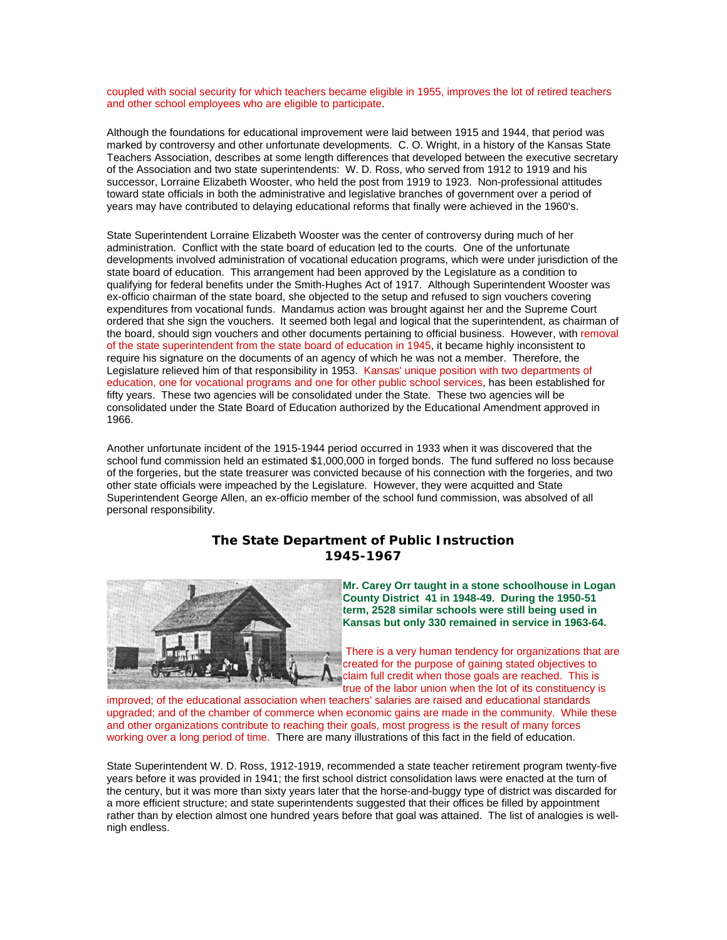coupled with social security for which teachers became eligible in 1955, improves the lot of retired teachers and other school employees who are eligible to participate.

Although the foundations for educational improvement were laid between 1915 and 1944, that period was marked by controversy and other unfortunate developments. C. O. Wright, in a history of the Kansas State Teachers Association, describes at some length differences that developed between the executive secretary of the Association and two state superintendents: W. D. Ross, who served from 1912 to 1919 and his successor, Lorraine Elizabeth Wooster, who held the post from 1919 to 1923. Non-professional attitudes toward state officials in both the administrative and legislative branches of government over a period of years may have contributed to delaying educational reforms that finally were achieved in the 1960's.

State Superintendent Lorraine Elizabeth Wooster was the center of controversy during much of her administration. Conflict with the state board of education led to the courts. One of the unfortunate developments involved administration of vocational education programs, which were under jurisdiction of the state board of education. This arrangement had been approved by the Legislature as a condition to qualifying for federal benefits under the Smith-Hughes Act of 1917. Although Superintendent Wooster was ex-officio chairman of the state board, she objected to the setup and refused to sign vouchers covering expenditures from vocational funds. Mandamus action was brought against her and the Supreme Court ordered that she sign the vouchers. It seemed both legal and logical that the superintendent, as chairman of the board, should sign vouchers and other documents pertaining to official business. However, with removal of the state superintendent from the state board of education in 1945, it became highly inconsistent to require his signature on the documents of an agency of which he was not a member. Therefore, the Legislature relieved him of that responsibility in 1953. Kansas' unique position with two departments of education, one for vocational programs and one for other public school services, has been established for fifty years. These two agencies will be consolidated under the State. These two agencies will be consolidated under the State Board of Education authorized by the Educational Amendment approved in 1966.

Another unfortunate incident of the 1915-1944 period occurred in 1933 when it was discovered that the school fund commission held an estimated \$1,000,000 in forged bonds. The fund suffered no loss because of the forgeries, but the state treasurer was convicted because of his connection with the forgeries, and two other state officials were impeached by the Legislature. However, they were acquitted and State Superintendent George Allen, an ex-officio member of the school fund commission, was absolved of all personal responsibility.

# **The State Department of Public Instruction 1945-1967**



**Mr. Carey Orr taught in a stone schoolhouse in Logan County District 41 in 1948-49. During the 1950-51 term, 2528 similar schools were still being used in Kansas but only 330 remained in service in 1963-64.**

There is a very human tendency for organizations that are created for the purpose of gaining stated objectives to claim full credit when those goals are reached. This is true of the labor union when the lot of its constituency is

improved; of the educational association when teachers' salaries are raised and educational standards upgraded; and of the chamber of commerce when economic gains are made in the community. While these and other organizations contribute to reaching their goals, most progress is the result of many forces working over a long period of time. There are many illustrations of this fact in the field of education.

State Superintendent W. D. Ross, 1912-1919, recommended a state teacher retirement program twenty-five years before it was provided in 1941; the first school district consolidation laws were enacted at the turn of the century, but it was more than sixty years later that the horse-and-buggy type of district was discarded for a more efficient structure; and state superintendents suggested that their offices be filled by appointment rather than by election almost one hundred years before that goal was attained. The list of analogies is wellnigh endless.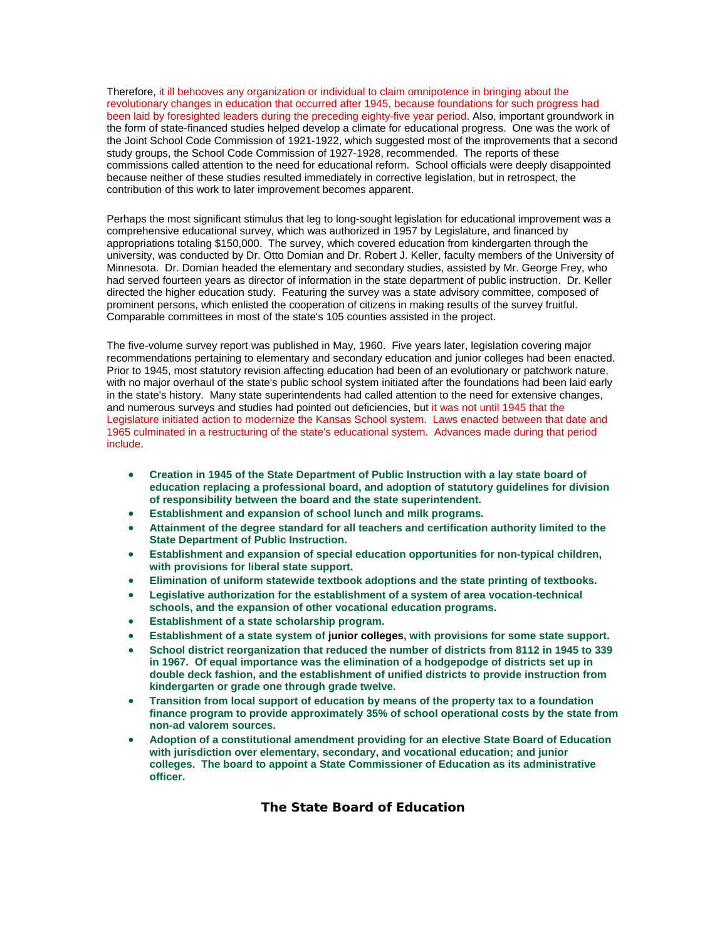Therefore, it ill behooves any organization or individual to claim omnipotence in bringing about the revolutionary changes in education that occurred after 1945, because foundations for such progress had been laid by foresighted leaders during the preceding eighty-five year period. Also, important groundwork in the form of state-financed studies helped develop a climate for educational progress. One was the work of the Joint School Code Commission of 1921-1922, which suggested most of the improvements that a second study groups, the School Code Commission of 1927-1928, recommended. The reports of these commissions called attention to the need for educational reform. School officials were deeply disappointed because neither of these studies resulted immediately in corrective legislation, but in retrospect, the contribution of this work to later improvement becomes apparent.

Perhaps the most significant stimulus that leg to long-sought legislation for educational improvement was a comprehensive educational survey, which was authorized in 1957 by Legislature, and financed by appropriations totaling \$150,000. The survey, which covered education from kindergarten through the university, was conducted by Dr. Otto Domian and Dr. Robert J. Keller, faculty members of the University of Minnesota. Dr. Domian headed the elementary and secondary studies, assisted by Mr. George Frey, who had served fourteen years as director of information in the state department of public instruction. Dr. Keller directed the higher education study. Featuring the survey was a state advisory committee, composed of prominent persons, which enlisted the cooperation of citizens in making results of the survey fruitful. Comparable committees in most of the state's 105 counties assisted in the project.

The five-volume survey report was published in May, 1960. Five years later, legislation covering major recommendations pertaining to elementary and secondary education and junior colleges had been enacted. Prior to 1945, most statutory revision affecting education had been of an evolutionary or patchwork nature, with no major overhaul of the state's public school system initiated after the foundations had been laid early in the state's history. Many state superintendents had called attention to the need for extensive changes, and numerous surveys and studies had pointed out deficiencies, but it was not until 1945 that the Legislature initiated action to modernize the Kansas School system. Laws enacted between that date and 1965 culminated in a restructuring of the state's educational system. Advances made during that period include.

- **Creation in 1945 of the State Department of Public Instruction with a lay state board of education replacing a professional board, and adoption of statutory guidelines for division of responsibility between the board and the state superintendent.**
- **Establishment and expansion of school lunch and milk programs.**
- **Attainment of the degree standard for all teachers and certification authority limited to the State Department of Public Instruction.**
- **Establishment and expansion of special education opportunities for non-typical children, with provisions for liberal state support.**
- **Elimination of uniform statewide textbook adoptions and the state printing of textbooks.**
- **Legislative authorization for the establishment of a system of area vocation-technical schools, and the expansion of other vocational education programs.**
- **Establishment of a state scholarship program.**
- **Establishment of a state system of junior colleges, with provisions for some state support.**
- **School district reorganization that reduced the number of districts from 8112 in 1945 to 339 in 1967. Of equal importance was the elimination of a hodgepodge of districts set up in double deck fashion, and the establishment of unified districts to provide instruction from kindergarten or grade one through grade twelve.**
- **Transition from local support of education by means of the property tax to a foundation finance program to provide approximately 35% of school operational costs by the state from non-ad valorem sources.**
- **Adoption of a constitutional amendment providing for an elective State Board of Education with jurisdiction over elementary, secondary, and vocational education; and junior colleges. The board to appoint a State Commissioner of Education as its administrative officer.**

**The State Board of Education**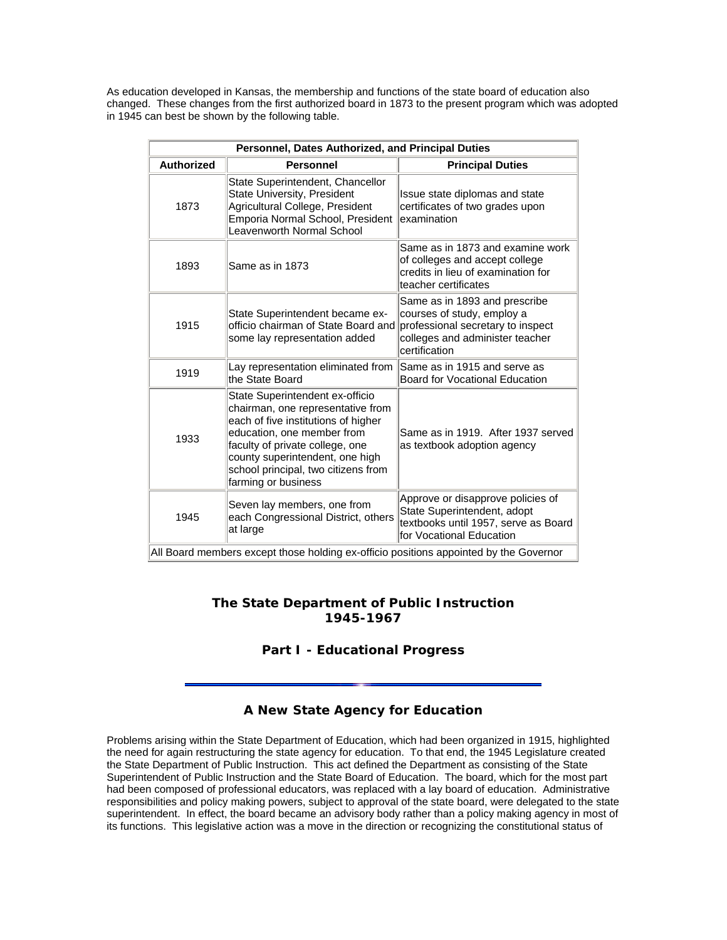As education developed in Kansas, the membership and functions of the state board of education also changed. These changes from the first authorized board in 1873 to the present program which was adopted in 1945 can best be shown by the following table.

| Personnel, Dates Authorized, and Principal Duties |                                                                                                                                                                                                                                                                               |                                                                                                                                                      |  |  |  |
|---------------------------------------------------|-------------------------------------------------------------------------------------------------------------------------------------------------------------------------------------------------------------------------------------------------------------------------------|------------------------------------------------------------------------------------------------------------------------------------------------------|--|--|--|
| <b>Authorized</b>                                 | <b>Personnel</b>                                                                                                                                                                                                                                                              | <b>Principal Duties</b>                                                                                                                              |  |  |  |
| 1873                                              | State Superintendent, Chancellor<br>State University, President<br>Agricultural College, President<br>Emporia Normal School, President<br>Leavenworth Normal School                                                                                                           | Issue state diplomas and state<br>certificates of two grades upon<br>examination                                                                     |  |  |  |
| 1893                                              | Same as in 1873                                                                                                                                                                                                                                                               | Same as in 1873 and examine work<br>of colleges and accept college<br>credits in lieu of examination for<br>teacher certificates                     |  |  |  |
| 1915                                              | State Superintendent became ex-<br>officio chairman of State Board and<br>some lay representation added                                                                                                                                                                       | Same as in 1893 and prescribe<br>courses of study, employ a<br>professional secretary to inspect<br>colleges and administer teacher<br>certification |  |  |  |
| 1919                                              | Lay representation eliminated from<br>the State Board                                                                                                                                                                                                                         | Same as in 1915 and serve as<br>Board for Vocational Education                                                                                       |  |  |  |
| 1933                                              | State Superintendent ex-officio<br>chairman, one representative from<br>each of five institutions of higher<br>education, one member from<br>faculty of private college, one<br>county superintendent, one high<br>school principal, two citizens from<br>farming or business | Same as in 1919. After 1937 served<br>as textbook adoption agency                                                                                    |  |  |  |
| 1945                                              | Seven lay members, one from<br>each Congressional District, others<br>at large<br>All Board members except those holding ex-officio positions appointed by the Governor                                                                                                       | Approve or disapprove policies of<br>State Superintendent, adopt<br>textbooks until 1957, serve as Board<br>for Vocational Education                 |  |  |  |

# **The State Department of Public Instruction 1945-1967**

# **Part I - Educational Progress**

# **A New State Agency for Education**

Problems arising within the State Department of Education, which had been organized in 1915, highlighted the need for again restructuring the state agency for education. To that end, the 1945 Legislature created the State Department of Public Instruction. This act defined the Department as consisting of the State Superintendent of Public Instruction and the State Board of Education. The board, which for the most part had been composed of professional educators, was replaced with a lay board of education. Administrative responsibilities and policy making powers, subject to approval of the state board, were delegated to the state superintendent. In effect, the board became an advisory body rather than a policy making agency in most of its functions. This legislative action was a move in the direction or recognizing the constitutional status of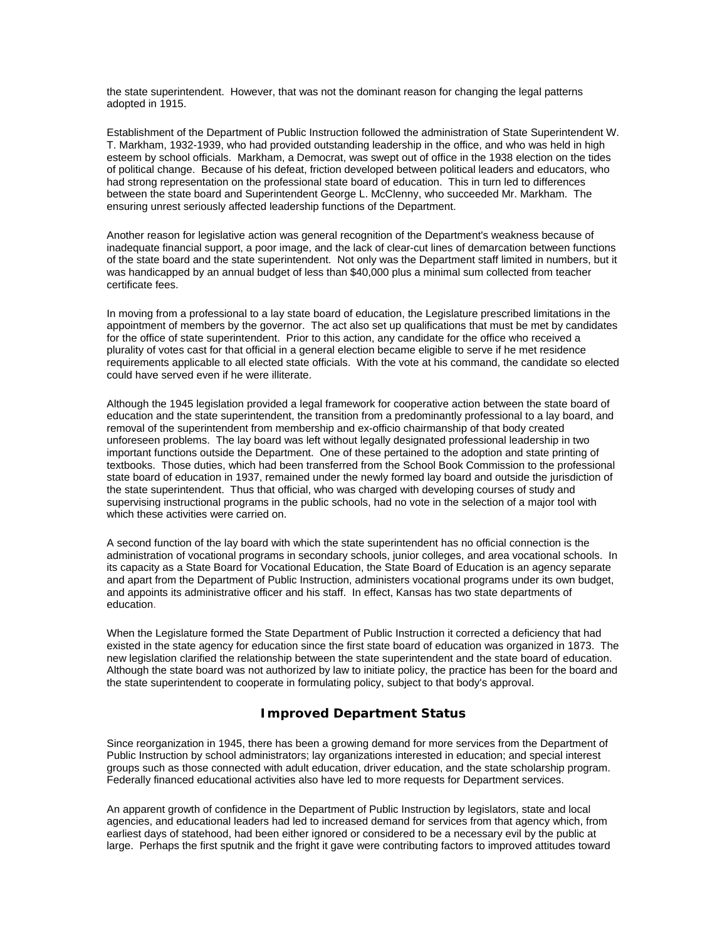the state superintendent. However, that was not the dominant reason for changing the legal patterns adopted in 1915.

Establishment of the Department of Public Instruction followed the administration of State Superintendent W. T. Markham, 1932-1939, who had provided outstanding leadership in the office, and who was held in high esteem by school officials. Markham, a Democrat, was swept out of office in the 1938 election on the tides of political change. Because of his defeat, friction developed between political leaders and educators, who had strong representation on the professional state board of education. This in turn led to differences between the state board and Superintendent George L. McClenny, who succeeded Mr. Markham. The ensuring unrest seriously affected leadership functions of the Department.

Another reason for legislative action was general recognition of the Department's weakness because of inadequate financial support, a poor image, and the lack of clear-cut lines of demarcation between functions of the state board and the state superintendent. Not only was the Department staff limited in numbers, but it was handicapped by an annual budget of less than \$40,000 plus a minimal sum collected from teacher certificate fees.

In moving from a professional to a lay state board of education, the Legislature prescribed limitations in the appointment of members by the governor. The act also set up qualifications that must be met by candidates for the office of state superintendent. Prior to this action, any candidate for the office who received a plurality of votes cast for that official in a general election became eligible to serve if he met residence requirements applicable to all elected state officials. With the vote at his command, the candidate so elected could have served even if he were illiterate.

Although the 1945 legislation provided a legal framework for cooperative action between the state board of education and the state superintendent, the transition from a predominantly professional to a lay board, and removal of the superintendent from membership and ex-officio chairmanship of that body created unforeseen problems. The lay board was left without legally designated professional leadership in two important functions outside the Department. One of these pertained to the adoption and state printing of textbooks. Those duties, which had been transferred from the School Book Commission to the professional state board of education in 1937, remained under the newly formed lay board and outside the jurisdiction of the state superintendent. Thus that official, who was charged with developing courses of study and supervising instructional programs in the public schools, had no vote in the selection of a major tool with which these activities were carried on.

A second function of the lay board with which the state superintendent has no official connection is the administration of vocational programs in secondary schools, junior colleges, and area vocational schools. In its capacity as a State Board for Vocational Education, the State Board of Education is an agency separate and apart from the Department of Public Instruction, administers vocational programs under its own budget, and appoints its administrative officer and his staff. In effect, Kansas has two state departments of education.

When the Legislature formed the State Department of Public Instruction it corrected a deficiency that had existed in the state agency for education since the first state board of education was organized in 1873. The new legislation clarified the relationship between the state superintendent and the state board of education. Although the state board was not authorized by law to initiate policy, the practice has been for the board and the state superintendent to cooperate in formulating policy, subject to that body's approval.

## **Improved Department Status**

Since reorganization in 1945, there has been a growing demand for more services from the Department of Public Instruction by school administrators; lay organizations interested in education; and special interest groups such as those connected with adult education, driver education, and the state scholarship program. Federally financed educational activities also have led to more requests for Department services.

An apparent growth of confidence in the Department of Public Instruction by legislators, state and local agencies, and educational leaders had led to increased demand for services from that agency which, from earliest days of statehood, had been either ignored or considered to be a necessary evil by the public at large. Perhaps the first sputnik and the fright it gave were contributing factors to improved attitudes toward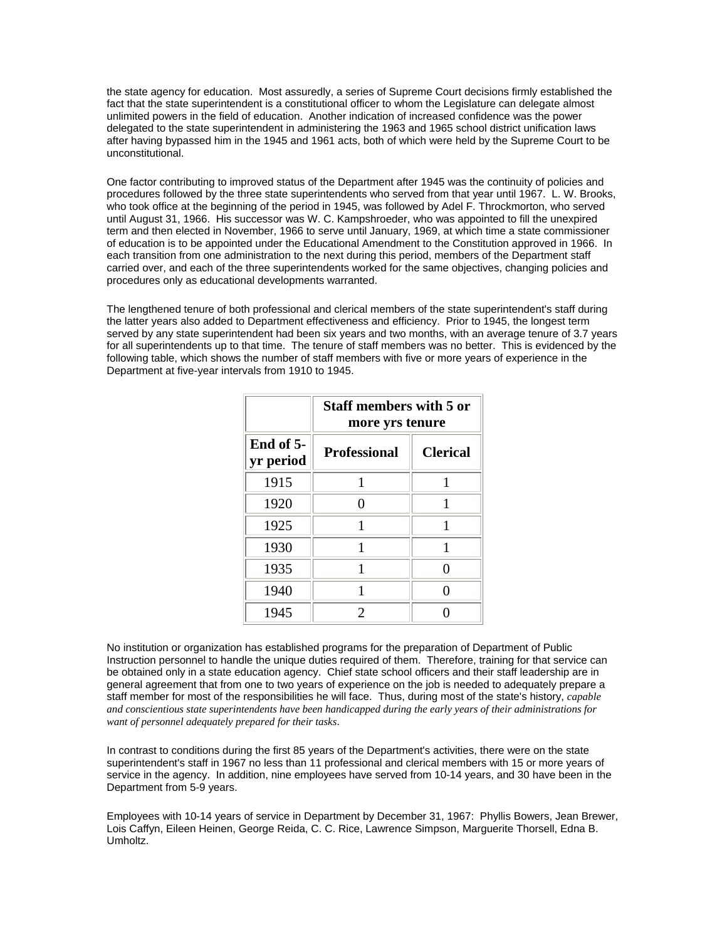the state agency for education. Most assuredly, a series of Supreme Court decisions firmly established the fact that the state superintendent is a constitutional officer to whom the Legislature can delegate almost unlimited powers in the field of education. Another indication of increased confidence was the power delegated to the state superintendent in administering the 1963 and 1965 school district unification laws after having bypassed him in the 1945 and 1961 acts, both of which were held by the Supreme Court to be unconstitutional.

One factor contributing to improved status of the Department after 1945 was the continuity of policies and procedures followed by the three state superintendents who served from that year until 1967. L. W. Brooks, who took office at the beginning of the period in 1945, was followed by Adel F. Throckmorton, who served until August 31, 1966. His successor was W. C. Kampshroeder, who was appointed to fill the unexpired term and then elected in November, 1966 to serve until January, 1969, at which time a state commissioner of education is to be appointed under the Educational Amendment to the Constitution approved in 1966. In each transition from one administration to the next during this period, members of the Department staff carried over, and each of the three superintendents worked for the same objectives, changing policies and procedures only as educational developments warranted.

The lengthened tenure of both professional and clerical members of the state superintendent's staff during the latter years also added to Department effectiveness and efficiency. Prior to 1945, the longest term served by any state superintendent had been six years and two months, with an average tenure of 3.7 years for all superintendents up to that time. The tenure of staff members was no better. This is evidenced by the following table, which shows the number of staff members with five or more years of experience in the Department at five-year intervals from 1910 to 1945.

|                        | <b>Staff members with 5 or</b><br>more yrs tenure |                 |  |  |
|------------------------|---------------------------------------------------|-----------------|--|--|
| End of 5-<br>yr period | <b>Professional</b>                               | <b>Clerical</b> |  |  |
| 1915                   |                                                   |                 |  |  |
| 1920                   |                                                   |                 |  |  |
| 1925                   |                                                   |                 |  |  |
| 1930                   |                                                   |                 |  |  |
| 1935                   |                                                   |                 |  |  |
| 1940                   |                                                   |                 |  |  |
| 1945                   | 2                                                 |                 |  |  |

No institution or organization has established programs for the preparation of Department of Public Instruction personnel to handle the unique duties required of them. Therefore, training for that service can be obtained only in a state education agency. Chief state school officers and their staff leadership are in general agreement that from one to two years of experience on the job is needed to adequately prepare a staff member for most of the responsibilities he will face. Thus, during most of the state's history, *capable and conscientious state superintendents have been handicapped during the early years of their administrations for want of personnel adequately prepared for their tasks*.

In contrast to conditions during the first 85 years of the Department's activities, there were on the state superintendent's staff in 1967 no less than 11 professional and clerical members with 15 or more years of service in the agency. In addition, nine employees have served from 10-14 years, and 30 have been in the Department from 5-9 years.

Employees with 10-14 years of service in Department by December 31, 1967: Phyllis Bowers, Jean Brewer, Lois Caffyn, Eileen Heinen, George Reida, C. C. Rice, Lawrence Simpson, Marguerite Thorsell, Edna B. Umholtz.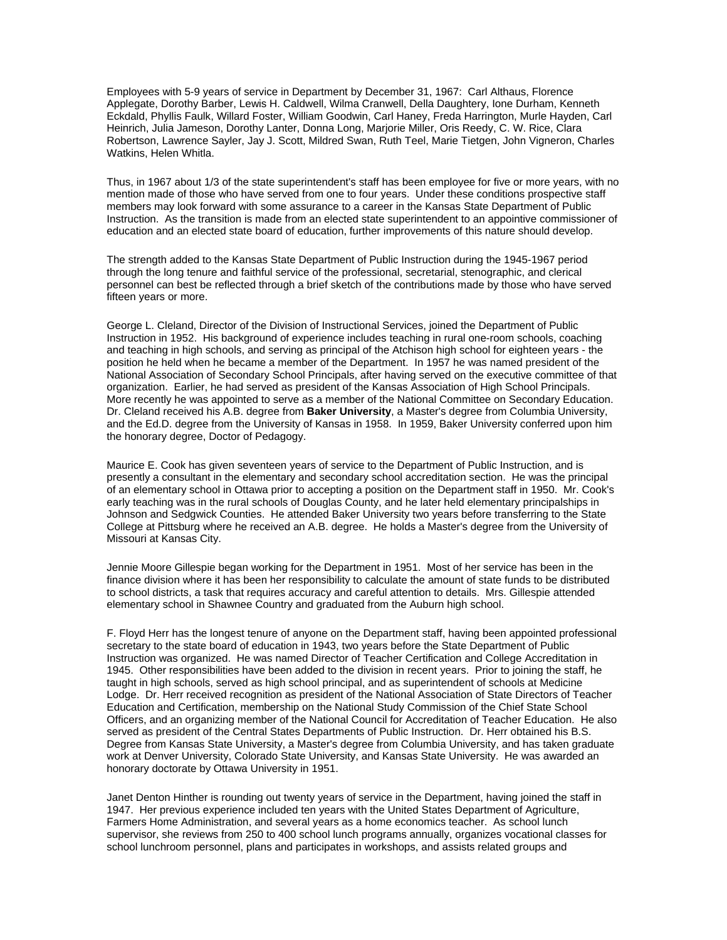Employees with 5-9 years of service in Department by December 31, 1967: Carl Althaus, Florence Applegate, Dorothy Barber, Lewis H. Caldwell, Wilma Cranwell, Della Daughtery, Ione Durham, Kenneth Eckdald, Phyllis Faulk, Willard Foster, William Goodwin, Carl Haney, Freda Harrington, Murle Hayden, Carl Heinrich, Julia Jameson, Dorothy Lanter, Donna Long, Marjorie Miller, Oris Reedy, C. W. Rice, Clara Robertson, Lawrence Sayler, Jay J. Scott, Mildred Swan, Ruth Teel, Marie Tietgen, John Vigneron, Charles Watkins, Helen Whitla.

Thus, in 1967 about 1/3 of the state superintendent's staff has been employee for five or more years, with no mention made of those who have served from one to four years. Under these conditions prospective staff members may look forward with some assurance to a career in the Kansas State Department of Public Instruction. As the transition is made from an elected state superintendent to an appointive commissioner of education and an elected state board of education, further improvements of this nature should develop.

The strength added to the Kansas State Department of Public Instruction during the 1945-1967 period through the long tenure and faithful service of the professional, secretarial, stenographic, and clerical personnel can best be reflected through a brief sketch of the contributions made by those who have served fifteen years or more.

George L. Cleland, Director of the Division of Instructional Services, joined the Department of Public Instruction in 1952. His background of experience includes teaching in rural one-room schools, coaching and teaching in high schools, and serving as principal of the Atchison high school for eighteen years - the position he held when he became a member of the Department. In 1957 he was named president of the National Association of Secondary School Principals, after having served on the executive committee of that organization. Earlier, he had served as president of the Kansas Association of High School Principals. More recently he was appointed to serve as a member of the National Committee on Secondary Education. Dr. Cleland received his A.B. degree from **Baker University**, a Master's degree from Columbia University, and the Ed.D. degree from the University of Kansas in 1958. In 1959, Baker University conferred upon him the honorary degree, Doctor of Pedagogy.

Maurice E. Cook has given seventeen years of service to the Department of Public Instruction, and is presently a consultant in the elementary and secondary school accreditation section. He was the principal of an elementary school in Ottawa prior to accepting a position on the Department staff in 1950. Mr. Cook's early teaching was in the rural schools of Douglas County, and he later held elementary principalships in Johnson and Sedgwick Counties. He attended Baker University two years before transferring to the State College at Pittsburg where he received an A.B. degree. He holds a Master's degree from the University of Missouri at Kansas City.

Jennie Moore Gillespie began working for the Department in 1951. Most of her service has been in the finance division where it has been her responsibility to calculate the amount of state funds to be distributed to school districts, a task that requires accuracy and careful attention to details. Mrs. Gillespie attended elementary school in Shawnee Country and graduated from the Auburn high school.

F. Floyd Herr has the longest tenure of anyone on the Department staff, having been appointed professional secretary to the state board of education in 1943, two years before the State Department of Public Instruction was organized. He was named Director of Teacher Certification and College Accreditation in 1945. Other responsibilities have been added to the division in recent years. Prior to joining the staff, he taught in high schools, served as high school principal, and as superintendent of schools at Medicine Lodge. Dr. Herr received recognition as president of the National Association of State Directors of Teacher Education and Certification, membership on the National Study Commission of the Chief State School Officers, and an organizing member of the National Council for Accreditation of Teacher Education. He also served as president of the Central States Departments of Public Instruction. Dr. Herr obtained his B.S. Degree from Kansas State University, a Master's degree from Columbia University, and has taken graduate work at Denver University, Colorado State University, and Kansas State University. He was awarded an honorary doctorate by Ottawa University in 1951.

Janet Denton Hinther is rounding out twenty years of service in the Department, having joined the staff in 1947. Her previous experience included ten years with the United States Department of Agriculture, Farmers Home Administration, and several years as a home economics teacher. As school lunch supervisor, she reviews from 250 to 400 school lunch programs annually, organizes vocational classes for school lunchroom personnel, plans and participates in workshops, and assists related groups and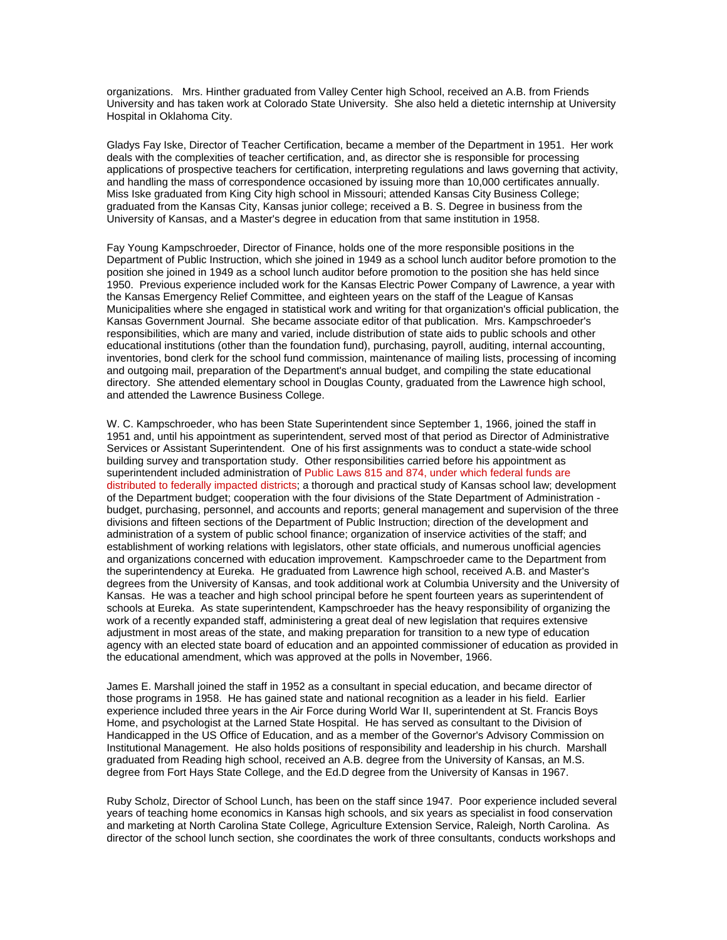organizations. Mrs. Hinther graduated from Valley Center high School, received an A.B. from Friends University and has taken work at Colorado State University. She also held a dietetic internship at University Hospital in Oklahoma City.

Gladys Fay Iske, Director of Teacher Certification, became a member of the Department in 1951. Her work deals with the complexities of teacher certification, and, as director she is responsible for processing applications of prospective teachers for certification, interpreting regulations and laws governing that activity, and handling the mass of correspondence occasioned by issuing more than 10,000 certificates annually. Miss Iske graduated from King City high school in Missouri; attended Kansas City Business College; graduated from the Kansas City, Kansas junior college; received a B. S. Degree in business from the University of Kansas, and a Master's degree in education from that same institution in 1958.

Fay Young Kampschroeder, Director of Finance, holds one of the more responsible positions in the Department of Public Instruction, which she joined in 1949 as a school lunch auditor before promotion to the position she joined in 1949 as a school lunch auditor before promotion to the position she has held since 1950. Previous experience included work for the Kansas Electric Power Company of Lawrence, a year with the Kansas Emergency Relief Committee, and eighteen years on the staff of the League of Kansas Municipalities where she engaged in statistical work and writing for that organization's official publication, the Kansas Government Journal. She became associate editor of that publication. Mrs. Kampschroeder's responsibilities, which are many and varied, include distribution of state aids to public schools and other educational institutions (other than the foundation fund), purchasing, payroll, auditing, internal accounting, inventories, bond clerk for the school fund commission, maintenance of mailing lists, processing of incoming and outgoing mail, preparation of the Department's annual budget, and compiling the state educational directory. She attended elementary school in Douglas County, graduated from the Lawrence high school, and attended the Lawrence Business College.

W. C. Kampschroeder, who has been State Superintendent since September 1, 1966, joined the staff in 1951 and, until his appointment as superintendent, served most of that period as Director of Administrative Services or Assistant Superintendent. One of his first assignments was to conduct a state-wide school building survey and transportation study. Other responsibilities carried before his appointment as superintendent included administration of Public Laws 815 and 874, under which federal funds are distributed to federally impacted districts; a thorough and practical study of Kansas school law; development of the Department budget; cooperation with the four divisions of the State Department of Administration budget, purchasing, personnel, and accounts and reports; general management and supervision of the three divisions and fifteen sections of the Department of Public Instruction; direction of the development and administration of a system of public school finance; organization of inservice activities of the staff; and establishment of working relations with legislators, other state officials, and numerous unofficial agencies and organizations concerned with education improvement. Kampschroeder came to the Department from the superintendency at Eureka. He graduated from Lawrence high school, received A.B. and Master's degrees from the University of Kansas, and took additional work at Columbia University and the University of Kansas. He was a teacher and high school principal before he spent fourteen years as superintendent of schools at Eureka. As state superintendent, Kampschroeder has the heavy responsibility of organizing the work of a recently expanded staff, administering a great deal of new legislation that requires extensive adjustment in most areas of the state, and making preparation for transition to a new type of education agency with an elected state board of education and an appointed commissioner of education as provided in the educational amendment, which was approved at the polls in November, 1966.

James E. Marshall joined the staff in 1952 as a consultant in special education, and became director of those programs in 1958. He has gained state and national recognition as a leader in his field. Earlier experience included three years in the Air Force during World War II, superintendent at St. Francis Boys Home, and psychologist at the Larned State Hospital. He has served as consultant to the Division of Handicapped in the US Office of Education, and as a member of the Governor's Advisory Commission on Institutional Management. He also holds positions of responsibility and leadership in his church. Marshall graduated from Reading high school, received an A.B. degree from the University of Kansas, an M.S. degree from Fort Hays State College, and the Ed.D degree from the University of Kansas in 1967.

Ruby Scholz, Director of School Lunch, has been on the staff since 1947. Poor experience included several years of teaching home economics in Kansas high schools, and six years as specialist in food conservation and marketing at North Carolina State College, Agriculture Extension Service, Raleigh, North Carolina. As director of the school lunch section, she coordinates the work of three consultants, conducts workshops and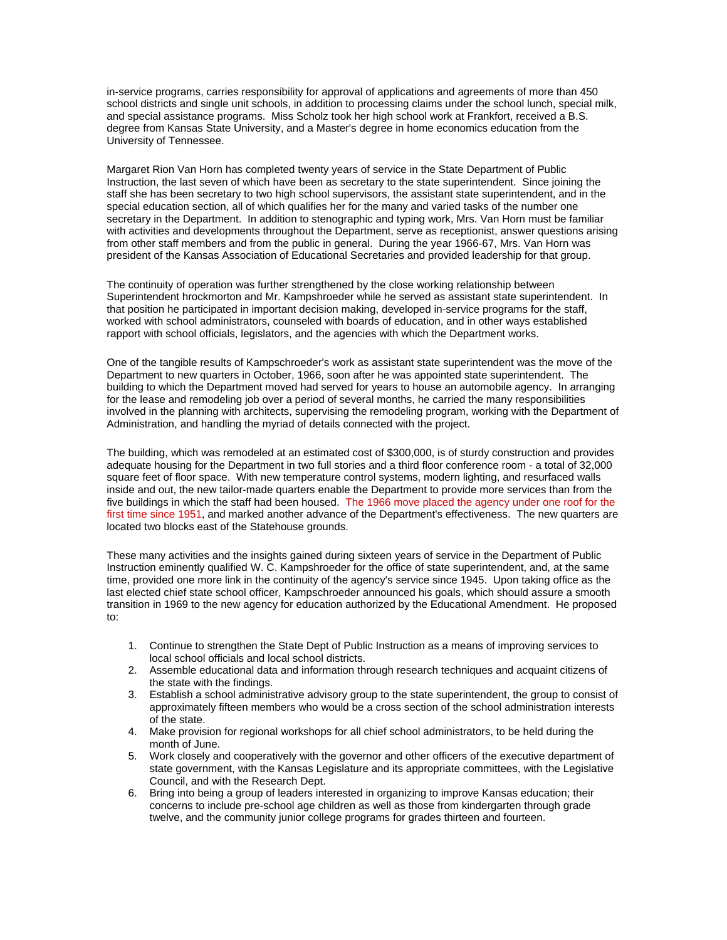in-service programs, carries responsibility for approval of applications and agreements of more than 450 school districts and single unit schools, in addition to processing claims under the school lunch, special milk, and special assistance programs. Miss Scholz took her high school work at Frankfort, received a B.S. degree from Kansas State University, and a Master's degree in home economics education from the University of Tennessee.

Margaret Rion Van Horn has completed twenty years of service in the State Department of Public Instruction, the last seven of which have been as secretary to the state superintendent. Since joining the staff she has been secretary to two high school supervisors, the assistant state superintendent, and in the special education section, all of which qualifies her for the many and varied tasks of the number one secretary in the Department. In addition to stenographic and typing work, Mrs. Van Horn must be familiar with activities and developments throughout the Department, serve as receptionist, answer questions arising from other staff members and from the public in general. During the year 1966-67, Mrs. Van Horn was president of the Kansas Association of Educational Secretaries and provided leadership for that group.

The continuity of operation was further strengthened by the close working relationship between Superintendent hrockmorton and Mr. Kampshroeder while he served as assistant state superintendent. In that position he participated in important decision making, developed in-service programs for the staff, worked with school administrators, counseled with boards of education, and in other ways established rapport with school officials, legislators, and the agencies with which the Department works.

One of the tangible results of Kampschroeder's work as assistant state superintendent was the move of the Department to new quarters in October, 1966, soon after he was appointed state superintendent. The building to which the Department moved had served for years to house an automobile agency. In arranging for the lease and remodeling job over a period of several months, he carried the many responsibilities involved in the planning with architects, supervising the remodeling program, working with the Department of Administration, and handling the myriad of details connected with the project.

The building, which was remodeled at an estimated cost of \$300,000, is of sturdy construction and provides adequate housing for the Department in two full stories and a third floor conference room - a total of 32,000 square feet of floor space. With new temperature control systems, modern lighting, and resurfaced walls inside and out, the new tailor-made quarters enable the Department to provide more services than from the five buildings in which the staff had been housed. The 1966 move placed the agency under one roof for the first time since 1951, and marked another advance of the Department's effectiveness. The new quarters are located two blocks east of the Statehouse grounds.

These many activities and the insights gained during sixteen years of service in the Department of Public Instruction eminently qualified W. C. Kampshroeder for the office of state superintendent, and, at the same time, provided one more link in the continuity of the agency's service since 1945. Upon taking office as the last elected chief state school officer, Kampschroeder announced his goals, which should assure a smooth transition in 1969 to the new agency for education authorized by the Educational Amendment. He proposed to:

- 1. Continue to strengthen the State Dept of Public Instruction as a means of improving services to local school officials and local school districts.
- 2. Assemble educational data and information through research techniques and acquaint citizens of the state with the findings.
- 3. Establish a school administrative advisory group to the state superintendent, the group to consist of approximately fifteen members who would be a cross section of the school administration interests of the state.
- 4. Make provision for regional workshops for all chief school administrators, to be held during the month of June.
- 5. Work closely and cooperatively with the governor and other officers of the executive department of state government, with the Kansas Legislature and its appropriate committees, with the Legislative Council, and with the Research Dept.
- 6. Bring into being a group of leaders interested in organizing to improve Kansas education; their concerns to include pre-school age children as well as those from kindergarten through grade twelve, and the community junior college programs for grades thirteen and fourteen.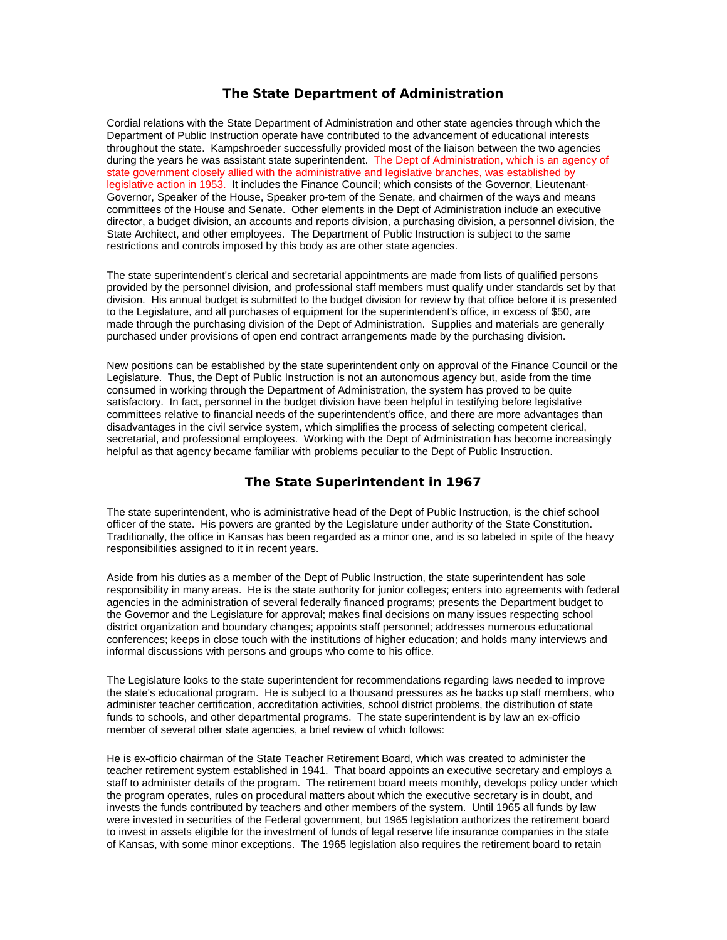## **The State Department of Administration**

Cordial relations with the State Department of Administration and other state agencies through which the Department of Public Instruction operate have contributed to the advancement of educational interests throughout the state. Kampshroeder successfully provided most of the liaison between the two agencies during the years he was assistant state superintendent. The Dept of Administration, which is an agency of state government closely allied with the administrative and legislative branches, was established by legislative action in 1953. It includes the Finance Council; which consists of the Governor, Lieutenant-Governor, Speaker of the House, Speaker pro-tem of the Senate, and chairmen of the ways and means committees of the House and Senate. Other elements in the Dept of Administration include an executive director, a budget division, an accounts and reports division, a purchasing division, a personnel division, the State Architect, and other employees. The Department of Public Instruction is subject to the same restrictions and controls imposed by this body as are other state agencies.

The state superintendent's clerical and secretarial appointments are made from lists of qualified persons provided by the personnel division, and professional staff members must qualify under standards set by that division. His annual budget is submitted to the budget division for review by that office before it is presented to the Legislature, and all purchases of equipment for the superintendent's office, in excess of \$50, are made through the purchasing division of the Dept of Administration. Supplies and materials are generally purchased under provisions of open end contract arrangements made by the purchasing division.

New positions can be established by the state superintendent only on approval of the Finance Council or the Legislature. Thus, the Dept of Public Instruction is not an autonomous agency but, aside from the time consumed in working through the Department of Administration, the system has proved to be quite satisfactory. In fact, personnel in the budget division have been helpful in testifying before legislative committees relative to financial needs of the superintendent's office, and there are more advantages than disadvantages in the civil service system, which simplifies the process of selecting competent clerical, secretarial, and professional employees. Working with the Dept of Administration has become increasingly helpful as that agency became familiar with problems peculiar to the Dept of Public Instruction.

## **The State Superintendent in 1967**

The state superintendent, who is administrative head of the Dept of Public Instruction, is the chief school officer of the state. His powers are granted by the Legislature under authority of the State Constitution. Traditionally, the office in Kansas has been regarded as a minor one, and is so labeled in spite of the heavy responsibilities assigned to it in recent years.

Aside from his duties as a member of the Dept of Public Instruction, the state superintendent has sole responsibility in many areas. He is the state authority for junior colleges; enters into agreements with federal agencies in the administration of several federally financed programs; presents the Department budget to the Governor and the Legislature for approval; makes final decisions on many issues respecting school district organization and boundary changes; appoints staff personnel; addresses numerous educational conferences; keeps in close touch with the institutions of higher education; and holds many interviews and informal discussions with persons and groups who come to his office.

The Legislature looks to the state superintendent for recommendations regarding laws needed to improve the state's educational program. He is subject to a thousand pressures as he backs up staff members, who administer teacher certification, accreditation activities, school district problems, the distribution of state funds to schools, and other departmental programs. The state superintendent is by law an ex-officio member of several other state agencies, a brief review of which follows:

He is ex-officio chairman of the State Teacher Retirement Board, which was created to administer the teacher retirement system established in 1941. That board appoints an executive secretary and employs a staff to administer details of the program. The retirement board meets monthly, develops policy under which the program operates, rules on procedural matters about which the executive secretary is in doubt, and invests the funds contributed by teachers and other members of the system. Until 1965 all funds by law were invested in securities of the Federal government, but 1965 legislation authorizes the retirement board to invest in assets eligible for the investment of funds of legal reserve life insurance companies in the state of Kansas, with some minor exceptions. The 1965 legislation also requires the retirement board to retain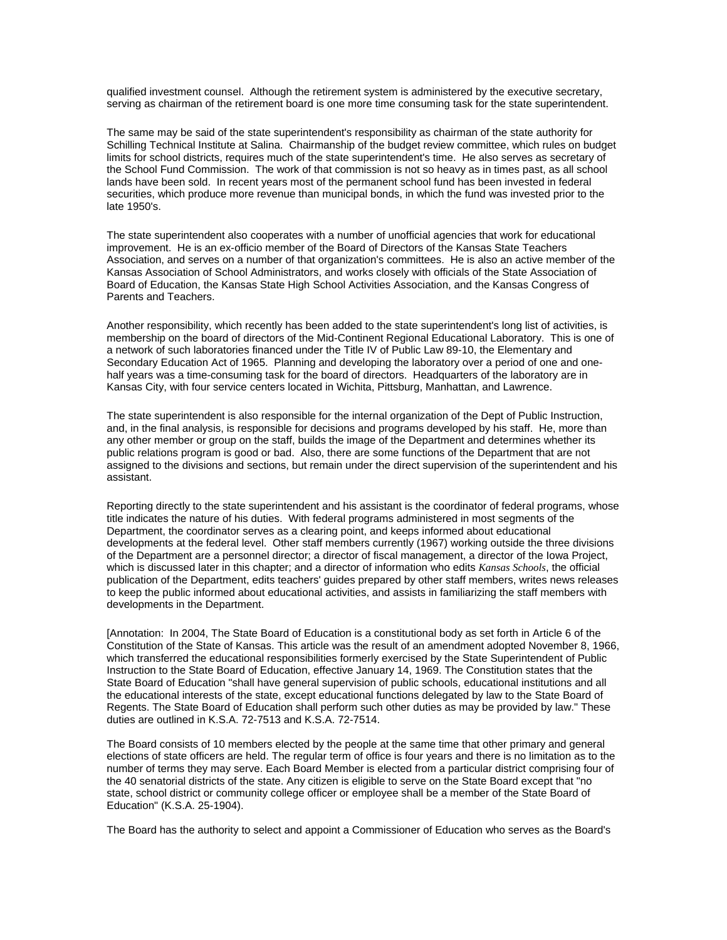qualified investment counsel. Although the retirement system is administered by the executive secretary, serving as chairman of the retirement board is one more time consuming task for the state superintendent.

The same may be said of the state superintendent's responsibility as chairman of the state authority for Schilling Technical Institute at Salina. Chairmanship of the budget review committee, which rules on budget limits for school districts, requires much of the state superintendent's time. He also serves as secretary of the School Fund Commission. The work of that commission is not so heavy as in times past, as all school lands have been sold. In recent years most of the permanent school fund has been invested in federal securities, which produce more revenue than municipal bonds, in which the fund was invested prior to the late 1950's.

The state superintendent also cooperates with a number of unofficial agencies that work for educational improvement. He is an ex-officio member of the Board of Directors of the Kansas State Teachers Association, and serves on a number of that organization's committees. He is also an active member of the Kansas Association of School Administrators, and works closely with officials of the State Association of Board of Education, the Kansas State High School Activities Association, and the Kansas Congress of Parents and Teachers.

Another responsibility, which recently has been added to the state superintendent's long list of activities, is membership on the board of directors of the Mid-Continent Regional Educational Laboratory. This is one of a network of such laboratories financed under the Title IV of Public Law 89-10, the Elementary and Secondary Education Act of 1965. Planning and developing the laboratory over a period of one and onehalf years was a time-consuming task for the board of directors. Headquarters of the laboratory are in Kansas City, with four service centers located in Wichita, Pittsburg, Manhattan, and Lawrence.

The state superintendent is also responsible for the internal organization of the Dept of Public Instruction, and, in the final analysis, is responsible for decisions and programs developed by his staff. He, more than any other member or group on the staff, builds the image of the Department and determines whether its public relations program is good or bad. Also, there are some functions of the Department that are not assigned to the divisions and sections, but remain under the direct supervision of the superintendent and his assistant.

Reporting directly to the state superintendent and his assistant is the coordinator of federal programs, whose title indicates the nature of his duties. With federal programs administered in most segments of the Department, the coordinator serves as a clearing point, and keeps informed about educational developments at the federal level. Other staff members currently (1967) working outside the three divisions of the Department are a personnel director; a director of fiscal management, a director of the Iowa Project, which is discussed later in this chapter; and a director of information who edits *Kansas Schools*, the official publication of the Department, edits teachers' guides prepared by other staff members, writes news releases to keep the public informed about educational activities, and assists in familiarizing the staff members with developments in the Department.

[Annotation: In 2004, The State Board of Education is a constitutional body as set forth in Article 6 of the Constitution of the State of Kansas. This article was the result of an amendment adopted November 8, 1966, which transferred the educational responsibilities formerly exercised by the State Superintendent of Public Instruction to the State Board of Education, effective January 14, 1969. The Constitution states that the State Board of Education "shall have general supervision of public schools, educational institutions and all the educational interests of the state, except educational functions delegated by law to the State Board of Regents. The State Board of Education shall perform such other duties as may be provided by law." These duties are outlined in K.S.A. 72-7513 and K.S.A. 72-7514.

The Board consists of 10 members elected by the people at the same time that other primary and general elections of state officers are held. The regular term of office is four years and there is no limitation as to the number of terms they may serve. Each Board Member is elected from a particular district comprising four of the 40 senatorial districts of the state. Any citizen is eligible to serve on the State Board except that "no state, school district or community college officer or employee shall be a member of the State Board of Education" (K.S.A. 25-1904).

The Board has the authority to select and appoint a Commissioner of Education who serves as the Board's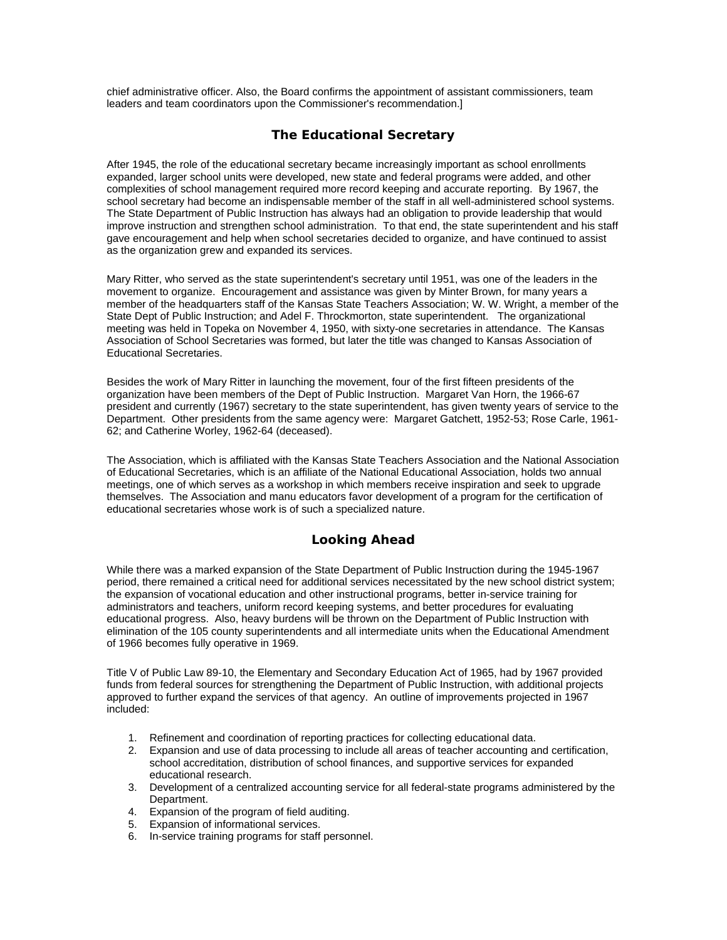chief administrative officer. Also, the Board confirms the appointment of assistant commissioners, team leaders and team coordinators upon the Commissioner's recommendation.]

# **The Educational Secretary**

After 1945, the role of the educational secretary became increasingly important as school enrollments expanded, larger school units were developed, new state and federal programs were added, and other complexities of school management required more record keeping and accurate reporting. By 1967, the school secretary had become an indispensable member of the staff in all well-administered school systems. The State Department of Public Instruction has always had an obligation to provide leadership that would improve instruction and strengthen school administration. To that end, the state superintendent and his staff gave encouragement and help when school secretaries decided to organize, and have continued to assist as the organization grew and expanded its services.

Mary Ritter, who served as the state superintendent's secretary until 1951, was one of the leaders in the movement to organize. Encouragement and assistance was given by Minter Brown, for many years a member of the headquarters staff of the Kansas State Teachers Association; W. W. Wright, a member of the State Dept of Public Instruction; and Adel F. Throckmorton, state superintendent. The organizational meeting was held in Topeka on November 4, 1950, with sixty-one secretaries in attendance. The Kansas Association of School Secretaries was formed, but later the title was changed to Kansas Association of Educational Secretaries.

Besides the work of Mary Ritter in launching the movement, four of the first fifteen presidents of the organization have been members of the Dept of Public Instruction. Margaret Van Horn, the 1966-67 president and currently (1967) secretary to the state superintendent, has given twenty years of service to the Department. Other presidents from the same agency were: Margaret Gatchett, 1952-53; Rose Carle, 1961- 62; and Catherine Worley, 1962-64 (deceased).

The Association, which is affiliated with the Kansas State Teachers Association and the National Association of Educational Secretaries, which is an affiliate of the National Educational Association, holds two annual meetings, one of which serves as a workshop in which members receive inspiration and seek to upgrade themselves. The Association and manu educators favor development of a program for the certification of educational secretaries whose work is of such a specialized nature.

# **Looking Ahead**

While there was a marked expansion of the State Department of Public Instruction during the 1945-1967 period, there remained a critical need for additional services necessitated by the new school district system; the expansion of vocational education and other instructional programs, better in-service training for administrators and teachers, uniform record keeping systems, and better procedures for evaluating educational progress. Also, heavy burdens will be thrown on the Department of Public Instruction with elimination of the 105 county superintendents and all intermediate units when the Educational Amendment of 1966 becomes fully operative in 1969.

Title V of Public Law 89-10, the Elementary and Secondary Education Act of 1965, had by 1967 provided funds from federal sources for strengthening the Department of Public Instruction, with additional projects approved to further expand the services of that agency. An outline of improvements projected in 1967 included:

- 1. Refinement and coordination of reporting practices for collecting educational data.
- 2. Expansion and use of data processing to include all areas of teacher accounting and certification, school accreditation, distribution of school finances, and supportive services for expanded educational research.
- 3. Development of a centralized accounting service for all federal-state programs administered by the Department.
- 4. Expansion of the program of field auditing.
- 5. Expansion of informational services.
- 6. In-service training programs for staff personnel.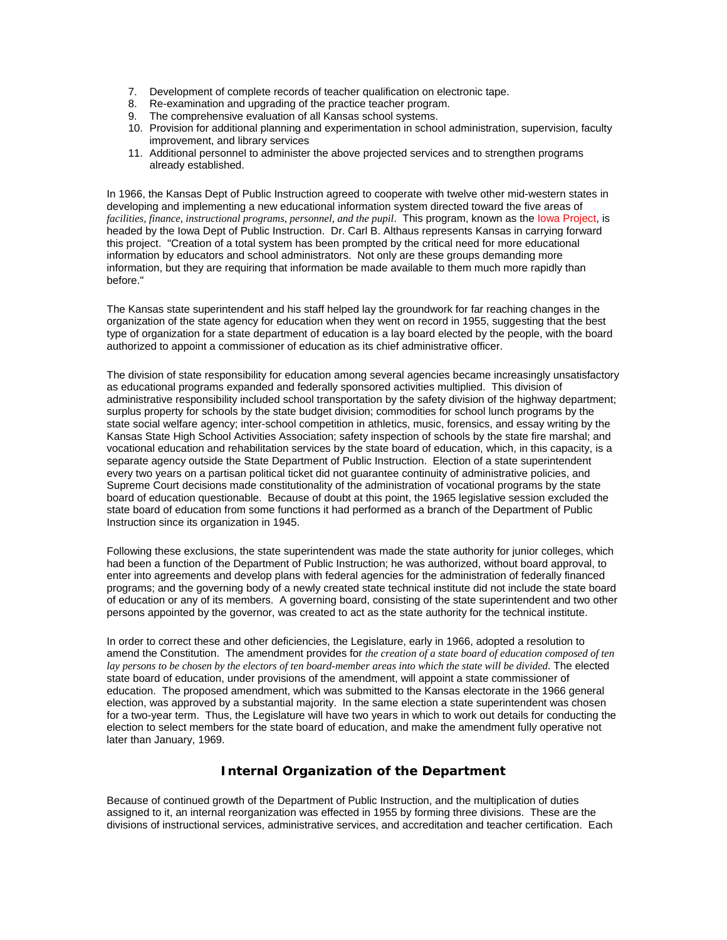- 7. Development of complete records of teacher qualification on electronic tape.
- 8. Re-examination and upgrading of the practice teacher program.
- 9. The comprehensive evaluation of all Kansas school systems.
- 10. Provision for additional planning and experimentation in school administration, supervision, faculty improvement, and library services
- 11. Additional personnel to administer the above projected services and to strengthen programs already established.

In 1966, the Kansas Dept of Public Instruction agreed to cooperate with twelve other mid-western states in developing and implementing a new educational information system directed toward the five areas of *facilities, finance, instructional programs, personnel, and the pupil*. This program, known as the Iowa Project, is headed by the Iowa Dept of Public Instruction. Dr. Carl B. Althaus represents Kansas in carrying forward this project. "Creation of a total system has been prompted by the critical need for more educational information by educators and school administrators. Not only are these groups demanding more information, but they are requiring that information be made available to them much more rapidly than before."

The Kansas state superintendent and his staff helped lay the groundwork for far reaching changes in the organization of the state agency for education when they went on record in 1955, suggesting that the best type of organization for a state department of education is a lay board elected by the people, with the board authorized to appoint a commissioner of education as its chief administrative officer.

The division of state responsibility for education among several agencies became increasingly unsatisfactory as educational programs expanded and federally sponsored activities multiplied. This division of administrative responsibility included school transportation by the safety division of the highway department; surplus property for schools by the state budget division; commodities for school lunch programs by the state social welfare agency; inter-school competition in athletics, music, forensics, and essay writing by the Kansas State High School Activities Association; safety inspection of schools by the state fire marshal; and vocational education and rehabilitation services by the state board of education, which, in this capacity, is a separate agency outside the State Department of Public Instruction. Election of a state superintendent every two years on a partisan political ticket did not guarantee continuity of administrative policies, and Supreme Court decisions made constitutionality of the administration of vocational programs by the state board of education questionable. Because of doubt at this point, the 1965 legislative session excluded the state board of education from some functions it had performed as a branch of the Department of Public Instruction since its organization in 1945.

Following these exclusions, the state superintendent was made the state authority for junior colleges, which had been a function of the Department of Public Instruction; he was authorized, without board approval, to enter into agreements and develop plans with federal agencies for the administration of federally financed programs; and the governing body of a newly created state technical institute did not include the state board of education or any of its members. A governing board, consisting of the state superintendent and two other persons appointed by the governor, was created to act as the state authority for the technical institute.

In order to correct these and other deficiencies, the Legislature, early in 1966, adopted a resolution to amend the Constitution. The amendment provides for *the creation of a state board of education composed of ten lay persons to be chosen by the electors of ten board-member areas into which the state will be divided*. The elected state board of education, under provisions of the amendment, will appoint a state commissioner of education. The proposed amendment, which was submitted to the Kansas electorate in the 1966 general election, was approved by a substantial majority. In the same election a state superintendent was chosen for a two-year term. Thus, the Legislature will have two years in which to work out details for conducting the election to select members for the state board of education, and make the amendment fully operative not later than January, 1969.

# **Internal Organization of the Department**

Because of continued growth of the Department of Public Instruction, and the multiplication of duties assigned to it, an internal reorganization was effected in 1955 by forming three divisions. These are the divisions of instructional services, administrative services, and accreditation and teacher certification. Each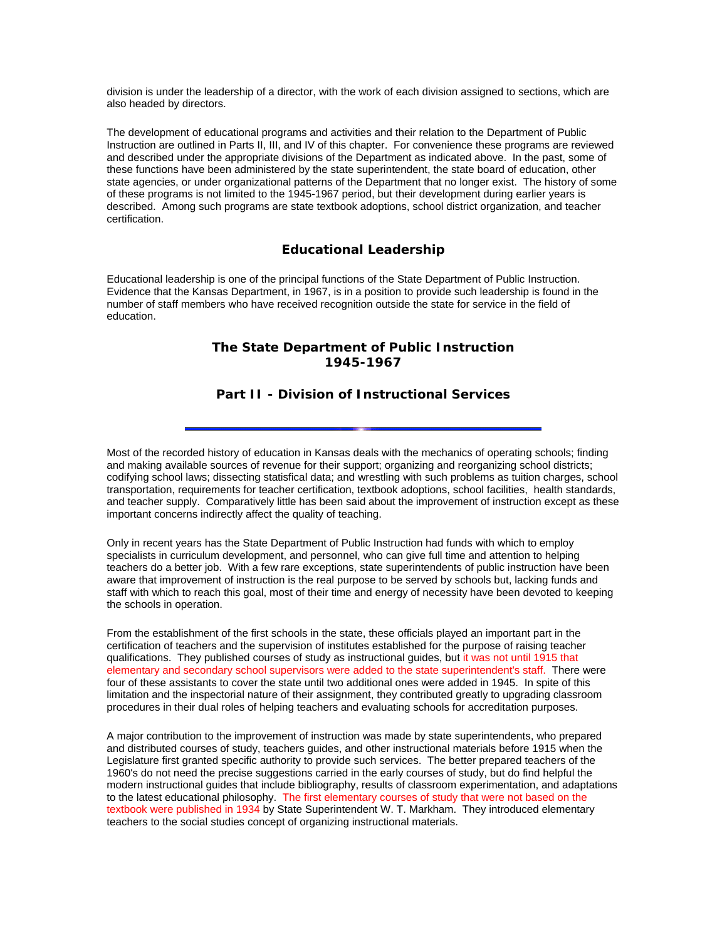division is under the leadership of a director, with the work of each division assigned to sections, which are also headed by directors.

The development of educational programs and activities and their relation to the Department of Public Instruction are outlined in Parts II, III, and IV of this chapter. For convenience these programs are reviewed and described under the appropriate divisions of the Department as indicated above. In the past, some of these functions have been administered by the state superintendent, the state board of education, other state agencies, or under organizational patterns of the Department that no longer exist. The history of some of these programs is not limited to the 1945-1967 period, but their development during earlier years is described. Among such programs are state textbook adoptions, school district organization, and teacher certification.

## **Educational Leadership**

Educational leadership is one of the principal functions of the State Department of Public Instruction. Evidence that the Kansas Department, in 1967, is in a position to provide such leadership is found in the number of staff members who have received recognition outside the state for service in the field of education.

# **The State Department of Public Instruction 1945-1967**

# **Part II - Division of Instructional Services**

Most of the recorded history of education in Kansas deals with the mechanics of operating schools; finding and making available sources of revenue for their support; organizing and reorganizing school districts; codifying school laws; dissecting statisfical data; and wrestling with such problems as tuition charges, school transportation, requirements for teacher certification, textbook adoptions, school facilities, health standards, and teacher supply. Comparatively little has been said about the improvement of instruction except as these important concerns indirectly affect the quality of teaching.

Only in recent years has the State Department of Public Instruction had funds with which to employ specialists in curriculum development, and personnel, who can give full time and attention to helping teachers do a better job. With a few rare exceptions, state superintendents of public instruction have been aware that improvement of instruction is the real purpose to be served by schools but, lacking funds and staff with which to reach this goal, most of their time and energy of necessity have been devoted to keeping the schools in operation.

From the establishment of the first schools in the state, these officials played an important part in the certification of teachers and the supervision of institutes established for the purpose of raising teacher qualifications. They published courses of study as instructional guides, but it was not until 1915 that elementary and secondary school supervisors were added to the state superintendent's staff. There were four of these assistants to cover the state until two additional ones were added in 1945. In spite of this limitation and the inspectorial nature of their assignment, they contributed greatly to upgrading classroom procedures in their dual roles of helping teachers and evaluating schools for accreditation purposes.

A major contribution to the improvement of instruction was made by state superintendents, who prepared and distributed courses of study, teachers guides, and other instructional materials before 1915 when the Legislature first granted specific authority to provide such services. The better prepared teachers of the 1960's do not need the precise suggestions carried in the early courses of study, but do find helpful the modern instructional guides that include bibliography, results of classroom experimentation, and adaptations to the latest educational philosophy. The first elementary courses of study that were not based on the textbook were published in 1934 by State Superintendent W. T. Markham. They introduced elementary teachers to the social studies concept of organizing instructional materials.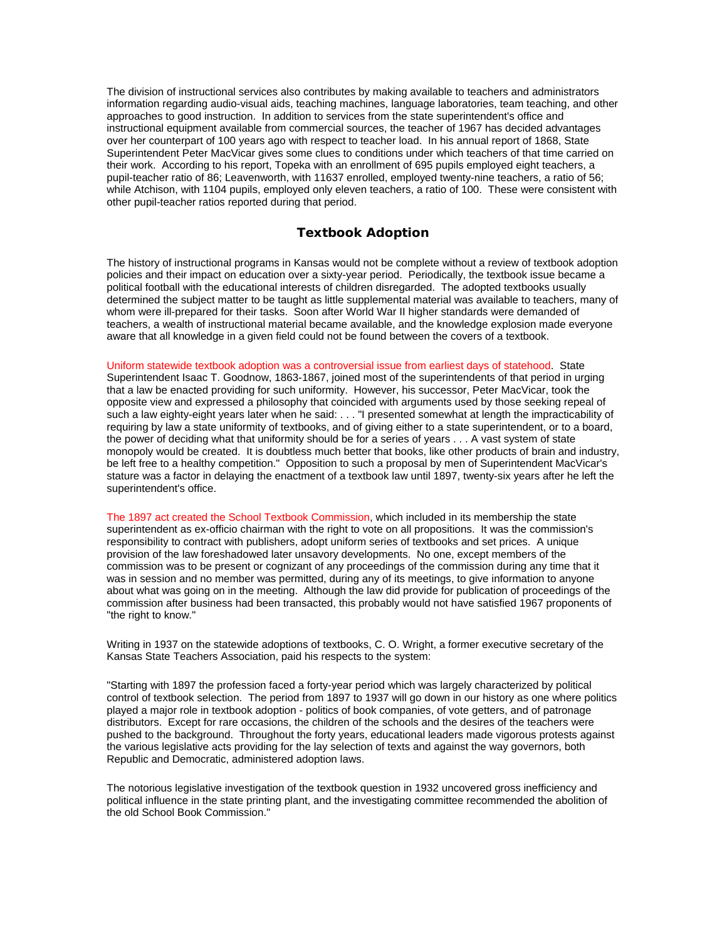The division of instructional services also contributes by making available to teachers and administrators information regarding audio-visual aids, teaching machines, language laboratories, team teaching, and other approaches to good instruction. In addition to services from the state superintendent's office and instructional equipment available from commercial sources, the teacher of 1967 has decided advantages over her counterpart of 100 years ago with respect to teacher load. In his annual report of 1868, State Superintendent Peter MacVicar gives some clues to conditions under which teachers of that time carried on their work. According to his report, Topeka with an enrollment of 695 pupils employed eight teachers, a pupil-teacher ratio of 86; Leavenworth, with 11637 enrolled, employed twenty-nine teachers, a ratio of 56; while Atchison, with 1104 pupils, employed only eleven teachers, a ratio of 100. These were consistent with other pupil-teacher ratios reported during that period.

## **Textbook Adoption**

The history of instructional programs in Kansas would not be complete without a review of textbook adoption policies and their impact on education over a sixty-year period. Periodically, the textbook issue became a political football with the educational interests of children disregarded. The adopted textbooks usually determined the subject matter to be taught as little supplemental material was available to teachers, many of whom were ill-prepared for their tasks. Soon after World War II higher standards were demanded of teachers, a wealth of instructional material became available, and the knowledge explosion made everyone aware that all knowledge in a given field could not be found between the covers of a textbook.

Uniform statewide textbook adoption was a controversial issue from earliest days of statehood. State Superintendent Isaac T. Goodnow, 1863-1867, joined most of the superintendents of that period in urging that a law be enacted providing for such uniformity. However, his successor, Peter MacVicar, took the opposite view and expressed a philosophy that coincided with arguments used by those seeking repeal of such a law eighty-eight years later when he said: . . . "I presented somewhat at length the impracticability of requiring by law a state uniformity of textbooks, and of giving either to a state superintendent, or to a board, the power of deciding what that uniformity should be for a series of years . . . A vast system of state monopoly would be created. It is doubtless much better that books, like other products of brain and industry, be left free to a healthy competition." Opposition to such a proposal by men of Superintendent MacVicar's stature was a factor in delaying the enactment of a textbook law until 1897, twenty-six years after he left the superintendent's office.

The 1897 act created the School Textbook Commission, which included in its membership the state superintendent as ex-officio chairman with the right to vote on all propositions. It was the commission's responsibility to contract with publishers, adopt uniform series of textbooks and set prices. A unique provision of the law foreshadowed later unsavory developments. No one, except members of the commission was to be present or cognizant of any proceedings of the commission during any time that it was in session and no member was permitted, during any of its meetings, to give information to anyone about what was going on in the meeting. Although the law did provide for publication of proceedings of the commission after business had been transacted, this probably would not have satisfied 1967 proponents of "the right to know."

Writing in 1937 on the statewide adoptions of textbooks, C. O. Wright, a former executive secretary of the Kansas State Teachers Association, paid his respects to the system:

"Starting with 1897 the profession faced a forty-year period which was largely characterized by political control of textbook selection. The period from 1897 to 1937 will go down in our history as one where politics played a major role in textbook adoption - politics of book companies, of vote getters, and of patronage distributors. Except for rare occasions, the children of the schools and the desires of the teachers were pushed to the background. Throughout the forty years, educational leaders made vigorous protests against the various legislative acts providing for the lay selection of texts and against the way governors, both Republic and Democratic, administered adoption laws.

The notorious legislative investigation of the textbook question in 1932 uncovered gross inefficiency and political influence in the state printing plant, and the investigating committee recommended the abolition of the old School Book Commission."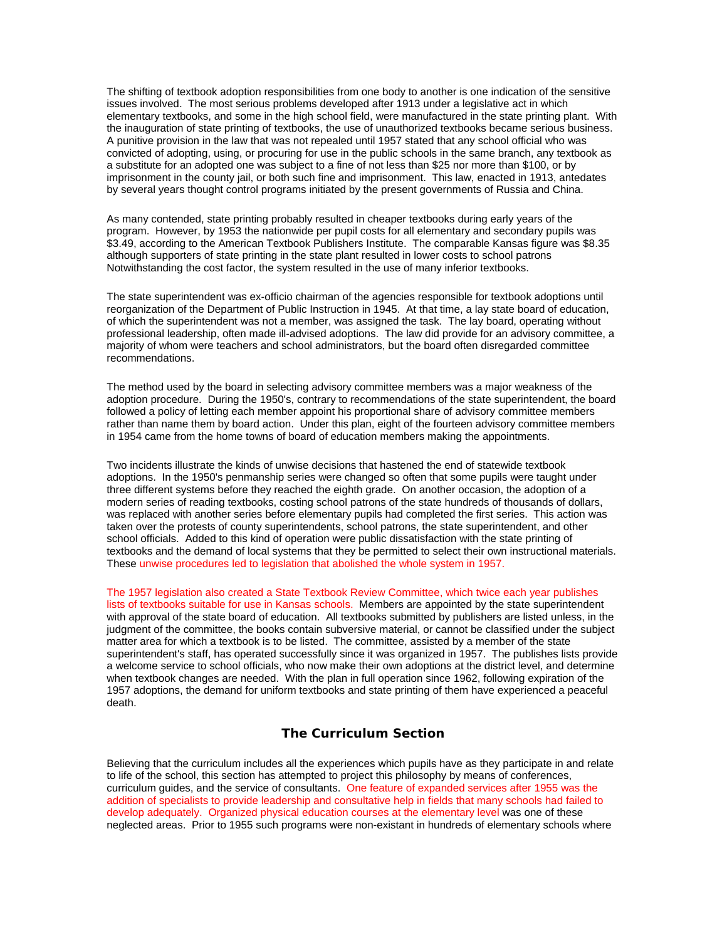The shifting of textbook adoption responsibilities from one body to another is one indication of the sensitive issues involved. The most serious problems developed after 1913 under a legislative act in which elementary textbooks, and some in the high school field, were manufactured in the state printing plant. With the inauguration of state printing of textbooks, the use of unauthorized textbooks became serious business. A punitive provision in the law that was not repealed until 1957 stated that any school official who was convicted of adopting, using, or procuring for use in the public schools in the same branch, any textbook as a substitute for an adopted one was subject to a fine of not less than \$25 nor more than \$100, or by imprisonment in the county jail, or both such fine and imprisonment. This law, enacted in 1913, antedates by several years thought control programs initiated by the present governments of Russia and China.

As many contended, state printing probably resulted in cheaper textbooks during early years of the program. However, by 1953 the nationwide per pupil costs for all elementary and secondary pupils was \$3.49, according to the American Textbook Publishers Institute. The comparable Kansas figure was \$8.35 although supporters of state printing in the state plant resulted in lower costs to school patrons Notwithstanding the cost factor, the system resulted in the use of many inferior textbooks.

The state superintendent was ex-officio chairman of the agencies responsible for textbook adoptions until reorganization of the Department of Public Instruction in 1945. At that time, a lay state board of education, of which the superintendent was not a member, was assigned the task. The lay board, operating without professional leadership, often made ill-advised adoptions. The law did provide for an advisory committee, a majority of whom were teachers and school administrators, but the board often disregarded committee recommendations.

The method used by the board in selecting advisory committee members was a major weakness of the adoption procedure. During the 1950's, contrary to recommendations of the state superintendent, the board followed a policy of letting each member appoint his proportional share of advisory committee members rather than name them by board action. Under this plan, eight of the fourteen advisory committee members in 1954 came from the home towns of board of education members making the appointments.

Two incidents illustrate the kinds of unwise decisions that hastened the end of statewide textbook adoptions. In the 1950's penmanship series were changed so often that some pupils were taught under three different systems before they reached the eighth grade. On another occasion, the adoption of a modern series of reading textbooks, costing school patrons of the state hundreds of thousands of dollars, was replaced with another series before elementary pupils had completed the first series. This action was taken over the protests of county superintendents, school patrons, the state superintendent, and other school officials. Added to this kind of operation were public dissatisfaction with the state printing of textbooks and the demand of local systems that they be permitted to select their own instructional materials. These unwise procedures led to legislation that abolished the whole system in 1957.

The 1957 legislation also created a State Textbook Review Committee, which twice each year publishes lists of textbooks suitable for use in Kansas schools. Members are appointed by the state superintendent with approval of the state board of education. All textbooks submitted by publishers are listed unless, in the judgment of the committee, the books contain subversive material, or cannot be classified under the subject matter area for which a textbook is to be listed. The committee, assisted by a member of the state superintendent's staff, has operated successfully since it was organized in 1957. The publishes lists provide a welcome service to school officials, who now make their own adoptions at the district level, and determine when textbook changes are needed. With the plan in full operation since 1962, following expiration of the 1957 adoptions, the demand for uniform textbooks and state printing of them have experienced a peaceful death.

## **The Curriculum Section**

Believing that the curriculum includes all the experiences which pupils have as they participate in and relate to life of the school, this section has attempted to project this philosophy by means of conferences, curriculum guides, and the service of consultants. One feature of expanded services after 1955 was the addition of specialists to provide leadership and consultative help in fields that many schools had failed to develop adequately. Organized physical education courses at the elementary level was one of these neglected areas. Prior to 1955 such programs were non-existant in hundreds of elementary schools where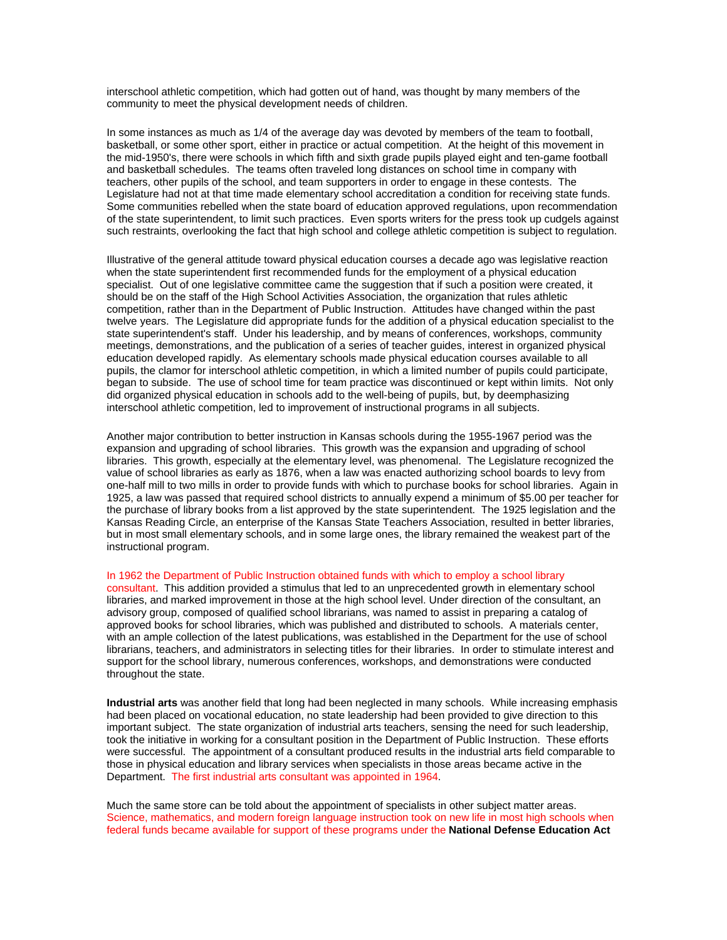interschool athletic competition, which had gotten out of hand, was thought by many members of the community to meet the physical development needs of children.

In some instances as much as 1/4 of the average day was devoted by members of the team to football, basketball, or some other sport, either in practice or actual competition. At the height of this movement in the mid-1950's, there were schools in which fifth and sixth grade pupils played eight and ten-game football and basketball schedules. The teams often traveled long distances on school time in company with teachers, other pupils of the school, and team supporters in order to engage in these contests. The Legislature had not at that time made elementary school accreditation a condition for receiving state funds. Some communities rebelled when the state board of education approved regulations, upon recommendation of the state superintendent, to limit such practices. Even sports writers for the press took up cudgels against such restraints, overlooking the fact that high school and college athletic competition is subject to regulation.

Illustrative of the general attitude toward physical education courses a decade ago was legislative reaction when the state superintendent first recommended funds for the employment of a physical education specialist. Out of one legislative committee came the suggestion that if such a position were created, it should be on the staff of the High School Activities Association, the organization that rules athletic competition, rather than in the Department of Public Instruction. Attitudes have changed within the past twelve years. The Legislature did appropriate funds for the addition of a physical education specialist to the state superintendent's staff. Under his leadership, and by means of conferences, workshops, community meetings, demonstrations, and the publication of a series of teacher guides, interest in organized physical education developed rapidly. As elementary schools made physical education courses available to all pupils, the clamor for interschool athletic competition, in which a limited number of pupils could participate, began to subside. The use of school time for team practice was discontinued or kept within limits. Not only did organized physical education in schools add to the well-being of pupils, but, by deemphasizing interschool athletic competition, led to improvement of instructional programs in all subjects.

Another major contribution to better instruction in Kansas schools during the 1955-1967 period was the expansion and upgrading of school libraries. This growth was the expansion and upgrading of school libraries. This growth, especially at the elementary level, was phenomenal. The Legislature recognized the value of school libraries as early as 1876, when a law was enacted authorizing school boards to levy from one-half mill to two mills in order to provide funds with which to purchase books for school libraries. Again in 1925, a law was passed that required school districts to annually expend a minimum of \$5.00 per teacher for the purchase of library books from a list approved by the state superintendent. The 1925 legislation and the Kansas Reading Circle, an enterprise of the Kansas State Teachers Association, resulted in better libraries, but in most small elementary schools, and in some large ones, the library remained the weakest part of the instructional program.

### In 1962 the Department of Public Instruction obtained funds with which to employ a school library

consultant. This addition provided a stimulus that led to an unprecedented growth in elementary school libraries, and marked improvement in those at the high school level. Under direction of the consultant, an advisory group, composed of qualified school librarians, was named to assist in preparing a catalog of approved books for school libraries, which was published and distributed to schools. A materials center, with an ample collection of the latest publications, was established in the Department for the use of school librarians, teachers, and administrators in selecting titles for their libraries. In order to stimulate interest and support for the school library, numerous conferences, workshops, and demonstrations were conducted throughout the state.

**Industrial arts** was another field that long had been neglected in many schools. While increasing emphasis had been placed on vocational education, no state leadership had been provided to give direction to this important subject. The state organization of industrial arts teachers, sensing the need for such leadership, took the initiative in working for a consultant position in the Department of Public Instruction. These efforts were successful. The appointment of a consultant produced results in the industrial arts field comparable to those in physical education and library services when specialists in those areas became active in the Department. The first industrial arts consultant was appointed in 1964.

Much the same store can be told about the appointment of specialists in other subject matter areas. Science, mathematics, and modern foreign language instruction took on new life in most high schools when federal funds became available for support of these programs under the **National Defense Education Act**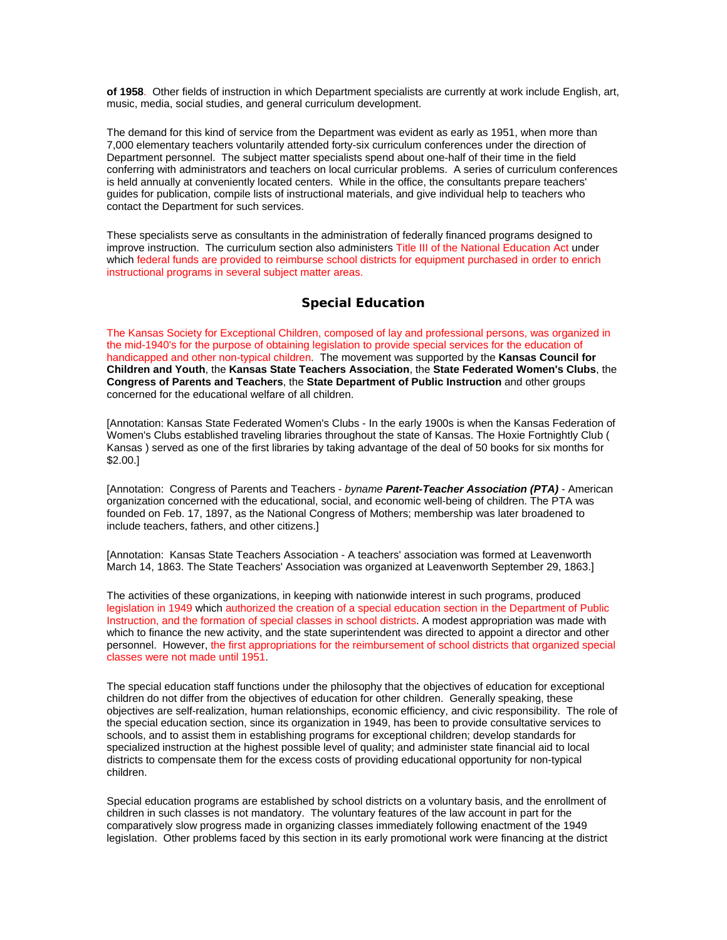**of 1958**. Other fields of instruction in which Department specialists are currently at work include English, art, music, media, social studies, and general curriculum development.

The demand for this kind of service from the Department was evident as early as 1951, when more than 7,000 elementary teachers voluntarily attended forty-six curriculum conferences under the direction of Department personnel. The subject matter specialists spend about one-half of their time in the field conferring with administrators and teachers on local curricular problems. A series of curriculum conferences is held annually at conveniently located centers. While in the office, the consultants prepare teachers' guides for publication, compile lists of instructional materials, and give individual help to teachers who contact the Department for such services.

These specialists serve as consultants in the administration of federally financed programs designed to improve instruction. The curriculum section also administers Title III of the National Education Act under which federal funds are provided to reimburse school districts for equipment purchased in order to enrich instructional programs in several subject matter areas.

## **Special Education**

The Kansas Society for Exceptional Children, composed of lay and professional persons, was organized in the mid-1940's for the purpose of obtaining legislation to provide special services for the education of handicapped and other non-typical children. The movement was supported by the **Kansas Council for Children and Youth**, the **Kansas State Teachers Association**, the **State Federated Women's Clubs**, the **Congress of Parents and Teachers**, the **State Department of Public Instruction** and other groups concerned for the educational welfare of all children.

[Annotation: Kansas State Federated Women's Clubs - In the early 1900s is when the Kansas Federation of Women's Clubs established traveling libraries throughout the state of Kansas. The Hoxie Fortnightly Club ( Kansas ) served as one of the first libraries by taking advantage of the deal of 50 books for six months for \$2.00.]

[Annotation: Congress of Parents and Teachers - *byname Parent-Teacher Association (PTA)* - American organization concerned with the educational, social, and economic well-being of children. The PTA was founded on Feb. 17, 1897, as the National Congress of Mothers; membership was later broadened to include teachers, fathers, and other citizens.]

[Annotation: Kansas State Teachers Association - A teachers' association was formed at Leavenworth March 14, 1863. The State Teachers' Association was organized at Leavenworth September 29, 1863.]

The activities of these organizations, in keeping with nationwide interest in such programs, produced legislation in 1949 which authorized the creation of a special education section in the Department of Public Instruction, and the formation of special classes in school districts. A modest appropriation was made with which to finance the new activity, and the state superintendent was directed to appoint a director and other personnel. However, the first appropriations for the reimbursement of school districts that organized special classes were not made until 1951.

The special education staff functions under the philosophy that the objectives of education for exceptional children do not differ from the objectives of education for other children. Generally speaking, these objectives are self-realization, human relationships, economic efficiency, and civic responsibility. The role of the special education section, since its organization in 1949, has been to provide consultative services to schools, and to assist them in establishing programs for exceptional children; develop standards for specialized instruction at the highest possible level of quality; and administer state financial aid to local districts to compensate them for the excess costs of providing educational opportunity for non-typical children.

Special education programs are established by school districts on a voluntary basis, and the enrollment of children in such classes is not mandatory. The voluntary features of the law account in part for the comparatively slow progress made in organizing classes immediately following enactment of the 1949 legislation. Other problems faced by this section in its early promotional work were financing at the district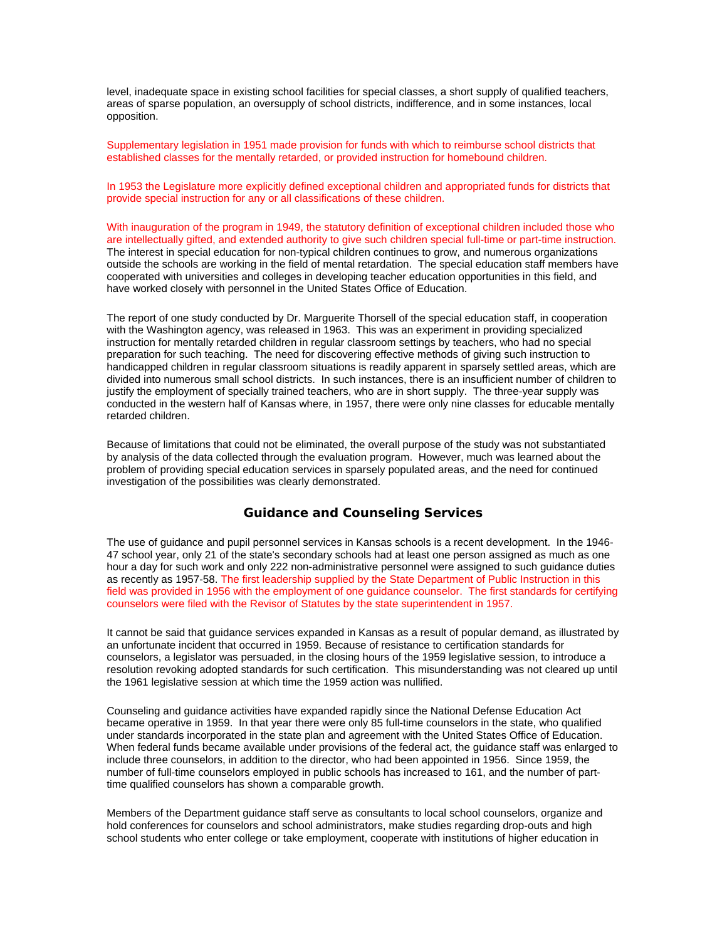level, inadequate space in existing school facilities for special classes, a short supply of qualified teachers, areas of sparse population, an oversupply of school districts, indifference, and in some instances, local opposition.

Supplementary legislation in 1951 made provision for funds with which to reimburse school districts that established classes for the mentally retarded, or provided instruction for homebound children.

In 1953 the Legislature more explicitly defined exceptional children and appropriated funds for districts that provide special instruction for any or all classifications of these children.

With inauguration of the program in 1949, the statutory definition of exceptional children included those who are intellectually gifted, and extended authority to give such children special full-time or part-time instruction. The interest in special education for non-typical children continues to grow, and numerous organizations outside the schools are working in the field of mental retardation. The special education staff members have cooperated with universities and colleges in developing teacher education opportunities in this field, and have worked closely with personnel in the United States Office of Education.

The report of one study conducted by Dr. Marguerite Thorsell of the special education staff, in cooperation with the Washington agency, was released in 1963. This was an experiment in providing specialized instruction for mentally retarded children in regular classroom settings by teachers, who had no special preparation for such teaching. The need for discovering effective methods of giving such instruction to handicapped children in regular classroom situations is readily apparent in sparsely settled areas, which are divided into numerous small school districts. In such instances, there is an insufficient number of children to justify the employment of specially trained teachers, who are in short supply. The three-year supply was conducted in the western half of Kansas where, in 1957, there were only nine classes for educable mentally retarded children.

Because of limitations that could not be eliminated, the overall purpose of the study was not substantiated by analysis of the data collected through the evaluation program. However, much was learned about the problem of providing special education services in sparsely populated areas, and the need for continued investigation of the possibilities was clearly demonstrated.

## **Guidance and Counseling Services**

The use of guidance and pupil personnel services in Kansas schools is a recent development. In the 1946- 47 school year, only 21 of the state's secondary schools had at least one person assigned as much as one hour a day for such work and only 222 non-administrative personnel were assigned to such guidance duties as recently as 1957-58. The first leadership supplied by the State Department of Public Instruction in this field was provided in 1956 with the employment of one guidance counselor. The first standards for certifying counselors were filed with the Revisor of Statutes by the state superintendent in 1957.

It cannot be said that guidance services expanded in Kansas as a result of popular demand, as illustrated by an unfortunate incident that occurred in 1959. Because of resistance to certification standards for counselors, a legislator was persuaded, in the closing hours of the 1959 legislative session, to introduce a resolution revoking adopted standards for such certification. This misunderstanding was not cleared up until the 1961 legislative session at which time the 1959 action was nullified.

Counseling and guidance activities have expanded rapidly since the National Defense Education Act became operative in 1959. In that year there were only 85 full-time counselors in the state, who qualified under standards incorporated in the state plan and agreement with the United States Office of Education. When federal funds became available under provisions of the federal act, the guidance staff was enlarged to include three counselors, in addition to the director, who had been appointed in 1956. Since 1959, the number of full-time counselors employed in public schools has increased to 161, and the number of parttime qualified counselors has shown a comparable growth.

Members of the Department guidance staff serve as consultants to local school counselors, organize and hold conferences for counselors and school administrators, make studies regarding drop-outs and high school students who enter college or take employment, cooperate with institutions of higher education in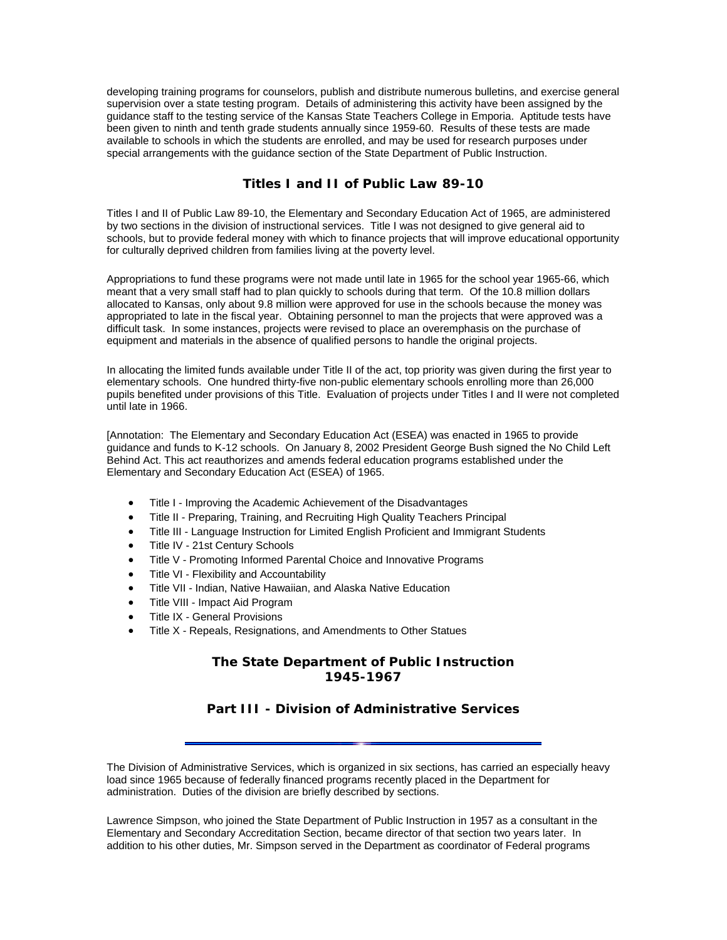developing training programs for counselors, publish and distribute numerous bulletins, and exercise general supervision over a state testing program. Details of administering this activity have been assigned by the guidance staff to the testing service of the Kansas State Teachers College in Emporia. Aptitude tests have been given to ninth and tenth grade students annually since 1959-60. Results of these tests are made available to schools in which the students are enrolled, and may be used for research purposes under special arrangements with the guidance section of the State Department of Public Instruction.

## **Titles I and II of Public Law 89-10**

Titles I and II of Public Law 89-10, the Elementary and Secondary Education Act of 1965, are administered by two sections in the division of instructional services. Title I was not designed to give general aid to schools, but to provide federal money with which to finance projects that will improve educational opportunity for culturally deprived children from families living at the poverty level.

Appropriations to fund these programs were not made until late in 1965 for the school year 1965-66, which meant that a very small staff had to plan quickly to schools during that term. Of the 10.8 million dollars allocated to Kansas, only about 9.8 million were approved for use in the schools because the money was appropriated to late in the fiscal year. Obtaining personnel to man the projects that were approved was a difficult task. In some instances, projects were revised to place an overemphasis on the purchase of equipment and materials in the absence of qualified persons to handle the original projects.

In allocating the limited funds available under Title II of the act, top priority was given during the first year to elementary schools. One hundred thirty-five non-public elementary schools enrolling more than 26,000 pupils benefited under provisions of this Title. Evaluation of projects under Titles I and II were not completed until late in 1966.

[Annotation: The Elementary and Secondary Education Act (ESEA) was enacted in 1965 to provide guidance and funds to K-12 schools. On January 8, 2002 President George Bush signed the No Child Left Behind Act. This act reauthorizes and amends federal education programs established under the Elementary and Secondary Education Act (ESEA) of 1965.

- Title I Improving the Academic Achievement of the Disadvantages
- Title II Preparing, Training, and Recruiting High Quality Teachers Principal
- Title III Language Instruction for Limited English Proficient and Immigrant Students
- Title IV 21st Century Schools
- Title V Promoting Informed Parental Choice and Innovative Programs
- Title VI Flexibility and Accountability
- Title VII Indian, Native Hawaiian, and Alaska Native Education
- Title VIII Impact Aid Program
- Title IX General Provisions
- Title X Repeals, Resignations, and Amendments to Other Statues

# **The State Department of Public Instruction 1945-1967**

# **Part III - Division of Administrative Services**

The Division of Administrative Services, which is organized in six sections, has carried an especially heavy load since 1965 because of federally financed programs recently placed in the Department for administration. Duties of the division are briefly described by sections.

Lawrence Simpson, who joined the State Department of Public Instruction in 1957 as a consultant in the Elementary and Secondary Accreditation Section, became director of that section two years later. In addition to his other duties, Mr. Simpson served in the Department as coordinator of Federal programs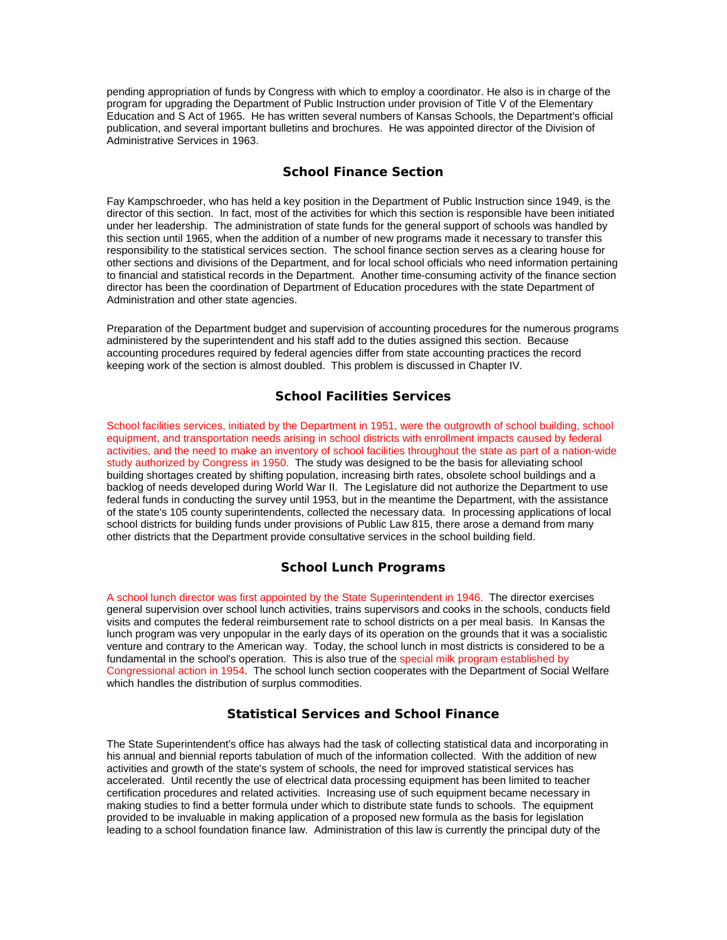pending appropriation of funds by Congress with which to employ a coordinator. He also is in charge of the program for upgrading the Department of Public Instruction under provision of Title V of the Elementary Education and S Act of 1965. He has written several numbers of Kansas Schools, the Department's official publication, and several important bulletins and brochures. He was appointed director of the Division of Administrative Services in 1963.

## **School Finance Section**

Fay Kampschroeder, who has held a key position in the Department of Public Instruction since 1949, is the director of this section. In fact, most of the activities for which this section is responsible have been initiated under her leadership. The administration of state funds for the general support of schools was handled by this section until 1965, when the addition of a number of new programs made it necessary to transfer this responsibility to the statistical services section. The school finance section serves as a clearing house for other sections and divisions of the Department, and for local school officials who need information pertaining to financial and statistical records in the Department. Another time-consuming activity of the finance section director has been the coordination of Department of Education procedures with the state Department of Administration and other state agencies.

Preparation of the Department budget and supervision of accounting procedures for the numerous programs administered by the superintendent and his staff add to the duties assigned this section. Because accounting procedures required by federal agencies differ from state accounting practices the record keeping work of the section is almost doubled. This problem is discussed in Chapter IV.

## **School Facilities Services**

School facilities services, initiated by the Department in 1951, were the outgrowth of school building, school equipment, and transportation needs arising in school districts with enrollment impacts caused by federal activities, and the need to make an inventory of school facilities throughout the state as part of a nation-wide study authorized by Congress in 1950. The study was designed to be the basis for alleviating school building shortages created by shifting population, increasing birth rates, obsolete school buildings and a backlog of needs developed during World War II. The Legislature did not authorize the Department to use federal funds in conducting the survey until 1953, but in the meantime the Department, with the assistance of the state's 105 county superintendents, collected the necessary data. In processing applications of local school districts for building funds under provisions of Public Law 815, there arose a demand from many other districts that the Department provide consultative services in the school building field.

# **School Lunch Programs**

A school lunch director was first appointed by the State Superintendent in 1946. The director exercises general supervision over school lunch activities, trains supervisors and cooks in the schools, conducts field visits and computes the federal reimbursement rate to school districts on a per meal basis. In Kansas the lunch program was very unpopular in the early days of its operation on the grounds that it was a socialistic venture and contrary to the American way. Today, the school lunch in most districts is considered to be a fundamental in the school's operation. This is also true of the special milk program established by Congressional action in 1954. The school lunch section cooperates with the Department of Social Welfare which handles the distribution of surplus commodities.

# **Statistical Services and School Finance**

The State Superintendent's office has always had the task of collecting statistical data and incorporating in his annual and biennial reports tabulation of much of the information collected. With the addition of new activities and growth of the state's system of schools, the need for improved statistical services has accelerated. Until recently the use of electrical data processing equipment has been limited to teacher certification procedures and related activities. Increasing use of such equipment became necessary in making studies to find a better formula under which to distribute state funds to schools. The equipment provided to be invaluable in making application of a proposed new formula as the basis for legislation leading to a school foundation finance law. Administration of this law is currently the principal duty of the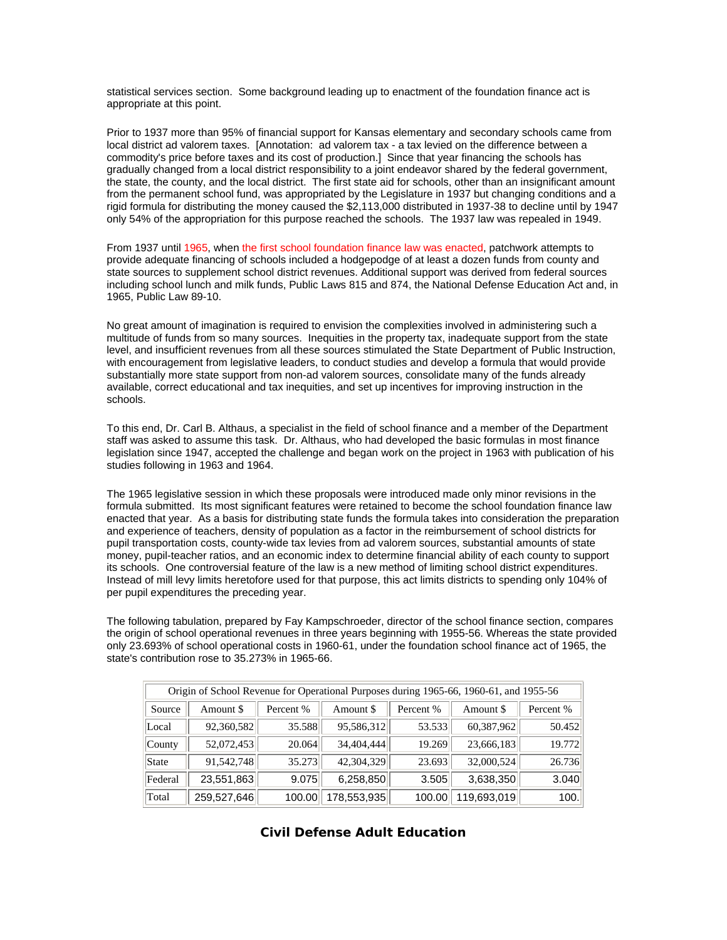statistical services section. Some background leading up to enactment of the foundation finance act is appropriate at this point.

Prior to 1937 more than 95% of financial support for Kansas elementary and secondary schools came from local district ad valorem taxes. [Annotation: ad valorem tax - a tax levied on the difference between a commodity's price before taxes and its cost of production.] Since that year financing the schools has gradually changed from a local district responsibility to a joint endeavor shared by the federal government, the state, the county, and the local district. The first state aid for schools, other than an insignificant amount from the permanent school fund, was appropriated by the Legislature in 1937 but changing conditions and a rigid formula for distributing the money caused the \$2,113,000 distributed in 1937-38 to decline until by 1947 only 54% of the appropriation for this purpose reached the schools. The 1937 law was repealed in 1949.

From 1937 until 1965, when the first school foundation finance law was enacted, patchwork attempts to provide adequate financing of schools included a hodgepodge of at least a dozen funds from county and state sources to supplement school district revenues. Additional support was derived from federal sources including school lunch and milk funds, Public Laws 815 and 874, the National Defense Education Act and, in 1965, Public Law 89-10.

No great amount of imagination is required to envision the complexities involved in administering such a multitude of funds from so many sources. Inequities in the property tax, inadequate support from the state level, and insufficient revenues from all these sources stimulated the State Department of Public Instruction, with encouragement from legislative leaders, to conduct studies and develop a formula that would provide substantially more state support from non-ad valorem sources, consolidate many of the funds already available, correct educational and tax inequities, and set up incentives for improving instruction in the schools.

To this end, Dr. Carl B. Althaus, a specialist in the field of school finance and a member of the Department staff was asked to assume this task. Dr. Althaus, who had developed the basic formulas in most finance legislation since 1947, accepted the challenge and began work on the project in 1963 with publication of his studies following in 1963 and 1964.

The 1965 legislative session in which these proposals were introduced made only minor revisions in the formula submitted. Its most significant features were retained to become the school foundation finance law enacted that year. As a basis for distributing state funds the formula takes into consideration the preparation and experience of teachers, density of population as a factor in the reimbursement of school districts for pupil transportation costs, county-wide tax levies from ad valorem sources, substantial amounts of state money, pupil-teacher ratios, and an economic index to determine financial ability of each county to support its schools. One controversial feature of the law is a new method of limiting school district expenditures. Instead of mill levy limits heretofore used for that purpose, this act limits districts to spending only 104% of per pupil expenditures the preceding year.

The following tabulation, prepared by Fay Kampschroeder, director of the school finance section, compares the origin of school operational revenues in three years beginning with 1955-56. Whereas the state provided only 23.693% of school operational costs in 1960-61, under the foundation school finance act of 1965, the state's contribution rose to 35.273% in 1965-66.

| Origin of School Revenue for Operational Purposes during 1965-66, 1960-61, and 1955-56 |             |           |             |           |             |           |
|----------------------------------------------------------------------------------------|-------------|-----------|-------------|-----------|-------------|-----------|
| Source                                                                                 | Amount \$   | Percent % | Amount \$   | Percent % | Amount \$   | Percent % |
| Local                                                                                  | 92,360,582  | 35.588    | 95,586,312  | 53.533    | 60,387,962  | 50.452    |
| County                                                                                 | 52,072,453  | 20.064    | 34,404,444  | 19.269    | 23,666,183  | 19.772    |
| State                                                                                  | 91,542,748  | 35.273    | 42,304,329  | 23.693    | 32,000,524  | 26.736    |
| Federal                                                                                | 23,551,863  | 9.075     | 6,258,850   | 3.505     | 3,638,350   | 3.040     |
| Total                                                                                  | 259,527,646 | 100.00    | 178,553,935 | 100.00    | 119,693,019 | 100.      |

## **Civil Defense Adult Education**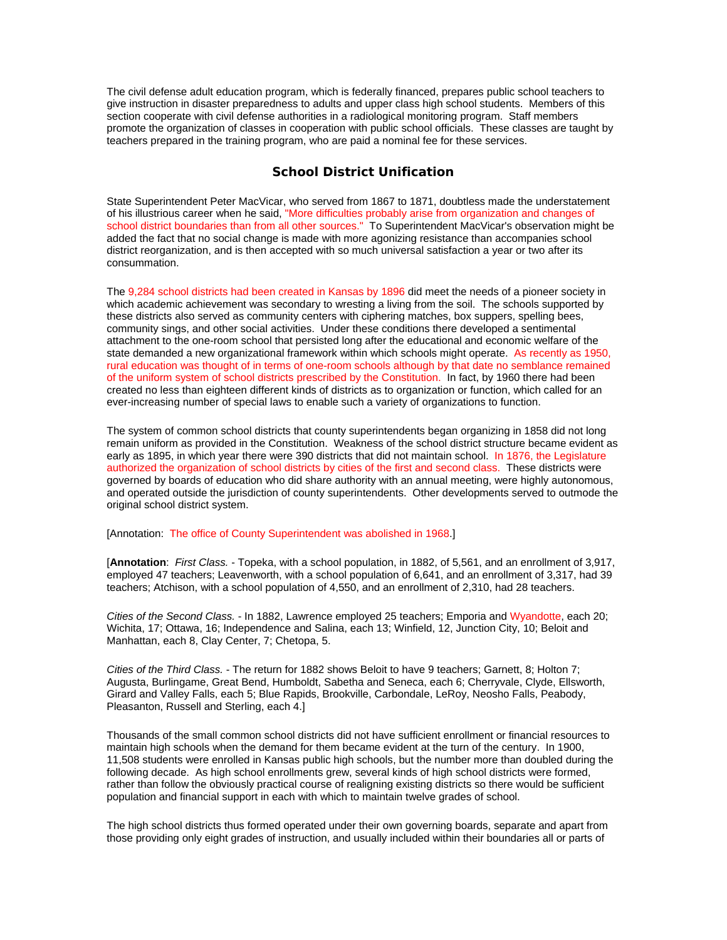The civil defense adult education program, which is federally financed, prepares public school teachers to give instruction in disaster preparedness to adults and upper class high school students. Members of this section cooperate with civil defense authorities in a radiological monitoring program. Staff members promote the organization of classes in cooperation with public school officials. These classes are taught by teachers prepared in the training program, who are paid a nominal fee for these services.

### **School District Unification**

State Superintendent Peter MacVicar, who served from 1867 to 1871, doubtless made the understatement of his illustrious career when he said, "More difficulties probably arise from organization and changes of school district boundaries than from all other sources." To Superintendent MacVicar's observation might be added the fact that no social change is made with more agonizing resistance than accompanies school district reorganization, and is then accepted with so much universal satisfaction a year or two after its consummation.

The 9,284 school districts had been created in Kansas by 1896 did meet the needs of a pioneer society in which academic achievement was secondary to wresting a living from the soil. The schools supported by these districts also served as community centers with ciphering matches, box suppers, spelling bees, community sings, and other social activities. Under these conditions there developed a sentimental attachment to the one-room school that persisted long after the educational and economic welfare of the state demanded a new organizational framework within which schools might operate. As recently as 1950, rural education was thought of in terms of one-room schools although by that date no semblance remained of the uniform system of school districts prescribed by the Constitution. In fact, by 1960 there had been created no less than eighteen different kinds of districts as to organization or function, which called for an ever-increasing number of special laws to enable such a variety of organizations to function.

The system of common school districts that county superintendents began organizing in 1858 did not long remain uniform as provided in the Constitution. Weakness of the school district structure became evident as early as 1895, in which year there were 390 districts that did not maintain school. In 1876, the Legislature authorized the organization of school districts by cities of the first and second class. These districts were governed by boards of education who did share authority with an annual meeting, were highly autonomous, and operated outside the jurisdiction of county superintendents. Other developments served to outmode the original school district system.

[Annotation: The office of County Superintendent was abolished in 1968.]

[**Annotation**: *First Class.* - Topeka, with a school population, in 1882, of 5,561, and an enrollment of 3,917, employed 47 teachers; Leavenworth, with a school population of 6,641, and an enrollment of 3,317, had 39 teachers; Atchison, with a school population of 4,550, and an enrollment of 2,310, had 28 teachers.

*Cities of the Second Class.* - In 1882, Lawrence employed 25 teachers; Emporia and Wyandotte, each 20; Wichita, 17; Ottawa, 16; Independence and Salina, each 13; Winfield, 12, Junction City, 10; Beloit and Manhattan, each 8, Clay Center, 7; Chetopa, 5.

*Cities of the Third Class.* - The return for 1882 shows Beloit to have 9 teachers; Garnett, 8; Holton 7; Augusta, Burlingame, Great Bend, Humboldt, Sabetha and Seneca, each 6; Cherryvale, Clyde, Ellsworth, Girard and Valley Falls, each 5; Blue Rapids, Brookville, Carbondale, LeRoy, Neosho Falls, Peabody, Pleasanton, Russell and Sterling, each 4.]

Thousands of the small common school districts did not have sufficient enrollment or financial resources to maintain high schools when the demand for them became evident at the turn of the century. In 1900, 11,508 students were enrolled in Kansas public high schools, but the number more than doubled during the following decade. As high school enrollments grew, several kinds of high school districts were formed, rather than follow the obviously practical course of realigning existing districts so there would be sufficient population and financial support in each with which to maintain twelve grades of school.

The high school districts thus formed operated under their own governing boards, separate and apart from those providing only eight grades of instruction, and usually included within their boundaries all or parts of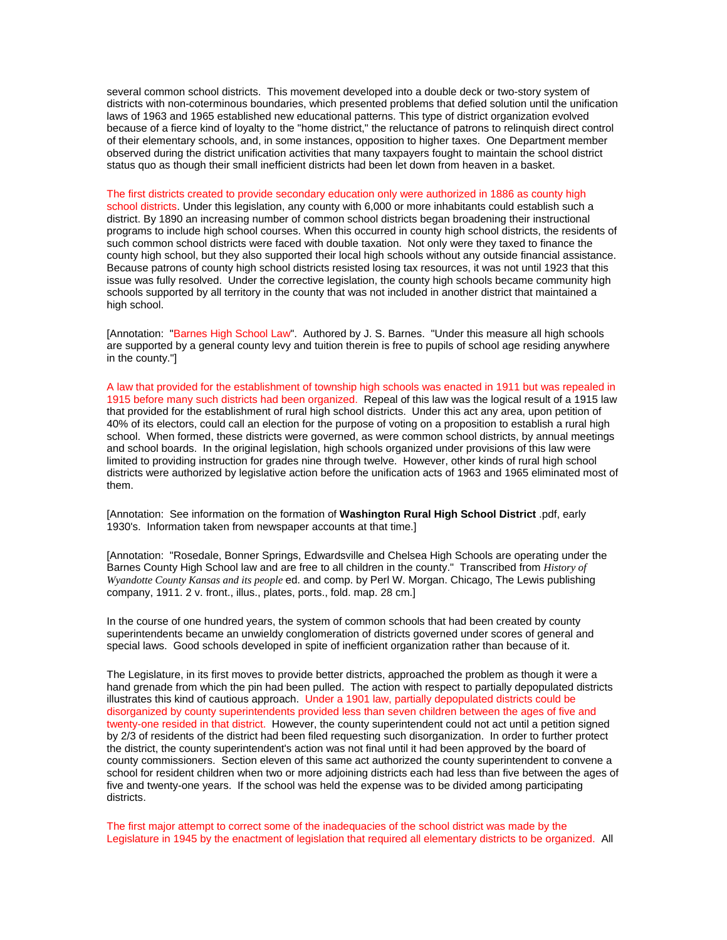several common school districts. This movement developed into a double deck or two-story system of districts with non-coterminous boundaries, which presented problems that defied solution until the unification laws of 1963 and 1965 established new educational patterns. This type of district organization evolved because of a fierce kind of loyalty to the "home district," the reluctance of patrons to relinquish direct control of their elementary schools, and, in some instances, opposition to higher taxes. One Department member observed during the district unification activities that many taxpayers fought to maintain the school district status quo as though their small inefficient districts had been let down from heaven in a basket.

The first districts created to provide secondary education only were authorized in 1886 as county high school districts. Under this legislation, any county with 6,000 or more inhabitants could establish such a district. By 1890 an increasing number of common school districts began broadening their instructional programs to include high school courses. When this occurred in county high school districts, the residents of such common school districts were faced with double taxation. Not only were they taxed to finance the county high school, but they also supported their local high schools without any outside financial assistance. Because patrons of county high school districts resisted losing tax resources, it was not until 1923 that this issue was fully resolved. Under the corrective legislation, the county high schools became community high schools supported by all territory in the county that was not included in another district that maintained a high school.

[Annotation: "Barnes High School Law". Authored by J. S. Barnes. "Under this measure all high schools are supported by a general county levy and tuition therein is free to pupils of school age residing anywhere in the county."]

A law that provided for the establishment of township high schools was enacted in 1911 but was repealed in 1915 before many such districts had been organized. Repeal of this law was the logical result of a 1915 law that provided for the establishment of rural high school districts. Under this act any area, upon petition of 40% of its electors, could call an election for the purpose of voting on a proposition to establish a rural high school. When formed, these districts were governed, as were common school districts, by annual meetings and school boards. In the original legislation, high schools organized under provisions of this law were limited to providing instruction for grades nine through twelve. However, other kinds of rural high school districts were authorized by legislative action before the unification acts of 1963 and 1965 eliminated most of them.

[Annotation: See information on the formation of **Washington Rural High School District** .pdf, early 1930's. Information taken from newspaper accounts at that time.]

[Annotation: "Rosedale, Bonner Springs, Edwardsville and Chelsea High Schools are operating under the Barnes County High School law and are free to all children in the county." Transcribed from *History of Wyandotte County Kansas and its people* ed. and comp. by Perl W. Morgan. Chicago, The Lewis publishing company, 1911. 2 v. front., illus., plates, ports., fold. map. 28 cm.]

In the course of one hundred years, the system of common schools that had been created by county superintendents became an unwieldy conglomeration of districts governed under scores of general and special laws. Good schools developed in spite of inefficient organization rather than because of it.

The Legislature, in its first moves to provide better districts, approached the problem as though it were a hand grenade from which the pin had been pulled. The action with respect to partially depopulated districts illustrates this kind of cautious approach. Under a 1901 law, partially depopulated districts could be disorganized by county superintendents provided less than seven children between the ages of five and twenty-one resided in that district. However, the county superintendent could not act until a petition signed by 2/3 of residents of the district had been filed requesting such disorganization. In order to further protect the district, the county superintendent's action was not final until it had been approved by the board of county commissioners. Section eleven of this same act authorized the county superintendent to convene a school for resident children when two or more adjoining districts each had less than five between the ages of five and twenty-one years. If the school was held the expense was to be divided among participating districts.

The first major attempt to correct some of the inadequacies of the school district was made by the Legislature in 1945 by the enactment of legislation that required all elementary districts to be organized. All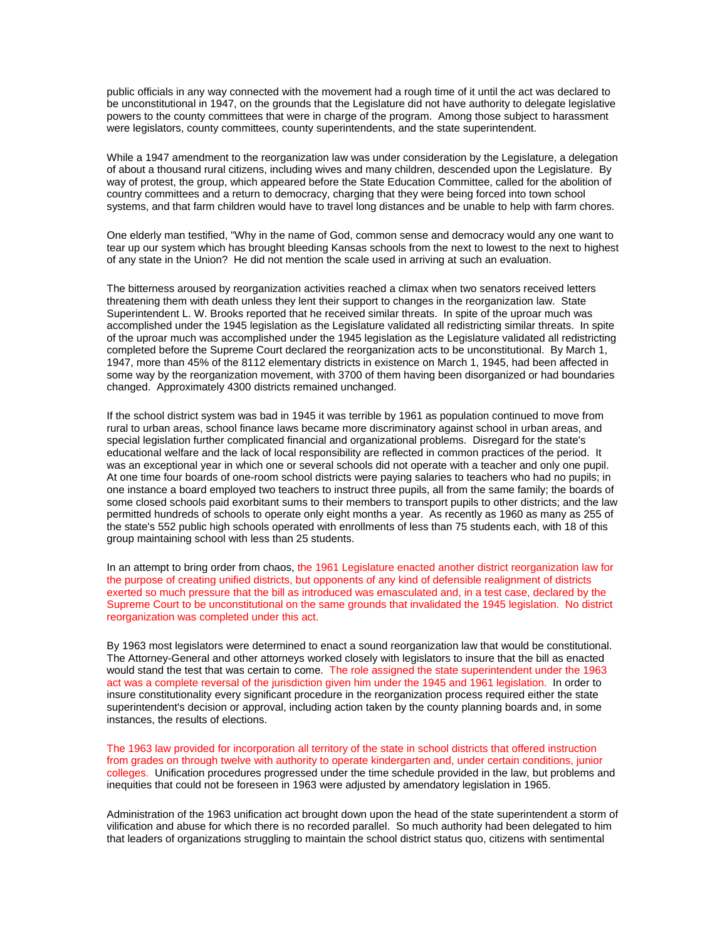public officials in any way connected with the movement had a rough time of it until the act was declared to be unconstitutional in 1947, on the grounds that the Legislature did not have authority to delegate legislative powers to the county committees that were in charge of the program. Among those subject to harassment were legislators, county committees, county superintendents, and the state superintendent.

While a 1947 amendment to the reorganization law was under consideration by the Legislature, a delegation of about a thousand rural citizens, including wives and many children, descended upon the Legislature. By way of protest, the group, which appeared before the State Education Committee, called for the abolition of country committees and a return to democracy, charging that they were being forced into town school systems, and that farm children would have to travel long distances and be unable to help with farm chores.

One elderly man testified, "Why in the name of God, common sense and democracy would any one want to tear up our system which has brought bleeding Kansas schools from the next to lowest to the next to highest of any state in the Union? He did not mention the scale used in arriving at such an evaluation.

The bitterness aroused by reorganization activities reached a climax when two senators received letters threatening them with death unless they lent their support to changes in the reorganization law. State Superintendent L. W. Brooks reported that he received similar threats. In spite of the uproar much was accomplished under the 1945 legislation as the Legislature validated all redistricting similar threats. In spite of the uproar much was accomplished under the 1945 legislation as the Legislature validated all redistricting completed before the Supreme Court declared the reorganization acts to be unconstitutional. By March 1, 1947, more than 45% of the 8112 elementary districts in existence on March 1, 1945, had been affected in some way by the reorganization movement, with 3700 of them having been disorganized or had boundaries changed. Approximately 4300 districts remained unchanged.

If the school district system was bad in 1945 it was terrible by 1961 as population continued to move from rural to urban areas, school finance laws became more discriminatory against school in urban areas, and special legislation further complicated financial and organizational problems. Disregard for the state's educational welfare and the lack of local responsibility are reflected in common practices of the period. It was an exceptional year in which one or several schools did not operate with a teacher and only one pupil. At one time four boards of one-room school districts were paying salaries to teachers who had no pupils; in one instance a board employed two teachers to instruct three pupils, all from the same family; the boards of some closed schools paid exorbitant sums to their members to transport pupils to other districts; and the law permitted hundreds of schools to operate only eight months a year. As recently as 1960 as many as 255 of the state's 552 public high schools operated with enrollments of less than 75 students each, with 18 of this group maintaining school with less than 25 students.

In an attempt to bring order from chaos, the 1961 Legislature enacted another district reorganization law for the purpose of creating unified districts, but opponents of any kind of defensible realignment of districts exerted so much pressure that the bill as introduced was emasculated and, in a test case, declared by the Supreme Court to be unconstitutional on the same grounds that invalidated the 1945 legislation. No district reorganization was completed under this act.

By 1963 most legislators were determined to enact a sound reorganization law that would be constitutional. The Attorney-General and other attorneys worked closely with legislators to insure that the bill as enacted would stand the test that was certain to come. The role assigned the state superintendent under the 1963 act was a complete reversal of the jurisdiction given him under the 1945 and 1961 legislation. In order to insure constitutionality every significant procedure in the reorganization process required either the state superintendent's decision or approval, including action taken by the county planning boards and, in some instances, the results of elections.

The 1963 law provided for incorporation all territory of the state in school districts that offered instruction from grades on through twelve with authority to operate kindergarten and, under certain conditions, junior colleges. Unification procedures progressed under the time schedule provided in the law, but problems and inequities that could not be foreseen in 1963 were adjusted by amendatory legislation in 1965.

Administration of the 1963 unification act brought down upon the head of the state superintendent a storm of vilification and abuse for which there is no recorded parallel. So much authority had been delegated to him that leaders of organizations struggling to maintain the school district status quo, citizens with sentimental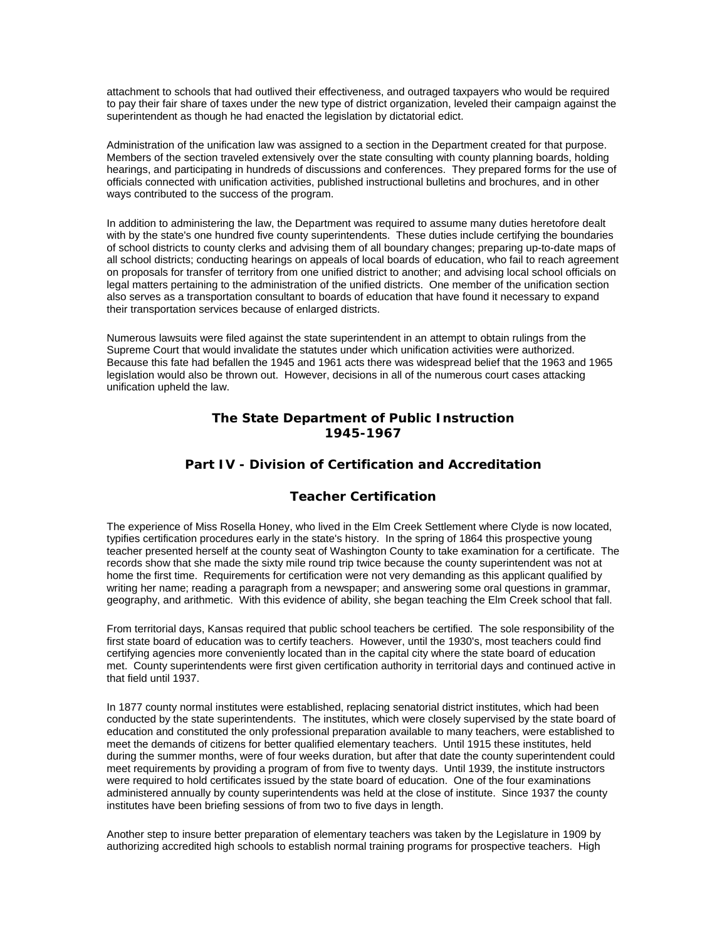attachment to schools that had outlived their effectiveness, and outraged taxpayers who would be required to pay their fair share of taxes under the new type of district organization, leveled their campaign against the superintendent as though he had enacted the legislation by dictatorial edict.

Administration of the unification law was assigned to a section in the Department created for that purpose. Members of the section traveled extensively over the state consulting with county planning boards, holding hearings, and participating in hundreds of discussions and conferences. They prepared forms for the use of officials connected with unification activities, published instructional bulletins and brochures, and in other ways contributed to the success of the program.

In addition to administering the law, the Department was required to assume many duties heretofore dealt with by the state's one hundred five county superintendents. These duties include certifying the boundaries of school districts to county clerks and advising them of all boundary changes; preparing up-to-date maps of all school districts; conducting hearings on appeals of local boards of education, who fail to reach agreement on proposals for transfer of territory from one unified district to another; and advising local school officials on legal matters pertaining to the administration of the unified districts. One member of the unification section also serves as a transportation consultant to boards of education that have found it necessary to expand their transportation services because of enlarged districts.

Numerous lawsuits were filed against the state superintendent in an attempt to obtain rulings from the Supreme Court that would invalidate the statutes under which unification activities were authorized. Because this fate had befallen the 1945 and 1961 acts there was widespread belief that the 1963 and 1965 legislation would also be thrown out. However, decisions in all of the numerous court cases attacking unification upheld the law.

## **The State Department of Public Instruction 1945-1967**

## **Part IV - Division of Certification and Accreditation**

# **Teacher Certification**

The experience of Miss Rosella Honey, who lived in the Elm Creek Settlement where Clyde is now located, typifies certification procedures early in the state's history. In the spring of 1864 this prospective young teacher presented herself at the county seat of Washington County to take examination for a certificate. The records show that she made the sixty mile round trip twice because the county superintendent was not at home the first time. Requirements for certification were not very demanding as this applicant qualified by writing her name; reading a paragraph from a newspaper; and answering some oral questions in grammar, geography, and arithmetic. With this evidence of ability, she began teaching the Elm Creek school that fall.

From territorial days, Kansas required that public school teachers be certified. The sole responsibility of the first state board of education was to certify teachers. However, until the 1930's, most teachers could find certifying agencies more conveniently located than in the capital city where the state board of education met. County superintendents were first given certification authority in territorial days and continued active in that field until 1937.

In 1877 county normal institutes were established, replacing senatorial district institutes, which had been conducted by the state superintendents. The institutes, which were closely supervised by the state board of education and constituted the only professional preparation available to many teachers, were established to meet the demands of citizens for better qualified elementary teachers. Until 1915 these institutes, held during the summer months, were of four weeks duration, but after that date the county superintendent could meet requirements by providing a program of from five to twenty days. Until 1939, the institute instructors were required to hold certificates issued by the state board of education. One of the four examinations administered annually by county superintendents was held at the close of institute. Since 1937 the county institutes have been briefing sessions of from two to five days in length.

Another step to insure better preparation of elementary teachers was taken by the Legislature in 1909 by authorizing accredited high schools to establish normal training programs for prospective teachers. High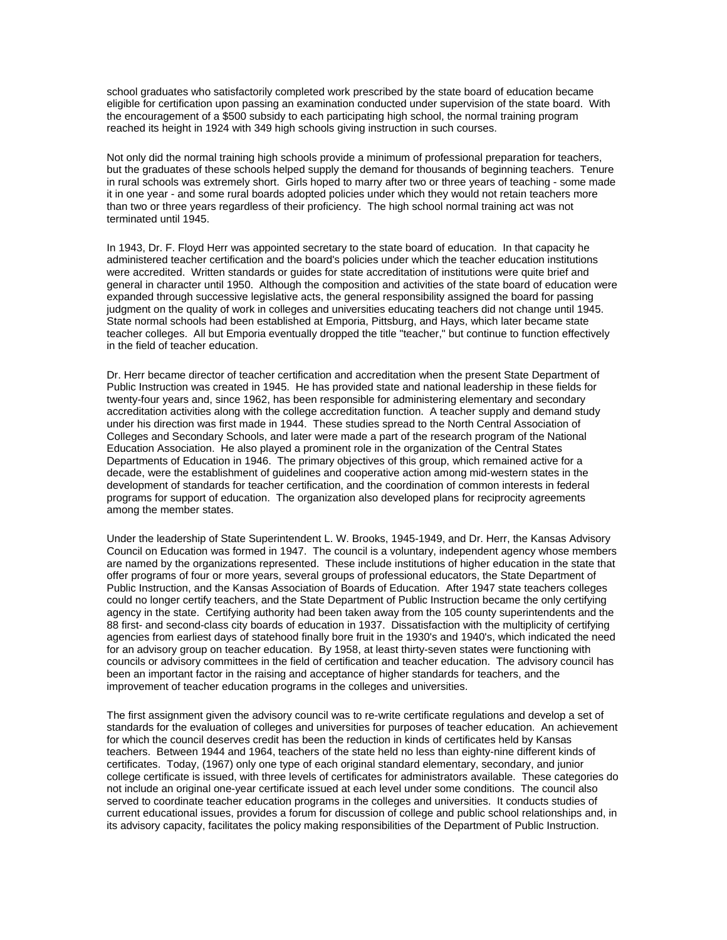school graduates who satisfactorily completed work prescribed by the state board of education became eligible for certification upon passing an examination conducted under supervision of the state board. With the encouragement of a \$500 subsidy to each participating high school, the normal training program reached its height in 1924 with 349 high schools giving instruction in such courses.

Not only did the normal training high schools provide a minimum of professional preparation for teachers, but the graduates of these schools helped supply the demand for thousands of beginning teachers. Tenure in rural schools was extremely short. Girls hoped to marry after two or three years of teaching - some made it in one year - and some rural boards adopted policies under which they would not retain teachers more than two or three years regardless of their proficiency. The high school normal training act was not terminated until 1945.

In 1943, Dr. F. Floyd Herr was appointed secretary to the state board of education. In that capacity he administered teacher certification and the board's policies under which the teacher education institutions were accredited. Written standards or guides for state accreditation of institutions were quite brief and general in character until 1950. Although the composition and activities of the state board of education were expanded through successive legislative acts, the general responsibility assigned the board for passing judgment on the quality of work in colleges and universities educating teachers did not change until 1945. State normal schools had been established at Emporia, Pittsburg, and Hays, which later became state teacher colleges. All but Emporia eventually dropped the title "teacher," but continue to function effectively in the field of teacher education.

Dr. Herr became director of teacher certification and accreditation when the present State Department of Public Instruction was created in 1945. He has provided state and national leadership in these fields for twenty-four years and, since 1962, has been responsible for administering elementary and secondary accreditation activities along with the college accreditation function. A teacher supply and demand study under his direction was first made in 1944. These studies spread to the North Central Association of Colleges and Secondary Schools, and later were made a part of the research program of the National Education Association. He also played a prominent role in the organization of the Central States Departments of Education in 1946. The primary objectives of this group, which remained active for a decade, were the establishment of guidelines and cooperative action among mid-western states in the development of standards for teacher certification, and the coordination of common interests in federal programs for support of education. The organization also developed plans for reciprocity agreements among the member states.

Under the leadership of State Superintendent L. W. Brooks, 1945-1949, and Dr. Herr, the Kansas Advisory Council on Education was formed in 1947. The council is a voluntary, independent agency whose members are named by the organizations represented. These include institutions of higher education in the state that offer programs of four or more years, several groups of professional educators, the State Department of Public Instruction, and the Kansas Association of Boards of Education. After 1947 state teachers colleges could no longer certify teachers, and the State Department of Public Instruction became the only certifying agency in the state. Certifying authority had been taken away from the 105 county superintendents and the 88 first- and second-class city boards of education in 1937. Dissatisfaction with the multiplicity of certifying agencies from earliest days of statehood finally bore fruit in the 1930's and 1940's, which indicated the need for an advisory group on teacher education. By 1958, at least thirty-seven states were functioning with councils or advisory committees in the field of certification and teacher education. The advisory council has been an important factor in the raising and acceptance of higher standards for teachers, and the improvement of teacher education programs in the colleges and universities.

The first assignment given the advisory council was to re-write certificate regulations and develop a set of standards for the evaluation of colleges and universities for purposes of teacher education. An achievement for which the council deserves credit has been the reduction in kinds of certificates held by Kansas teachers. Between 1944 and 1964, teachers of the state held no less than eighty-nine different kinds of certificates. Today, (1967) only one type of each original standard elementary, secondary, and junior college certificate is issued, with three levels of certificates for administrators available. These categories do not include an original one-year certificate issued at each level under some conditions. The council also served to coordinate teacher education programs in the colleges and universities. It conducts studies of current educational issues, provides a forum for discussion of college and public school relationships and, in its advisory capacity, facilitates the policy making responsibilities of the Department of Public Instruction.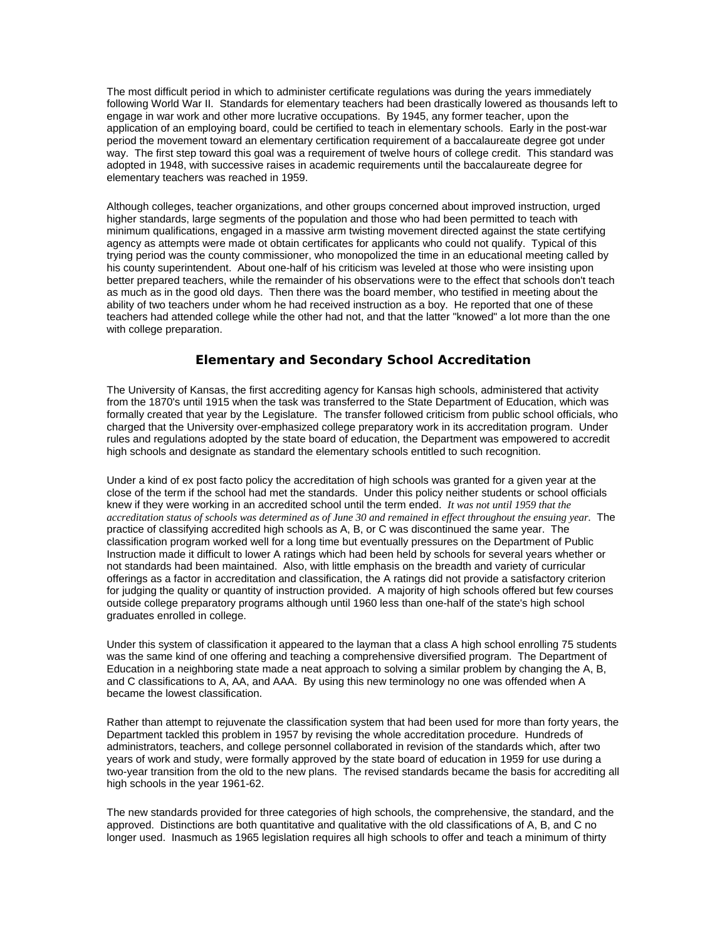The most difficult period in which to administer certificate regulations was during the years immediately following World War II. Standards for elementary teachers had been drastically lowered as thousands left to engage in war work and other more lucrative occupations. By 1945, any former teacher, upon the application of an employing board, could be certified to teach in elementary schools. Early in the post-war period the movement toward an elementary certification requirement of a baccalaureate degree got under way. The first step toward this goal was a requirement of twelve hours of college credit. This standard was adopted in 1948, with successive raises in academic requirements until the baccalaureate degree for elementary teachers was reached in 1959.

Although colleges, teacher organizations, and other groups concerned about improved instruction, urged higher standards, large segments of the population and those who had been permitted to teach with minimum qualifications, engaged in a massive arm twisting movement directed against the state certifying agency as attempts were made ot obtain certificates for applicants who could not qualify. Typical of this trying period was the county commissioner, who monopolized the time in an educational meeting called by his county superintendent. About one-half of his criticism was leveled at those who were insisting upon better prepared teachers, while the remainder of his observations were to the effect that schools don't teach as much as in the good old days. Then there was the board member, who testified in meeting about the ability of two teachers under whom he had received instruction as a boy. He reported that one of these teachers had attended college while the other had not, and that the latter "knowed" a lot more than the one with college preparation.

## **Elementary and Secondary School Accreditation**

The University of Kansas, the first accrediting agency for Kansas high schools, administered that activity from the 1870's until 1915 when the task was transferred to the State Department of Education, which was formally created that year by the Legislature. The transfer followed criticism from public school officials, who charged that the University over-emphasized college preparatory work in its accreditation program. Under rules and regulations adopted by the state board of education, the Department was empowered to accredit high schools and designate as standard the elementary schools entitled to such recognition.

Under a kind of ex post facto policy the accreditation of high schools was granted for a given year at the close of the term if the school had met the standards. Under this policy neither students or school officials knew if they were working in an accredited school until the term ended. *It was not until 1959 that the accreditation status of schools was determined as of June 30 and remained in effect throughout the ensuing year.* The practice of classifying accredited high schools as A, B, or C was discontinued the same year. The classification program worked well for a long time but eventually pressures on the Department of Public Instruction made it difficult to lower A ratings which had been held by schools for several years whether or not standards had been maintained. Also, with little emphasis on the breadth and variety of curricular offerings as a factor in accreditation and classification, the A ratings did not provide a satisfactory criterion for judging the quality or quantity of instruction provided. A majority of high schools offered but few courses outside college preparatory programs although until 1960 less than one-half of the state's high school graduates enrolled in college.

Under this system of classification it appeared to the layman that a class A high school enrolling 75 students was the same kind of one offering and teaching a comprehensive diversified program. The Department of Education in a neighboring state made a neat approach to solving a similar problem by changing the A, B, and C classifications to A, AA, and AAA. By using this new terminology no one was offended when A became the lowest classification.

Rather than attempt to rejuvenate the classification system that had been used for more than forty years, the Department tackled this problem in 1957 by revising the whole accreditation procedure. Hundreds of administrators, teachers, and college personnel collaborated in revision of the standards which, after two years of work and study, were formally approved by the state board of education in 1959 for use during a two-year transition from the old to the new plans. The revised standards became the basis for accrediting all high schools in the year 1961-62.

The new standards provided for three categories of high schools, the comprehensive, the standard, and the approved. Distinctions are both quantitative and qualitative with the old classifications of A, B, and C no longer used. Inasmuch as 1965 legislation requires all high schools to offer and teach a minimum of thirty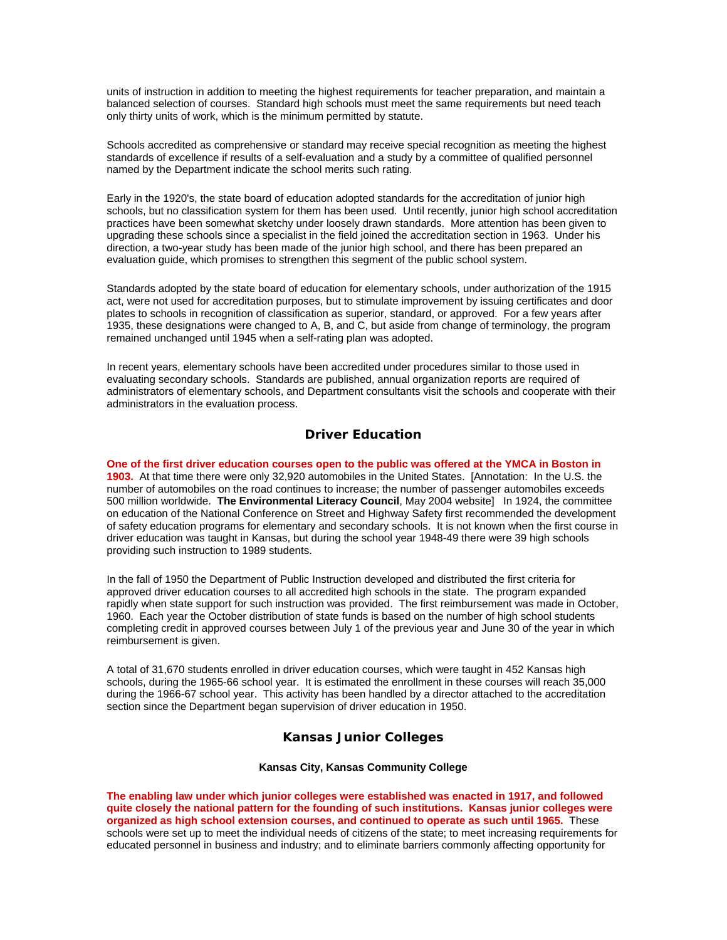units of instruction in addition to meeting the highest requirements for teacher preparation, and maintain a balanced selection of courses. Standard high schools must meet the same requirements but need teach only thirty units of work, which is the minimum permitted by statute.

Schools accredited as comprehensive or standard may receive special recognition as meeting the highest standards of excellence if results of a self-evaluation and a study by a committee of qualified personnel named by the Department indicate the school merits such rating.

Early in the 1920's, the state board of education adopted standards for the accreditation of junior high schools, but no classification system for them has been used. Until recently, junior high school accreditation practices have been somewhat sketchy under loosely drawn standards. More attention has been given to upgrading these schools since a specialist in the field joined the accreditation section in 1963. Under his direction, a two-year study has been made of the junior high school, and there has been prepared an evaluation guide, which promises to strengthen this segment of the public school system.

Standards adopted by the state board of education for elementary schools, under authorization of the 1915 act, were not used for accreditation purposes, but to stimulate improvement by issuing certificates and door plates to schools in recognition of classification as superior, standard, or approved. For a few years after 1935, these designations were changed to A, B, and C, but aside from change of terminology, the program remained unchanged until 1945 when a self-rating plan was adopted.

In recent years, elementary schools have been accredited under procedures similar to those used in evaluating secondary schools. Standards are published, annual organization reports are required of administrators of elementary schools, and Department consultants visit the schools and cooperate with their administrators in the evaluation process.

# **Driver Education**

**One of the first driver education courses open to the public was offered at the YMCA in Boston in 1903.** At that time there were only 32,920 automobiles in the United States. [Annotation: In the U.S. the number of automobiles on the road continues to increase; the number of passenger automobiles exceeds 500 million worldwide. **The Environmental Literacy Council**, May 2004 website] In 1924, the committee on education of the National Conference on Street and Highway Safety first recommended the development of safety education programs for elementary and secondary schools. It is not known when the first course in driver education was taught in Kansas, but during the school year 1948-49 there were 39 high schools providing such instruction to 1989 students.

In the fall of 1950 the Department of Public Instruction developed and distributed the first criteria for approved driver education courses to all accredited high schools in the state. The program expanded rapidly when state support for such instruction was provided. The first reimbursement was made in October, 1960. Each year the October distribution of state funds is based on the number of high school students completing credit in approved courses between July 1 of the previous year and June 30 of the year in which reimbursement is given.

A total of 31,670 students enrolled in driver education courses, which were taught in 452 Kansas high schools, during the 1965-66 school year. It is estimated the enrollment in these courses will reach 35,000 during the 1966-67 school year. This activity has been handled by a director attached to the accreditation section since the Department began supervision of driver education in 1950.

## **Kansas Junior Colleges**

### **Kansas City, Kansas Community College**

**The enabling law under which junior colleges were established was enacted in 1917, and followed quite closely the national pattern for the founding of such institutions. Kansas junior colleges were organized as high school extension courses, and continued to operate as such until 1965.** These schools were set up to meet the individual needs of citizens of the state; to meet increasing requirements for educated personnel in business and industry; and to eliminate barriers commonly affecting opportunity for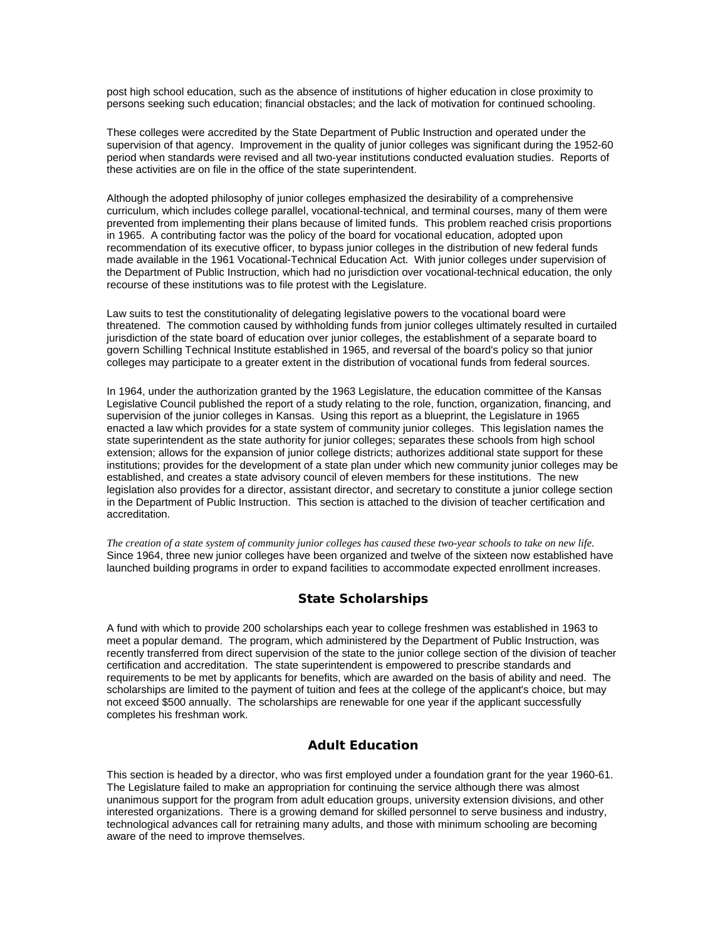post high school education, such as the absence of institutions of higher education in close proximity to persons seeking such education; financial obstacles; and the lack of motivation for continued schooling.

These colleges were accredited by the State Department of Public Instruction and operated under the supervision of that agency. Improvement in the quality of junior colleges was significant during the 1952-60 period when standards were revised and all two-year institutions conducted evaluation studies. Reports of these activities are on file in the office of the state superintendent.

Although the adopted philosophy of junior colleges emphasized the desirability of a comprehensive curriculum, which includes college parallel, vocational-technical, and terminal courses, many of them were prevented from implementing their plans because of limited funds. This problem reached crisis proportions in 1965. A contributing factor was the policy of the board for vocational education, adopted upon recommendation of its executive officer, to bypass junior colleges in the distribution of new federal funds made available in the 1961 Vocational-Technical Education Act. With junior colleges under supervision of the Department of Public Instruction, which had no jurisdiction over vocational-technical education, the only recourse of these institutions was to file protest with the Legislature.

Law suits to test the constitutionality of delegating legislative powers to the vocational board were threatened. The commotion caused by withholding funds from junior colleges ultimately resulted in curtailed jurisdiction of the state board of education over junior colleges, the establishment of a separate board to govern Schilling Technical Institute established in 1965, and reversal of the board's policy so that junior colleges may participate to a greater extent in the distribution of vocational funds from federal sources.

In 1964, under the authorization granted by the 1963 Legislature, the education committee of the Kansas Legislative Council published the report of a study relating to the role, function, organization, financing, and supervision of the junior colleges in Kansas. Using this report as a blueprint, the Legislature in 1965 enacted a law which provides for a state system of community junior colleges. This legislation names the state superintendent as the state authority for junior colleges; separates these schools from high school extension; allows for the expansion of junior college districts; authorizes additional state support for these institutions; provides for the development of a state plan under which new community junior colleges may be established, and creates a state advisory council of eleven members for these institutions. The new legislation also provides for a director, assistant director, and secretary to constitute a junior college section in the Department of Public Instruction. This section is attached to the division of teacher certification and accreditation.

*The creation of a state system of community junior colleges has caused these two-year schools to take on new life.* Since 1964, three new junior colleges have been organized and twelve of the sixteen now established have launched building programs in order to expand facilities to accommodate expected enrollment increases.

## **State Scholarships**

A fund with which to provide 200 scholarships each year to college freshmen was established in 1963 to meet a popular demand. The program, which administered by the Department of Public Instruction, was recently transferred from direct supervision of the state to the junior college section of the division of teacher certification and accreditation. The state superintendent is empowered to prescribe standards and requirements to be met by applicants for benefits, which are awarded on the basis of ability and need. The scholarships are limited to the payment of tuition and fees at the college of the applicant's choice, but may not exceed \$500 annually. The scholarships are renewable for one year if the applicant successfully completes his freshman work.

# **Adult Education**

This section is headed by a director, who was first employed under a foundation grant for the year 1960-61. The Legislature failed to make an appropriation for continuing the service although there was almost unanimous support for the program from adult education groups, university extension divisions, and other interested organizations. There is a growing demand for skilled personnel to serve business and industry, technological advances call for retraining many adults, and those with minimum schooling are becoming aware of the need to improve themselves.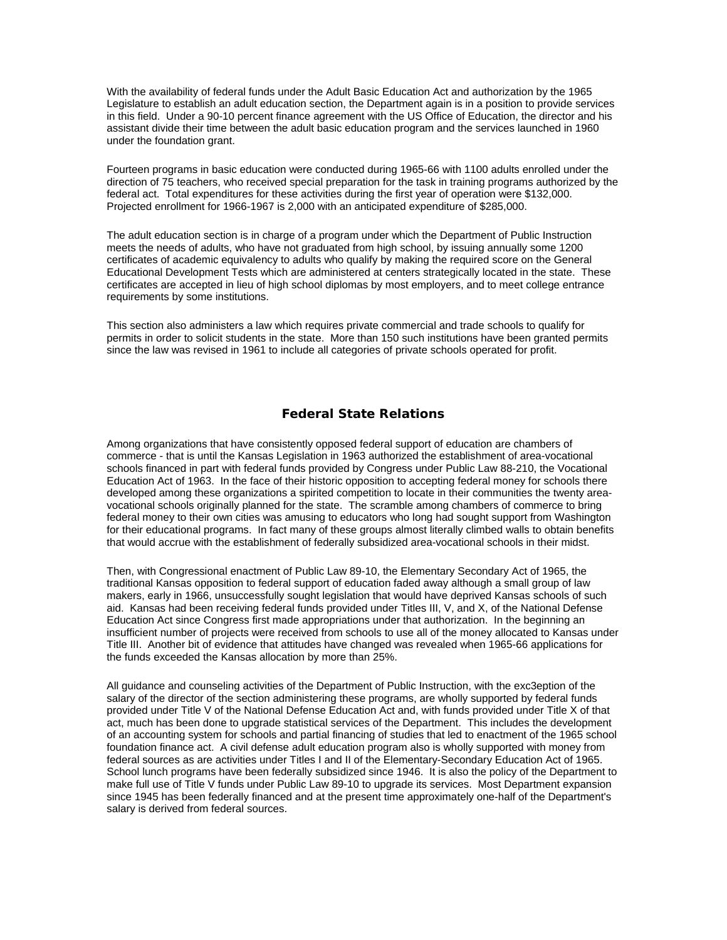With the availability of federal funds under the Adult Basic Education Act and authorization by the 1965 Legislature to establish an adult education section, the Department again is in a position to provide services in this field. Under a 90-10 percent finance agreement with the US Office of Education, the director and his assistant divide their time between the adult basic education program and the services launched in 1960 under the foundation grant.

Fourteen programs in basic education were conducted during 1965-66 with 1100 adults enrolled under the direction of 75 teachers, who received special preparation for the task in training programs authorized by the federal act. Total expenditures for these activities during the first year of operation were \$132,000. Projected enrollment for 1966-1967 is 2,000 with an anticipated expenditure of \$285,000.

The adult education section is in charge of a program under which the Department of Public Instruction meets the needs of adults, who have not graduated from high school, by issuing annually some 1200 certificates of academic equivalency to adults who qualify by making the required score on the General Educational Development Tests which are administered at centers strategically located in the state. These certificates are accepted in lieu of high school diplomas by most employers, and to meet college entrance requirements by some institutions.

This section also administers a law which requires private commercial and trade schools to qualify for permits in order to solicit students in the state. More than 150 such institutions have been granted permits since the law was revised in 1961 to include all categories of private schools operated for profit.

# **Federal State Relations**

Among organizations that have consistently opposed federal support of education are chambers of commerce - that is until the Kansas Legislation in 1963 authorized the establishment of area-vocational schools financed in part with federal funds provided by Congress under Public Law 88-210, the Vocational Education Act of 1963. In the face of their historic opposition to accepting federal money for schools there developed among these organizations a spirited competition to locate in their communities the twenty areavocational schools originally planned for the state. The scramble among chambers of commerce to bring federal money to their own cities was amusing to educators who long had sought support from Washington for their educational programs. In fact many of these groups almost literally climbed walls to obtain benefits that would accrue with the establishment of federally subsidized area-vocational schools in their midst.

Then, with Congressional enactment of Public Law 89-10, the Elementary Secondary Act of 1965, the traditional Kansas opposition to federal support of education faded away although a small group of law makers, early in 1966, unsuccessfully sought legislation that would have deprived Kansas schools of such aid. Kansas had been receiving federal funds provided under Titles III, V, and X, of the National Defense Education Act since Congress first made appropriations under that authorization. In the beginning an insufficient number of projects were received from schools to use all of the money allocated to Kansas under Title III. Another bit of evidence that attitudes have changed was revealed when 1965-66 applications for the funds exceeded the Kansas allocation by more than 25%.

All guidance and counseling activities of the Department of Public Instruction, with the exc3eption of the salary of the director of the section administering these programs, are wholly supported by federal funds provided under Title V of the National Defense Education Act and, with funds provided under Title X of that act, much has been done to upgrade statistical services of the Department. This includes the development of an accounting system for schools and partial financing of studies that led to enactment of the 1965 school foundation finance act. A civil defense adult education program also is wholly supported with money from federal sources as are activities under Titles I and II of the Elementary-Secondary Education Act of 1965. School lunch programs have been federally subsidized since 1946. It is also the policy of the Department to make full use of Title V funds under Public Law 89-10 to upgrade its services. Most Department expansion since 1945 has been federally financed and at the present time approximately one-half of the Department's salary is derived from federal sources.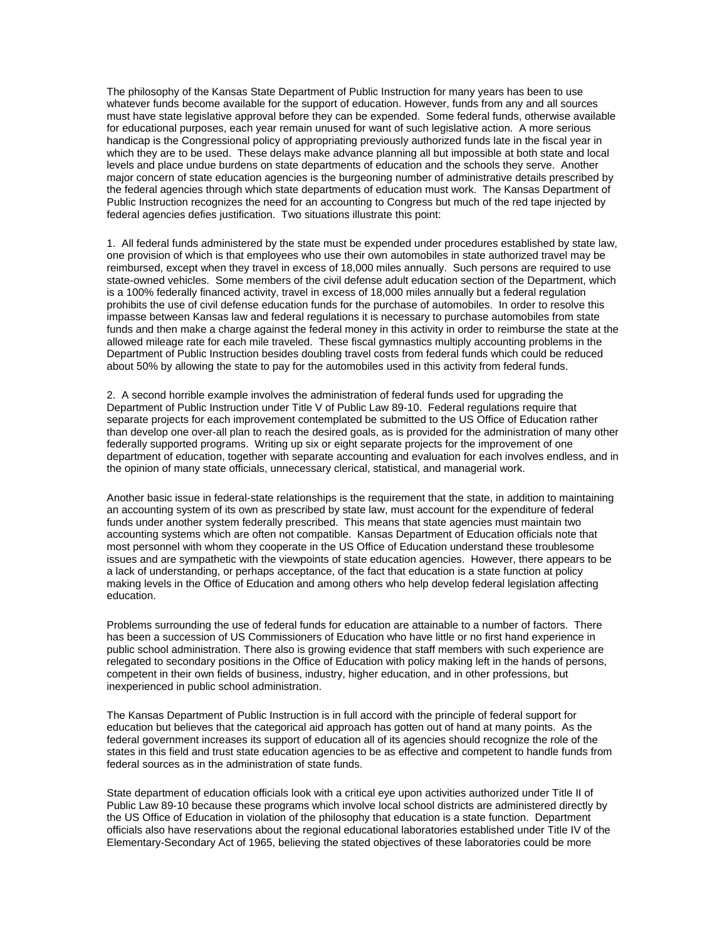The philosophy of the Kansas State Department of Public Instruction for many years has been to use whatever funds become available for the support of education. However, funds from any and all sources must have state legislative approval before they can be expended. Some federal funds, otherwise available for educational purposes, each year remain unused for want of such legislative action. A more serious handicap is the Congressional policy of appropriating previously authorized funds late in the fiscal year in which they are to be used. These delays make advance planning all but impossible at both state and local levels and place undue burdens on state departments of education and the schools they serve. Another major concern of state education agencies is the burgeoning number of administrative details prescribed by the federal agencies through which state departments of education must work. The Kansas Department of Public Instruction recognizes the need for an accounting to Congress but much of the red tape injected by federal agencies defies justification. Two situations illustrate this point:

1. All federal funds administered by the state must be expended under procedures established by state law, one provision of which is that employees who use their own automobiles in state authorized travel may be reimbursed, except when they travel in excess of 18,000 miles annually. Such persons are required to use state-owned vehicles. Some members of the civil defense adult education section of the Department, which is a 100% federally financed activity, travel in excess of 18,000 miles annually but a federal regulation prohibits the use of civil defense education funds for the purchase of automobiles. In order to resolve this impasse between Kansas law and federal regulations it is necessary to purchase automobiles from state funds and then make a charge against the federal money in this activity in order to reimburse the state at the allowed mileage rate for each mile traveled. These fiscal gymnastics multiply accounting problems in the Department of Public Instruction besides doubling travel costs from federal funds which could be reduced about 50% by allowing the state to pay for the automobiles used in this activity from federal funds.

2. A second horrible example involves the administration of federal funds used for upgrading the Department of Public Instruction under Title V of Public Law 89-10. Federal regulations require that separate projects for each improvement contemplated be submitted to the US Office of Education rather than develop one over-all plan to reach the desired goals, as is provided for the administration of many other federally supported programs. Writing up six or eight separate projects for the improvement of one department of education, together with separate accounting and evaluation for each involves endless, and in the opinion of many state officials, unnecessary clerical, statistical, and managerial work.

Another basic issue in federal-state relationships is the requirement that the state, in addition to maintaining an accounting system of its own as prescribed by state law, must account for the expenditure of federal funds under another system federally prescribed. This means that state agencies must maintain two accounting systems which are often not compatible. Kansas Department of Education officials note that most personnel with whom they cooperate in the US Office of Education understand these troublesome issues and are sympathetic with the viewpoints of state education agencies. However, there appears to be a lack of understanding, or perhaps acceptance, of the fact that education is a state function at policy making levels in the Office of Education and among others who help develop federal legislation affecting education.

Problems surrounding the use of federal funds for education are attainable to a number of factors. There has been a succession of US Commissioners of Education who have little or no first hand experience in public school administration. There also is growing evidence that staff members with such experience are relegated to secondary positions in the Office of Education with policy making left in the hands of persons, competent in their own fields of business, industry, higher education, and in other professions, but inexperienced in public school administration.

The Kansas Department of Public Instruction is in full accord with the principle of federal support for education but believes that the categorical aid approach has gotten out of hand at many points. As the federal government increases its support of education all of its agencies should recognize the role of the states in this field and trust state education agencies to be as effective and competent to handle funds from federal sources as in the administration of state funds.

State department of education officials look with a critical eye upon activities authorized under Title II of Public Law 89-10 because these programs which involve local school districts are administered directly by the US Office of Education in violation of the philosophy that education is a state function. Department officials also have reservations about the regional educational laboratories established under Title IV of the Elementary-Secondary Act of 1965, believing the stated objectives of these laboratories could be more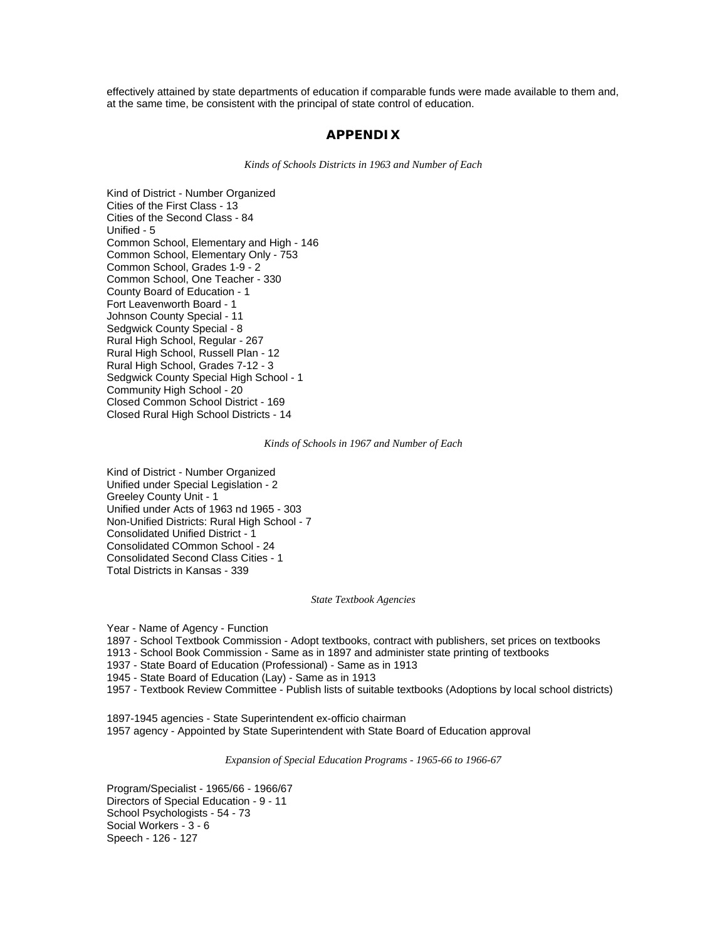effectively attained by state departments of education if comparable funds were made available to them and, at the same time, be consistent with the principal of state control of education.

### **APPENDIX**

*Kinds of Schools Districts in 1963 and Number of Each* 

Kind of District - Number Organized Cities of the First Class - 13 Cities of the Second Class - 84 Unified - 5 Common School, Elementary and High - 146 Common School, Elementary Only - 753 Common School, Grades 1-9 - 2 Common School, One Teacher - 330 County Board of Education - 1 Fort Leavenworth Board - 1 Johnson County Special - 11 Sedgwick County Special - 8 Rural High School, Regular - 267 Rural High School, Russell Plan - 12 Rural High School, Grades 7-12 - 3 Sedgwick County Special High School - 1 Community High School - 20 Closed Common School District - 169 Closed Rural High School Districts - 14

### *Kinds of Schools in 1967 and Number of Each*

Kind of District - Number Organized Unified under Special Legislation - 2 Greeley County Unit - 1 Unified under Acts of 1963 nd 1965 - 303 Non-Unified Districts: Rural High School - 7 Consolidated Unified District - 1 Consolidated COmmon School - 24 Consolidated Second Class Cities - 1 Total Districts in Kansas - 339

### *State Textbook Agencies*

Year - Name of Agency - Function

1897 - School Textbook Commission - Adopt textbooks, contract with publishers, set prices on textbooks

1913 - School Book Commission - Same as in 1897 and administer state printing of textbooks

1937 - State Board of Education (Professional) - Same as in 1913

1945 - State Board of Education (Lay) - Same as in 1913

1957 - Textbook Review Committee - Publish lists of suitable textbooks (Adoptions by local school districts)

1897-1945 agencies - State Superintendent ex-officio chairman 1957 agency - Appointed by State Superintendent with State Board of Education approval

*Expansion of Special Education Programs - 1965-66 to 1966-67* 

Program/Specialist - 1965/66 - 1966/67 Directors of Special Education - 9 - 11 School Psychologists - 54 - 73 Social Workers - 3 - 6 Speech - 126 - 127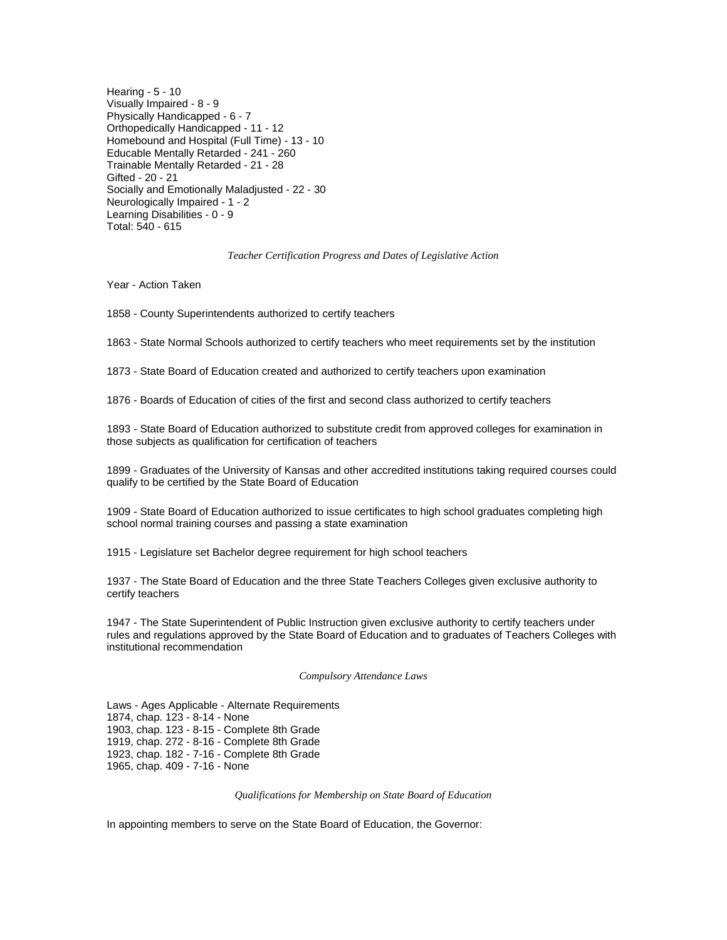Hearing - 5 - 10 Visually Impaired - 8 - 9 Physically Handicapped - 6 - 7 Orthopedically Handicapped - 11 - 12 Homebound and Hospital (Full Time) - 13 - 10 Educable Mentally Retarded - 241 - 260 Trainable Mentally Retarded - 21 - 28 Gifted - 20 - 21 Socially and Emotionally Maladjusted - 22 - 30 Neurologically Impaired - 1 - 2 Learning Disabilities - 0 - 9 Total: 540 - 615

#### *Teacher Certification Progress and Dates of Legislative Action*

Year - Action Taken

1858 - County Superintendents authorized to certify teachers

1863 - State Normal Schools authorized to certify teachers who meet requirements set by the institution

1873 - State Board of Education created and authorized to certify teachers upon examination

1876 - Boards of Education of cities of the first and second class authorized to certify teachers

1893 - State Board of Education authorized to substitute credit from approved colleges for examination in those subjects as qualification for certification of teachers

1899 - Graduates of the University of Kansas and other accredited institutions taking required courses could qualify to be certified by the State Board of Education

1909 - State Board of Education authorized to issue certificates to high school graduates completing high school normal training courses and passing a state examination

1915 - Legislature set Bachelor degree requirement for high school teachers

1937 - The State Board of Education and the three State Teachers Colleges given exclusive authority to certify teachers

1947 - The State Superintendent of Public Instruction given exclusive authority to certify teachers under rules and regulations approved by the State Board of Education and to graduates of Teachers Colleges with institutional recommendation

#### *Compulsory Attendance Laws*

Laws - Ages Applicable - Alternate Requirements 1874, chap. 123 - 8-14 - None 1903, chap. 123 - 8-15 - Complete 8th Grade 1919, chap. 272 - 8-16 - Complete 8th Grade 1923, chap. 182 - 7-16 - Complete 8th Grade 1965, chap. 409 - 7-16 - None

*Qualifications for Membership on State Board of Education* 

In appointing members to serve on the State Board of Education, the Governor: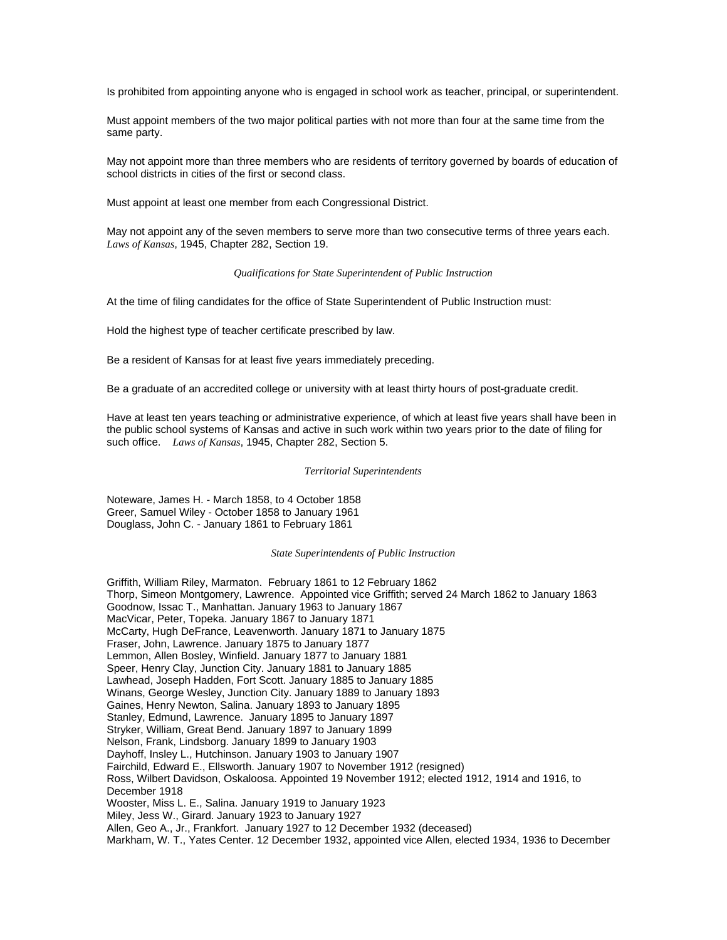Is prohibited from appointing anyone who is engaged in school work as teacher, principal, or superintendent.

Must appoint members of the two major political parties with not more than four at the same time from the same party.

May not appoint more than three members who are residents of territory governed by boards of education of school districts in cities of the first or second class.

Must appoint at least one member from each Congressional District.

May not appoint any of the seven members to serve more than two consecutive terms of three years each. *Laws of Kansas*, 1945, Chapter 282, Section 19.

### *Qualifications for State Superintendent of Public Instruction*

At the time of filing candidates for the office of State Superintendent of Public Instruction must:

Hold the highest type of teacher certificate prescribed by law.

Be a resident of Kansas for at least five years immediately preceding.

Be a graduate of an accredited college or university with at least thirty hours of post-graduate credit.

Have at least ten years teaching or administrative experience, of which at least five years shall have been in the public school systems of Kansas and active in such work within two years prior to the date of filing for such office. *Laws of Kansas*, 1945, Chapter 282, Section 5.

### *Territorial Superintendents*

Noteware, James H. - March 1858, to 4 October 1858 Greer, Samuel Wiley - October 1858 to January 1961 Douglass, John C. - January 1861 to February 1861

#### *State Superintendents of Public Instruction*

Griffith, William Riley, Marmaton. February 1861 to 12 February 1862 Thorp, Simeon Montgomery, Lawrence. Appointed vice Griffith; served 24 March 1862 to January 1863 Goodnow, Issac T., Manhattan. January 1963 to January 1867 MacVicar, Peter, Topeka. January 1867 to January 1871 McCarty, Hugh DeFrance, Leavenworth. January 1871 to January 1875 Fraser, John, Lawrence. January 1875 to January 1877 Lemmon, Allen Bosley, Winfield. January 1877 to January 1881 Speer, Henry Clay, Junction City. January 1881 to January 1885 Lawhead, Joseph Hadden, Fort Scott. January 1885 to January 1885 Winans, George Wesley, Junction City. January 1889 to January 1893 Gaines, Henry Newton, Salina. January 1893 to January 1895 Stanley, Edmund, Lawrence. January 1895 to January 1897 Stryker, William, Great Bend. January 1897 to January 1899 Nelson, Frank, Lindsborg. January 1899 to January 1903 Dayhoff, Insley L., Hutchinson. January 1903 to January 1907 Fairchild, Edward E., Ellsworth. January 1907 to November 1912 (resigned) Ross, Wilbert Davidson, Oskaloosa. Appointed 19 November 1912; elected 1912, 1914 and 1916, to December 1918 Wooster, Miss L. E., Salina. January 1919 to January 1923 Miley, Jess W., Girard. January 1923 to January 1927 Allen, Geo A., Jr., Frankfort. January 1927 to 12 December 1932 (deceased) Markham, W. T., Yates Center. 12 December 1932, appointed vice Allen, elected 1934, 1936 to December